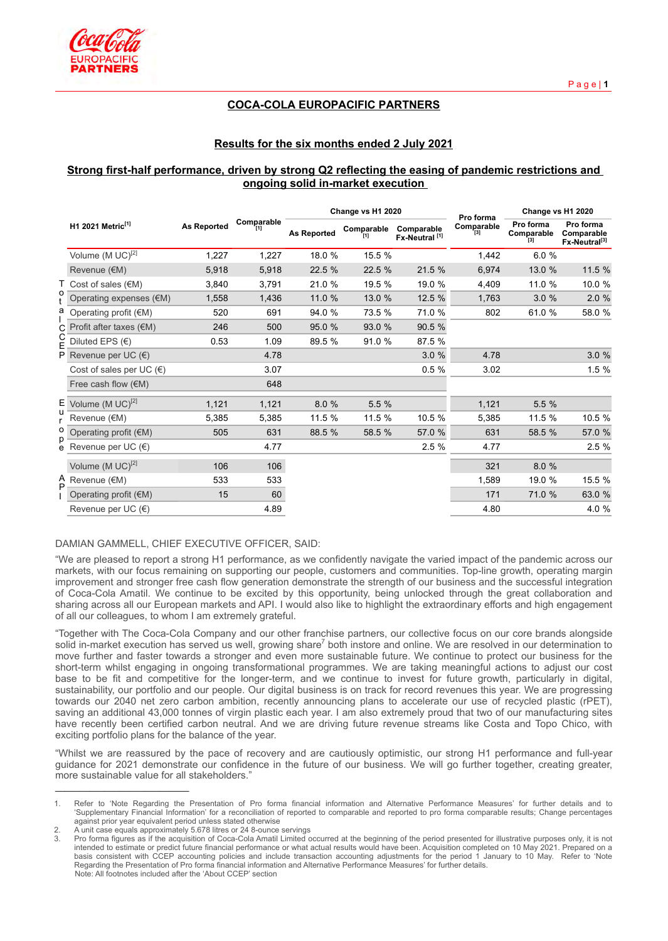

## **COCA-COLA EUROPACIFIC PARTNERS**

## **Results for the six months ended 2 July 2021**

## **Strong first-half performance, driven by strong Q2 reflecting the easing of pandemic restrictions and ongoing solid in-market execution**

|                    |                                   |                                  |       |                    | Change vs H1 2020 |                                         | Pro forma         | Change vs H1 2020              |                                                      |
|--------------------|-----------------------------------|----------------------------------|-------|--------------------|-------------------|-----------------------------------------|-------------------|--------------------------------|------------------------------------------------------|
|                    | H1 2021 Metric <sup>[1]</sup>     | Comparable<br><b>As Reported</b> |       | <b>As Reported</b> | Comparable        | Comparable<br>Fx-Neutral <sup>[1]</sup> | Comparable<br>[3] | Pro forma<br>Comparable<br>[3] | Pro forma<br>Comparable<br>Fx-Neutral <sup>[3]</sup> |
|                    | Volume (M UC) <sup>[2]</sup>      | 1,227                            | 1,227 | 18.0 %             | 15.5 %            |                                         | 1,442             | 6.0%                           |                                                      |
|                    | Revenue (€M)                      | 5,918                            | 5,918 | 22.5 %             | 22.5 %            | 21.5 %                                  | 6,974             | 13.0 %                         | 11.5 %                                               |
|                    | T Cost of sales $(\epsilon M)$    | 3.840                            | 3,791 | 21.0 %             | 19.5 %            | 19.0 %                                  | 4,409             | 11.0 %                         | 10.0 %                                               |
| о                  | Operating expenses $(\epsilon M)$ | 1,558                            | 1,436 | 11.0 %             | 13.0 %            | 12.5 %                                  | 1,763             | 3.0%                           | 2.0%                                                 |
| а                  | Operating profit $(\epsilon M)$   | 520                              | 691   | 94.0 %             | 73.5 %            | 71.0 %                                  | 802               | 61.0 %                         | 58.0 %                                               |
| C                  | Profit after taxes $(\epsilon M)$ | 246                              | 500   | 95.0 %             | 93.0 %            | 90.5 %                                  |                   |                                |                                                      |
| C<br>E<br>P        | Diluted EPS $(E)$                 | 0.53                             | 1.09  | 89.5 %             | 91.0 %            | 87.5 %                                  |                   |                                |                                                      |
|                    | Revenue per UC $(\epsilon)$       |                                  | 4.78  |                    |                   | 3.0%                                    | 4.78              |                                | 3.0%                                                 |
|                    | Cost of sales per UC $(€)$        |                                  | 3.07  |                    |                   | 0.5%                                    | 3.02              |                                | 1.5%                                                 |
|                    | Free cash flow $(\epsilon M)$     |                                  | 648   |                    |                   |                                         |                   |                                |                                                      |
| Ε                  | Volume (M UC) <sup>[2]</sup>      | 1,121                            | 1,121 | 8.0 %              | 5.5 %             |                                         | 1,121             | 5.5 %                          |                                                      |
| u<br>'n            | Revenue (€M)                      | 5,385                            | 5,385 | 11.5 %             | 11.5 %            | 10.5 %                                  | 5,385             | 11.5 %                         | 10.5 %                                               |
| o<br>p             | Operating profit $(\epsilon M)$   | 505                              | 631   | 88.5 %             | 58.5 %            | 57.0 %                                  | 631               | 58.5 %                         | 57.0 %                                               |
| e                  | Revenue per UC $(\epsilon)$       |                                  | 4.77  |                    |                   | 2.5%                                    | 4.77              |                                | 2.5%                                                 |
|                    | Volume (M UC) <sup>[2]</sup>      | 106                              | 106   |                    |                   |                                         | 321               | 8.0%                           |                                                      |
| $_{\rm P}^{\rm A}$ | Revenue (€M)                      | 533                              | 533   |                    |                   |                                         | 1,589             | 19.0 %                         | 15.5 %                                               |
|                    | Operating profit $(\epsilon M)$   | 15                               | 60    |                    |                   |                                         | 171               | 71.0 %                         | 63.0 %                                               |
|                    | Revenue per UC $(\epsilon)$       |                                  | 4.89  |                    |                   |                                         | 4.80              |                                | 4.0 %                                                |

## DAMIAN GAMMELL, CHIEF EXECUTIVE OFFICER, SAID:

"We are pleased to report a strong H1 performance, as we confidently navigate the varied impact of the pandemic across our markets, with our focus remaining on supporting our people, customers and communities. Top-line growth, operating margin improvement and stronger free cash flow generation demonstrate the strength of our business and the successful integration of Coca-Cola Amatil. We continue to be excited by this opportunity, being unlocked through the great collaboration and sharing across all our European markets and API. I would also like to highlight the extraordinary efforts and high engagement of all our colleagues, to whom I am extremely grateful.

"Together with The Coca-Cola Company and our other franchise partners, our collective focus on our core brands alongside solid in-market execution has served us well, growing share<sup>7</sup> both instore and online. We are resolved in our determination to move further and faster towards a stronger and even more sustainable future. We continue to protect our business for the short-term whilst engaging in ongoing transformational programmes. We are taking meaningful actions to adjust our cost base to be fit and competitive for the longer-term, and we continue to invest for future growth, particularly in digital, sustainability, our portfolio and our people. Our digital business is on track for record revenues this year. We are progressing towards our 2040 net zero carbon ambition, recently announcing plans to accelerate our use of recycled plastic (rPET), saving an additional 43,000 tonnes of virgin plastic each year. I am also extremely proud that two of our manufacturing sites have recently been certified carbon neutral. And we are driving future revenue streams like Costa and Topo Chico, with exciting portfolio plans for the balance of the year.

"Whilst we are reassured by the pace of recovery and are cautiously optimistic, our strong H1 performance and full-year guidance for 2021 demonstrate our confidence in the future of our business. We will go further together, creating greater, more sustainable value for all stakeholders."

\_\_\_\_\_\_\_\_\_\_\_\_\_\_\_\_\_\_\_\_\_\_\_\_\_\_\_

<sup>1.</sup> Refer to 'Note Regarding the Presentation of Pro forma financial information and Alternative Performance Measures' for further details and to<br>Supplementary Financial Information' for a reconciliation of reported to comp against prior year equivalent period unless stated otherwise

<sup>2.</sup> Aunit case equals approximately 5.678 litres or 24 8-ounce servings<br>3. Pro forma figures as if the acquisition of Coca-Cola Amatil Limited occurred at the beginning of the period presented for illustrative purposes only intended to estimate or predict future financial performance or what actual results would have been. Acquisition completed on 10 May 2021. Prepared on a basis consistent with CCEP accounting policies and include transaction accounting adjustments for the period 1 January to 10 May. Refer to 'Note Regarding the Presentation of Pro forma financial information and Alternative Performance Measures' for further details. Note: All footnotes included after the 'About CCEP' section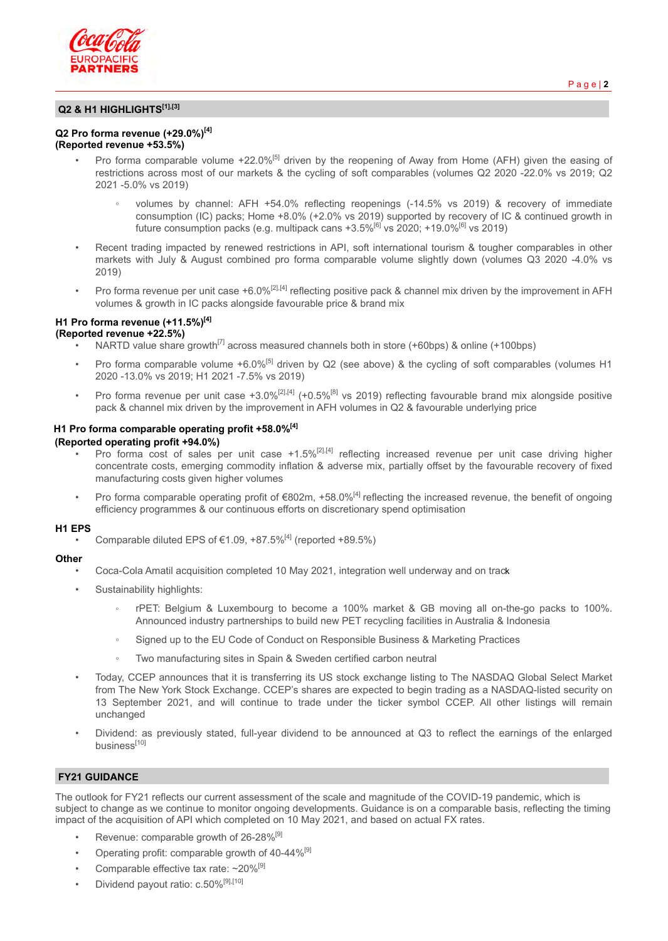

## **Q2 & H1 HIGHLIGHTS[1],[3]**

#### **Q2 Pro forma revenue (+29.0%)[4] (Reported revenue +53.5%)**

- Pro forma comparable volume  $+22.0\%^{5}$  driven by the reopening of Away from Home (AFH) given the easing of restrictions across most of our markets & the cycling of soft comparables (volumes Q2 2020 -22.0% vs 2019; Q2 2021 -5.0% vs 2019)
	- volumes by channel: AFH +54.0% reflecting reopenings (-14.5% vs 2019) & recovery of immediate consumption (IC) packs; Home +8.0% (+2.0% vs 2019) supported by recovery of IC & continued growth in future consumption packs (e.g. multipack cans  $+3.5\%^{[6]}$  vs 2020;  $+19.0\%^{[6]}$  vs 2019)
- Recent trading impacted by renewed restrictions in API, soft international tourism & tougher comparables in other markets with July & August combined pro forma comparable volume slightly down (volumes Q3 2020 -4.0% vs 2019)
- Pro forma revenue per unit case +6.0%<sup>[2],[4]</sup> reflecting positive pack & channel mix driven by the improvement in AFH volumes & growth in IC packs alongside favourable price & brand mix

#### **H1 Pro forma revenue (+11.5%)[4] (Reported revenue +22.5%)**

- NARTD value share growth<sup>[7]</sup> across measured channels both in store (+60bps) & online (+100bps)
- Pro forma comparable volume +6.0%<sup>[5]</sup> driven by Q2 (see above) & the cycling of soft comparables (volumes H1 2020 -13.0% vs 2019; H1 2021 -7.5% vs 2019)
- Pro forma revenue per unit case +3.0%<sup>[2],[4]</sup> (+0.5%<sup>[8]</sup> vs 2019) reflecting favourable brand mix alongside positive pack & channel mix driven by the improvement in AFH volumes in Q2 & favourable underlying price

#### **H1 Pro forma comparable operating profit +58.0%[4] (Reported operating profit +94.0%)**

- Pro forma cost of sales per unit case  $+1.5\%^{[2],[4]}$  reflecting increased revenue per unit case driving higher concentrate costs, emerging commodity inflation & adverse mix, partially offset by the favourable recovery of fixed manufacturing costs given higher volumes
- Pro forma comparable operating profit of  $\epsilon$ 802m, +58.0%<sup>[4]</sup> reflecting the increased revenue, the benefit of ongoing efficiency programmes & our continuous efforts on discretionary spend optimisation

#### **H1 EPS**

Comparable diluted EPS of  $€1.09$ ,  $+87.5\%$ <sup>[4]</sup> (reported  $+89.5\%$ )

#### **Other**

- Coca-Cola Amatil acquisition completed 10 May 2021, integration well underway and on track
- Sustainability highlights:
	- rPET: Belgium & Luxembourg to become a 100% market & GB moving all on-the-go packs to 100%. Announced industry partnerships to build new PET recycling facilities in Australia & Indonesia
	- Signed up to the EU Code of Conduct on Responsible Business & Marketing Practices
	- Two manufacturing sites in Spain & Sweden certified carbon neutral
- Today, CCEP announces that it is transferring its US stock exchange listing to The NASDAQ Global Select Market from The New York Stock Exchange. CCEP's shares are expected to begin trading as a NASDAQ-listed security on 13 September 2021, and will continue to trade under the ticker symbol CCEP. All other listings will remain unchanged
- Dividend: as previously stated, full-year dividend to be announced at Q3 to reflect the earnings of the enlarged business $^{[10]}$

## **FY21 GUIDANCE**

The outlook for FY21 reflects our current assessment of the scale and magnitude of the COVID-19 pandemic, which is subject to change as we continue to monitor ongoing developments. Guidance is on a comparable basis, reflecting the timing impact of the acquisition of API which completed on 10 May 2021, and based on actual FX rates.

- Revenue: comparable growth of 26-28%<sup>[9]</sup>
- Operating profit: comparable growth of 40-44%<sup>[9]</sup>
- Comparable effective tax rate:  $\sim$ 20%<sup>[9]</sup>
- Dividend payout ratio: c.50%<sup>[9],[10]</sup>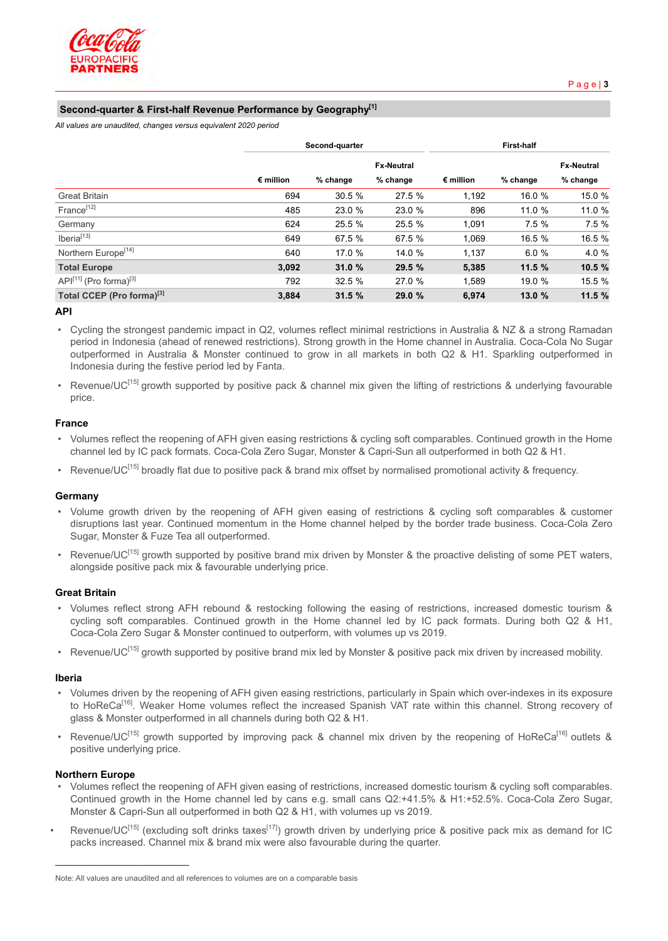

## **Second-quarter & First-half Revenue Performance by Geography[1]**

*All values are unaudited, changes versus equivalent 2020 period*

|                                       |                    | Second-quarter |                   |                    | <b>First-half</b> |                   |  |
|---------------------------------------|--------------------|----------------|-------------------|--------------------|-------------------|-------------------|--|
|                                       |                    |                | <b>Fx-Neutral</b> |                    |                   | <b>Fx-Neutral</b> |  |
|                                       | $\epsilon$ million | % change       | % change          | $\epsilon$ million | % change          | % change          |  |
| <b>Great Britain</b>                  | 694                | 30.5%          | 27.5 %            | 1,192              | 16.0%             | 15.0 %            |  |
| France <sup>[12]</sup>                | 485                | 23.0 %         | 23.0 %            | 896                | 11.0 %            | 11.0 %            |  |
| Germany                               | 624                | 25.5 %         | 25.5 %            | 1.091              | 7.5%              | 7.5%              |  |
| Iberia <sup>[13]</sup>                | 649                | 67.5 %         | 67.5 %            | 1.069              | 16.5 %            | 16.5 %            |  |
| Northern Europe <sup>[14]</sup>       | 640                | 17.0 %         | 14.0 %            | 1.137              | 6.0%              | 4.0 %             |  |
| <b>Total Europe</b>                   | 3,092              | 31.0 %         | 29.5 %            | 5,385              | 11.5%             | 10.5 %            |  |
| $API[11]$ (Pro forma) <sup>[3]</sup>  | 792                | 32.5 %         | 27.0 %            | 1.589              | 19.0 %            | 15.5 %            |  |
| Total CCEP (Pro forma) <sup>[3]</sup> | 3,884              | 31.5%          | 29.0%             | 6,974              | 13.0%             | 11.5 %            |  |

#### **API**

- Cycling the strongest pandemic impact in Q2, volumes reflect minimal restrictions in Australia & NZ & a strong Ramadan period in Indonesia (ahead of renewed restrictions). Strong growth in the Home channel in Australia. Coca-Cola No Sugar outperformed in Australia & Monster continued to grow in all markets in both Q2 & H1. Sparkling outperformed in Indonesia during the festive period led by Fanta.
- Revenue/UC<sup>[15]</sup> growth supported by positive pack & channel mix given the lifting of restrictions & underlying favourable price.

## **France**

- Volumes reflect the reopening of AFH given easing restrictions & cycling soft comparables. Continued growth in the Home channel led by IC pack formats. Coca-Cola Zero Sugar, Monster & Capri-Sun all outperformed in both Q2 & H1.
- Revenue/UC<sup>[15]</sup> broadly flat due to positive pack & brand mix offset by normalised promotional activity & frequency.

#### **Germany**

- Volume growth driven by the reopening of AFH given easing of restrictions & cycling soft comparables & customer disruptions last year. Continued momentum in the Home channel helped by the border trade business. Coca-Cola Zero Sugar, Monster & Fuze Tea all outperformed.
- Revenue/UC<sup>[15]</sup> growth supported by positive brand mix driven by Monster & the proactive delisting of some PET waters, alongside positive pack mix & favourable underlying price.

#### **Great Britain**

- Volumes reflect strong AFH rebound & restocking following the easing of restrictions, increased domestic tourism & cycling soft comparables. Continued growth in the Home channel led by IC pack formats. During both Q2 & H1, Coca-Cola Zero Sugar & Monster continued to outperform, with volumes up vs 2019.
- Revenue/UC<sup>[15]</sup> growth supported by positive brand mix led by Monster & positive pack mix driven by increased mobility.

#### **Iberia**

- Volumes driven by the reopening of AFH given easing restrictions, particularly in Spain which over-indexes in its exposure to HoReCa<sup>[16]</sup>. Weaker Home volumes reflect the increased Spanish VAT rate within this channel. Strong recovery of glass & Monster outperformed in all channels during both Q2 & H1.
- Revenue/UC<sup>[15]</sup> growth supported by improving pack & channel mix driven by the reopening of HoReCa<sup>[16]</sup> outlets & positive underlying price.

## **Northern Europe**

\_\_\_\_\_\_\_\_\_\_\_\_\_\_\_\_\_\_\_\_\_\_\_\_\_\_\_

- Volumes reflect the reopening of AFH given easing of restrictions, increased domestic tourism & cycling soft comparables. Continued growth in the Home channel led by cans e.g. small cans Q2:+41.5% & H1:+52.5%. Coca-Cola Zero Sugar, Monster & Capri-Sun all outperformed in both Q2 & H1, with volumes up vs 2019.
- Revenue/UC<sup>[15]</sup> (excluding soft drinks taxes<sup>[17]</sup>) growth driven by underlying price & positive pack mix as demand for IC packs increased. Channel mix & brand mix were also favourable during the quarter.

Note: All values are unaudited and all references to volumes are on a comparable basis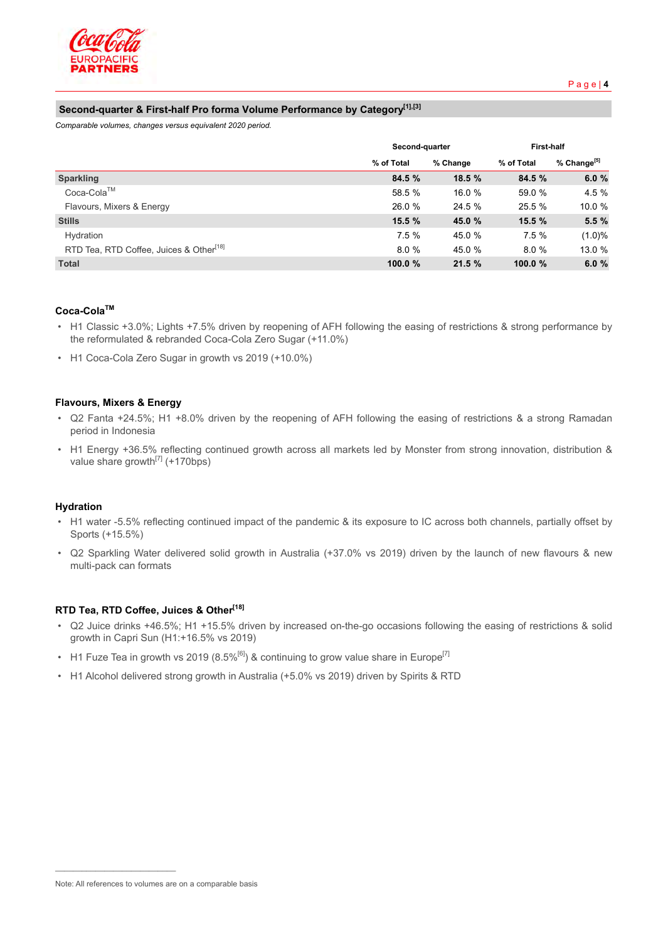

# **Second-quarter & First-half Pro forma Volume Performance by Category[1],[3]**

*Comparable volumes, changes versus equivalent 2020 period.*

|                                                     | Second-quarter |          | <b>First-half</b> |                         |
|-----------------------------------------------------|----------------|----------|-------------------|-------------------------|
|                                                     | % of Total     | % Change | % of Total        | % Change <sup>[5]</sup> |
| <b>Sparkling</b>                                    | 84.5 %         | 18.5%    | 84.5 %            | 6.0%                    |
| Coca-Cola <sup>™</sup>                              | 58.5 %         | 16.0%    | 59.0 %            | 4.5%                    |
| Flavours, Mixers & Energy                           | 26.0 %         | 24.5 %   | 25.5%             | 10.0%                   |
| <b>Stills</b>                                       | 15.5%          | 45.0 %   | 15.5%             | 5.5 %                   |
| Hydration                                           | 7.5%           | 45.0 %   | 7.5%              | $(1.0)\%$               |
| RTD Tea, RTD Coffee, Juices & Other <sup>[18]</sup> | 8.0%           | 45.0 %   | 8.0%              | 13.0%                   |
| <b>Total</b>                                        | 100.0 $%$      | 21.5%    | 100.0 $%$         | 6.0%                    |

#### **Coca-ColaTM**

- H1 Classic +3.0%; Lights +7.5% driven by reopening of AFH following the easing of restrictions & strong performance by the reformulated & rebranded Coca-Cola Zero Sugar (+11.0%)
- H1 Coca-Cola Zero Sugar in growth vs 2019 (+10.0%)

### **Flavours, Mixers & Energy**

- Q2 Fanta +24.5%; H1 +8.0% driven by the reopening of AFH following the easing of restrictions & a strong Ramadan period in Indonesia
- H1 Energy +36.5% reflecting continued growth across all markets led by Monster from strong innovation, distribution & value share growth $^{[7]}$  (+170bps)

#### **Hydration**

- H1 water -5.5% reflecting continued impact of the pandemic & its exposure to IC across both channels, partially offset by Sports (+15.5%)
- Q2 Sparkling Water delivered solid growth in Australia (+37.0% vs 2019) driven by the launch of new flavours & new multi-pack can formats

#### **RTD Tea, RTD Coffee, Juices & Other[18]**

- Q2 Juice drinks +46.5%; H1 +15.5% driven by increased on-the-go occasions following the easing of restrictions & solid growth in Capri Sun (H1:+16.5% vs 2019)
- H1 Fuze Tea in growth vs 2019 (8.5%<sup>[6]</sup>) & continuing to grow value share in Europe<sup>[7]</sup>
- H1 Alcohol delivered strong growth in Australia (+5.0% vs 2019) driven by Spirits & RTD

Note: All references to volumes are on a comparable basis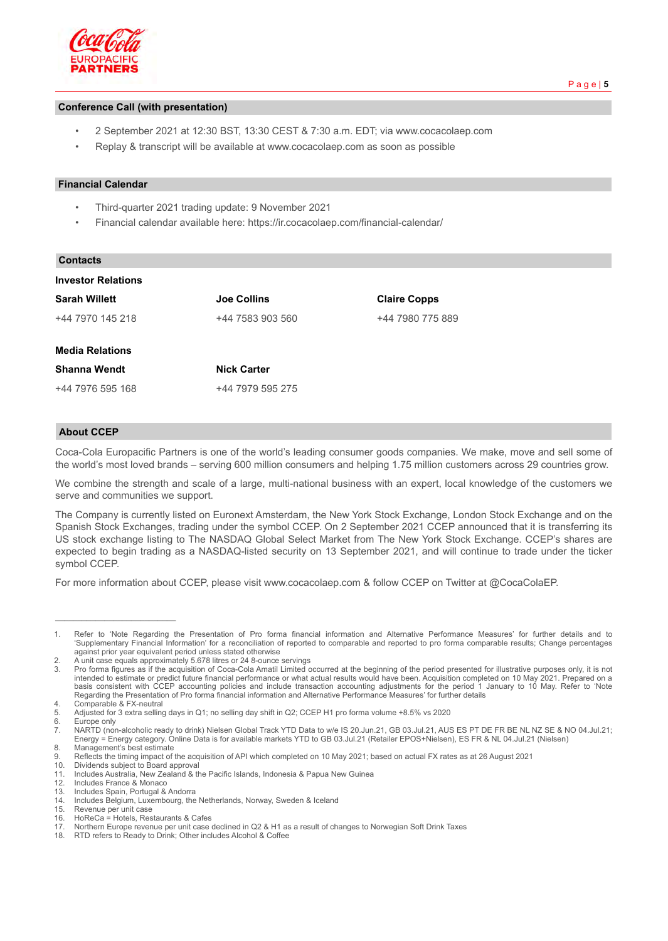

- 2 September 2021 at 12:30 BST, 13:30 CEST & 7:30 a.m. EDT; via www.cocacolaep.com
- Replay & transcript will be available at www.cocacolaep.com as soon as possible

#### **Financial Calendar**

- Third-quarter 2021 trading update: 9 November 2021
- Financial calendar available here: https://ir.cocacolaep.com/financial-calendar/

| <b>Contacts</b>           |                    |                     |
|---------------------------|--------------------|---------------------|
| <b>Investor Relations</b> |                    |                     |
| <b>Sarah Willett</b>      | <b>Joe Collins</b> | <b>Claire Copps</b> |
| +44 7970 145 218          | +44 7583 903 560   | +44 7980 775 889    |
| <b>Media Relations</b>    |                    |                     |
| <b>Shanna Wendt</b>       | <b>Nick Carter</b> |                     |
| +44 7976 595 168          | +44 7979 595 275   |                     |

## **About CCEP**

Coca-Cola Europacific Partners is one of the world's leading consumer goods companies. We make, move and sell some of the world's most loved brands – serving 600 million consumers and helping 1.75 million customers across 29 countries grow.

We combine the strength and scale of a large, multi-national business with an expert, local knowledge of the customers we serve and communities we support.

The Company is currently listed on Euronext Amsterdam, the New York Stock Exchange, London Stock Exchange and on the Spanish Stock Exchanges, trading under the symbol CCEP. On 2 September 2021 CCEP announced that it is transferring its US stock exchange listing to The NASDAQ Global Select Market from The New York Stock Exchange. CCEP's shares are expected to begin trading as a NASDAQ-listed security on 13 September 2021, and will continue to trade under the ticker symbol CCEP.

For more information about CCEP, please visit www.cocacolaep.com & follow CCEP on Twitter at @CocaColaEP.

 $\mathcal{L}=\mathcal{L}=\mathcal{L}=\mathcal{L}=\mathcal{L}=\mathcal{L}=\mathcal{L}=\mathcal{L}=\mathcal{L}=\mathcal{L}=\mathcal{L}=\mathcal{L}=\mathcal{L}=\mathcal{L}=\mathcal{L}=\mathcal{L}=\mathcal{L}=\mathcal{L}=\mathcal{L}=\mathcal{L}=\mathcal{L}=\mathcal{L}=\mathcal{L}=\mathcal{L}=\mathcal{L}=\mathcal{L}=\mathcal{L}=\mathcal{L}=\mathcal{L}=\mathcal{L}=\mathcal{L}=\mathcal{L}=\mathcal{L}=\mathcal{L}=\mathcal{L}=\mathcal{L}=\mathcal{$ 

<sup>1.</sup> Refer to 'Note Regarding the Presentation of Pro forma financial information and Alternative Performance Measures' for further details and to 'Supplementary Financial Information' for a reconciliation of reported to comparable and reported to pro forma comparable results; Change percentages against prior year equivalent period unless stated otherwise

<sup>2.</sup> A unit case equals approximately 5.678 litres or 24 8-ounce servings

<sup>3.</sup> Pro forma figures as if the acquisition of Coca-Cola Amatil Limited occurred at the beginning of the period presented for illustrative purposes only, it is not intended to estimate or predict future financial performance or what actual results would have been. Acquisition completed on 10 May 2021. Prepared on a basis consistent with CCEP accounting policies and include transaction accounting adjustments for the period 1 January to 10 May. Refer to 'Note Regarding the Presentation of Pro forma financial information and Alternative Performance Measures' for further details

<sup>4.</sup> Comparable & FX-neutral 5. Adjusted for 3 extra selling days in Q1; no selling day shift in Q2; CCEP H1 pro forma volume +8.5% vs 2020<br>6. Europe only

<sup>6.</sup> Europe only<br>7. NARTD (nor 7. NARTD (non-alcoholic ready to drink) Nielsen Global Track YTD Data to w/e IS 20.Jun.21, GB 03.Jul.21, AUS ES PT DE FR BE NL NZ SE & NO 04.Jul.21; Energy = Energy category. Online Data is for available markets YTD to GB 03.Jul.21 (Retailer EPOS+Nielsen), ES FR & NL 04.Jul.21 (Nielsen) 8. Management's best estimate

<sup>9.</sup> Reflects the timing impact of the acquisition of API which completed on 10 May 2021; based on actual FX rates as at 26 August 2021

<sup>10.</sup> Dividends subject to Board approval<br>11. Includes Australia, New Zealand & th 11. Includes Australia, New Zealand & the Pacific Islands, Indonesia & Papua New Guinea

Includes France & Monaco

<sup>13.</sup> Includes Spain, Portugal & Andorra 14. Includes Belgium, Luxembourg, the Netherlands, Norway, Sweden & Iceland

<sup>15.</sup> Revenue per unit case<br>16. HoReCa = Hotels. Res

<sup>16.</sup> HoReCa = Hotels, Restaurants & Cafes<br>17. Northern Europe revenue per unit case of

<sup>17.</sup> Northern Europe revenue per unit case declined in Q2 & H1 as a result of changes to Norwegian Soft Drink Taxes 18. RTD refers to Ready to Drink; Other includes Alcohol & Coffee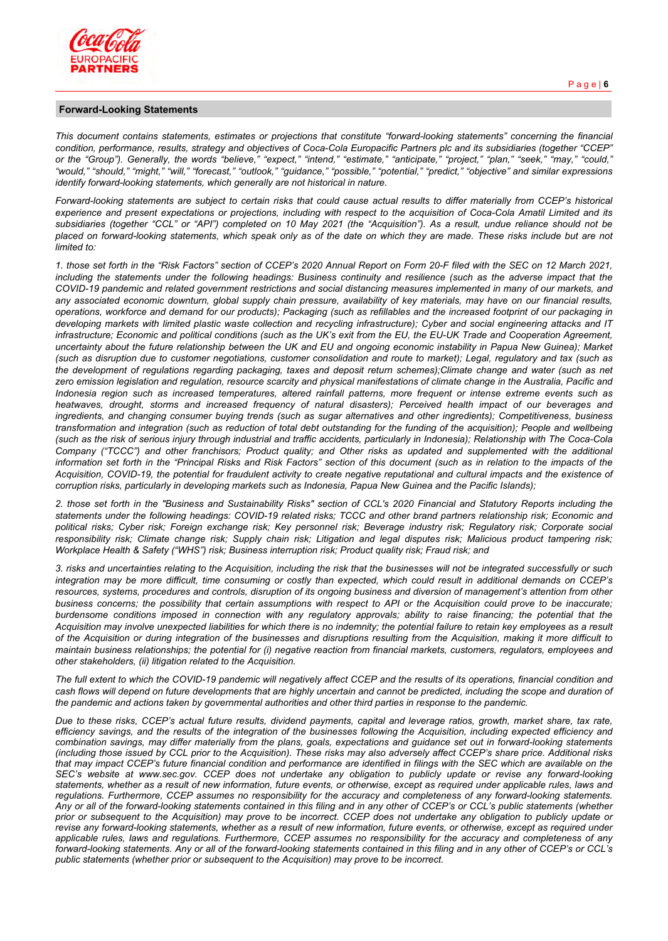



#### **Forward-Looking Statements**

*This document contains statements, estimates or projections that constitute "forward-looking statements" concerning the financial condition, performance, results, strategy and objectives of Coca-Cola Europacific Partners plc and its subsidiaries (together "CCEP" or the "Group"). Generally, the words "believe," "expect," "intend," "estimate," "anticipate," "project," "plan," "seek," "may," "could," "would," "should," "might," "will," "forecast," "outlook," "guidance," "possible," "potential," "predict," "objective" and similar expressions identify forward-looking statements, which generally are not historical in nature.* 

*Forward-looking statements are subject to certain risks that could cause actual results to differ materially from CCEP's historical experience and present expectations or projections, including with respect to the acquisition of Coca-Cola Amatil Limited and its subsidiaries (together "CCL" or "API") completed on 10 May 2021 (the "Acquisition"). As a result, undue reliance should not be placed on forward-looking statements, which speak only as of the date on which they are made. These risks include but are not limited to:* 

*1. those set forth in the "Risk Factors" section of CCEP's 2020 Annual Report on Form 20-F filed with the SEC on 12 March 2021,*  including the statements under the following headings: Business continuity and resilience (such as the adverse impact that the *COVID-19 pandemic and related government restrictions and social distancing measures implemented in many of our markets, and any associated economic downturn, global supply chain pressure, availability of key materials, may have on our financial results, operations, workforce and demand for our products); Packaging (such as refillables and the increased footprint of our packaging in developing markets with limited plastic waste collection and recycling infrastructure); Cyber and social engineering attacks and IT*  infrastructure; Economic and political conditions (such as the UK's exit from the EU, the EU-UK Trade and Cooperation Agreement, *uncertainty about the future relationship between the UK and EU and ongoing economic instability in Papua New Guinea); Market (such as disruption due to customer negotiations, customer consolidation and route to market); Legal, regulatory and tax (such as*  the development of regulations regarding packaging, taxes and deposit return schemes);Climate change and water (such as net *zero emission legislation and regulation, resource scarcity and physical manifestations of climate change in the Australia, Pacific and Indonesia region such as increased temperatures, altered rainfall patterns, more frequent or intense extreme events such as heatwaves, drought, storms and increased frequency of natural disasters); Perceived health impact of our beverages and ingredients, and changing consumer buying trends (such as sugar alternatives and other ingredients); Competitiveness, business transformation and integration (such as reduction of total debt outstanding for the funding of the acquisition); People and wellbeing (such as the risk of serious injury through industrial and traffic accidents, particularly in Indonesia); Relationship with The Coca-Cola Company ("TCCC") and other franchisors; Product quality; and Other risks as updated and supplemented with the additional*  information set forth in the "Principal Risks and Risk Factors" section of this document (such as in relation to the impacts of the *Acquisition, COVID-19, the potential for fraudulent activity to create negative reputational and cultural impacts and the existence of corruption risks, particularly in developing markets such as Indonesia, Papua New Guinea and the Pacific Islands);*

*2. those set forth in the "Business and Sustainability Risks" section of CCL's 2020 Financial and Statutory Reports including the statements under the following headings: COVID-19 related risks; TCCC and other brand partners relationship risk; Economic and political risks; Cyber risk; Foreign exchange risk; Key personnel risk; Beverage industry risk; Regulatory risk; Corporate social responsibility risk; Climate change risk; Supply chain risk; Litigation and legal disputes risk; Malicious product tampering risk; Workplace Health & Safety ("WHS") risk; Business interruption risk; Product quality risk; Fraud risk; and*

*3. risks and uncertainties relating to the Acquisition, including the risk that the businesses will not be integrated successfully or such integration may be more difficult, time consuming or costly than expected, which could result in additional demands on CCEP's resources, systems, procedures and controls, disruption of its ongoing business and diversion of management's attention from other business concerns; the possibility that certain assumptions with respect to API or the Acquisition could prove to be inaccurate; burdensome conditions imposed in connection with any regulatory approvals; ability to raise financing; the potential that the Acquisition may involve unexpected liabilities for which there is no indemnity; the potential failure to retain key employees as a result of the Acquisition or during integration of the businesses and disruptions resulting from the Acquisition, making it more difficult to maintain business relationships; the potential for (i) negative reaction from financial markets, customers, regulators, employees and other stakeholders, (ii) litigation related to the Acquisition.* 

*The full extent to which the COVID-19 pandemic will negatively affect CCEP and the results of its operations, financial condition and*  cash flows will depend on future developments that are highly uncertain and cannot be predicted, including the scope and duration of *the pandemic and actions taken by governmental authorities and other third parties in response to the pandemic.* 

*Due to these risks, CCEP's actual future results, dividend payments, capital and leverage ratios, growth, market share, tax rate, efficiency savings, and the results of the integration of the businesses following the Acquisition, including expected efficiency and combination savings, may differ materially from the plans, goals, expectations and guidance set out in forward-looking statements (including those issued by CCL prior to the Acquisition). These risks may also adversely affect CCEP's share price. Additional risks that may impact CCEP's future financial condition and performance are identified in filings with the SEC which are available on the SEC's website at www.sec.gov. CCEP does not undertake any obligation to publicly update or revise any forward-looking statements, whether as a result of new information, future events, or otherwise, except as required under applicable rules, laws and regulations. Furthermore, CCEP assumes no responsibility for the accuracy and completeness of any forward-looking statements. Any or all of the forward-looking statements contained in this filing and in any other of CCEP's or CCL's public statements (whether prior or subsequent to the Acquisition) may prove to be incorrect. CCEP does not undertake any obligation to publicly update or*  revise any forward-looking statements, whether as a result of new information, future events, or otherwise, except as required under *applicable rules, laws and regulations. Furthermore, CCEP assumes no responsibility for the accuracy and completeness of any forward-looking statements. Any or all of the forward-looking statements contained in this filing and in any other of CCEP's or CCL's public statements (whether prior or subsequent to the Acquisition) may prove to be incorrect.*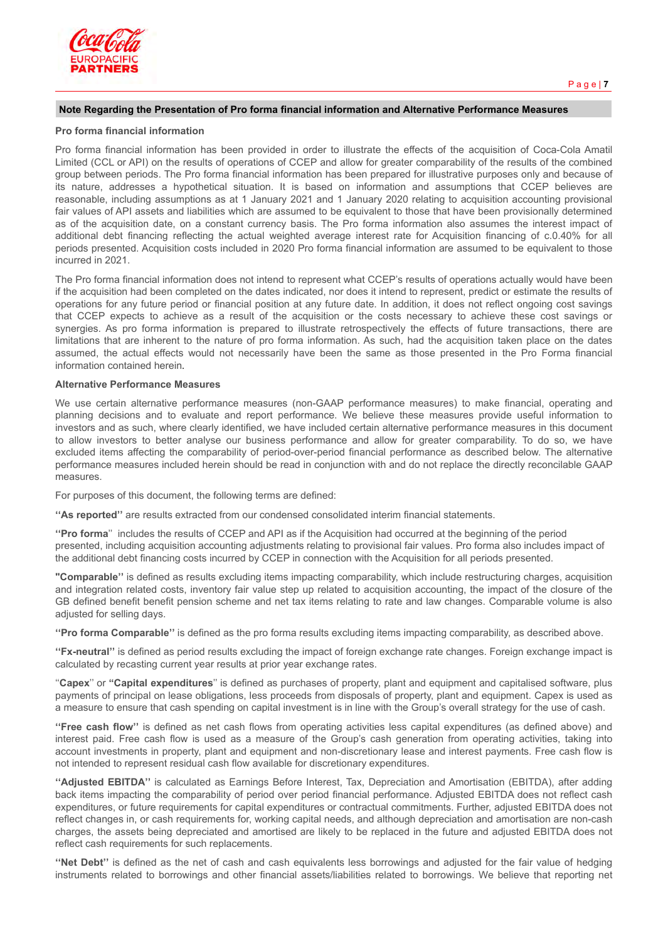

#### **Note Regarding the Presentation of Pro forma financial information and Alternative Performance Measures**

#### **Pro forma financial information**

Pro forma financial information has been provided in order to illustrate the effects of the acquisition of Coca-Cola Amatil Limited (CCL or API) on the results of operations of CCEP and allow for greater comparability of the results of the combined group between periods. The Pro forma financial information has been prepared for illustrative purposes only and because of its nature, addresses a hypothetical situation. It is based on information and assumptions that CCEP believes are reasonable, including assumptions as at 1 January 2021 and 1 January 2020 relating to acquisition accounting provisional fair values of API assets and liabilities which are assumed to be equivalent to those that have been provisionally determined as of the acquisition date, on a constant currency basis. The Pro forma information also assumes the interest impact of additional debt financing reflecting the actual weighted average interest rate for Acquisition financing of c.0.40% for all periods presented. Acquisition costs included in 2020 Pro forma financial information are assumed to be equivalent to those incurred in 2021.

The Pro forma financial information does not intend to represent what CCEP's results of operations actually would have been if the acquisition had been completed on the dates indicated, nor does it intend to represent, predict or estimate the results of operations for any future period or financial position at any future date. In addition, it does not reflect ongoing cost savings that CCEP expects to achieve as a result of the acquisition or the costs necessary to achieve these cost savings or synergies. As pro forma information is prepared to illustrate retrospectively the effects of future transactions, there are limitations that are inherent to the nature of pro forma information. As such, had the acquisition taken place on the dates assumed, the actual effects would not necessarily have been the same as those presented in the Pro Forma financial information contained herein.

#### **Alternative Performance Measures**

We use certain alternative performance measures (non-GAAP performance measures) to make financial, operating and planning decisions and to evaluate and report performance. We believe these measures provide useful information to investors and as such, where clearly identified, we have included certain alternative performance measures in this document to allow investors to better analyse our business performance and allow for greater comparability. To do so, we have excluded items affecting the comparability of period-over-period financial performance as described below. The alternative performance measures included herein should be read in conjunction with and do not replace the directly reconcilable GAAP measures.

For purposes of this document, the following terms are defined:

**''As reported''** are results extracted from our condensed consolidated interim financial statements.

**''Pro forma**'' includes the results of CCEP and API as if the Acquisition had occurred at the beginning of the period presented, including acquisition accounting adjustments relating to provisional fair values. Pro forma also includes impact of the additional debt financing costs incurred by CCEP in connection with the Acquisition for all periods presented.

**"Comparable''** is defined as results excluding items impacting comparability, which include restructuring charges, acquisition and integration related costs, inventory fair value step up related to acquisition accounting, the impact of the closure of the GB defined benefit benefit pension scheme and net tax items relating to rate and law changes. Comparable volume is also adjusted for selling days.

**''Pro forma Comparable''** is defined as the pro forma results excluding items impacting comparability, as described above.

**''Fx-neutral''** is defined as period results excluding the impact of foreign exchange rate changes. Foreign exchange impact is calculated by recasting current year results at prior year exchange rates.

''**Capex**'' or **"Capital expenditures**'' is defined as purchases of property, plant and equipment and capitalised software, plus payments of principal on lease obligations, less proceeds from disposals of property, plant and equipment. Capex is used as a measure to ensure that cash spending on capital investment is in line with the Group's overall strategy for the use of cash.

**''Free cash flow''** is defined as net cash flows from operating activities less capital expenditures (as defined above) and interest paid. Free cash flow is used as a measure of the Group's cash generation from operating activities, taking into account investments in property, plant and equipment and non-discretionary lease and interest payments. Free cash flow is not intended to represent residual cash flow available for discretionary expenditures.

**''Adjusted EBITDA''** is calculated as Earnings Before Interest, Tax, Depreciation and Amortisation (EBITDA), after adding back items impacting the comparability of period over period financial performance. Adjusted EBITDA does not reflect cash expenditures, or future requirements for capital expenditures or contractual commitments. Further, adjusted EBITDA does not reflect changes in, or cash requirements for, working capital needs, and although depreciation and amortisation are non-cash charges, the assets being depreciated and amortised are likely to be replaced in the future and adjusted EBITDA does not reflect cash requirements for such replacements.

**''Net Debt''** is defined as the net of cash and cash equivalents less borrowings and adjusted for the fair value of hedging instruments related to borrowings and other financial assets/liabilities related to borrowings. We believe that reporting net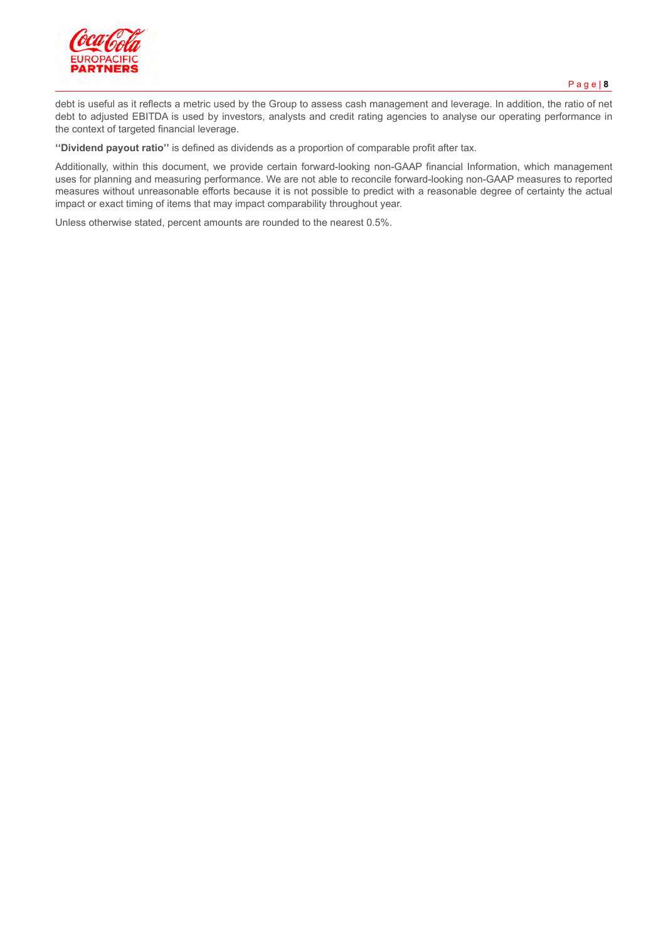

debt is useful as it reflects a metric used by the Group to assess cash management and leverage. In addition, the ratio of net debt to adjusted EBITDA is used by investors, analysts and credit rating agencies to analyse our operating performance in the context of targeted financial leverage.

**''Dividend payout ratio''** is defined as dividends as a proportion of comparable profit after tax.

Additionally, within this document, we provide certain forward-looking non-GAAP financial Information, which management uses for planning and measuring performance. We are not able to reconcile forward-looking non-GAAP measures to reported measures without unreasonable efforts because it is not possible to predict with a reasonable degree of certainty the actual impact or exact timing of items that may impact comparability throughout year.

Unless otherwise stated, percent amounts are rounded to the nearest 0.5%.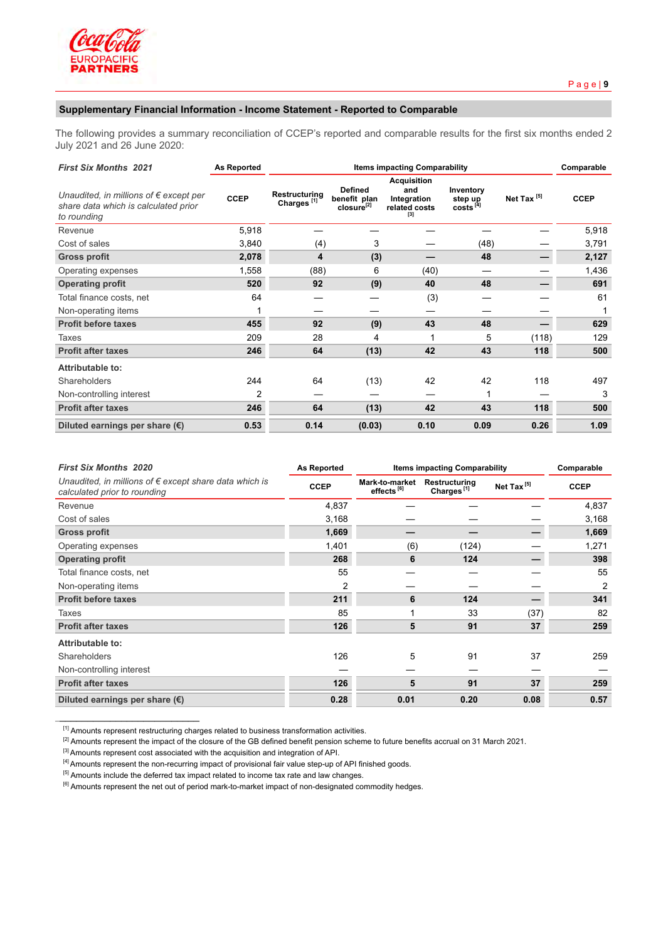

## **Supplementary Financial Information - Income Statement - Reported to Comparable**

The following provides a summary reconciliation of CCEP's reported and comparable results for the first six months ended 2 July 2021 and 26 June 2020:

| <b>First Six Months 2021</b>                                                                           | <b>As Reported</b> |                                         |                                                          | <b>Items impacting Comparability</b>                             |                                              |                        | Comparable  |
|--------------------------------------------------------------------------------------------------------|--------------------|-----------------------------------------|----------------------------------------------------------|------------------------------------------------------------------|----------------------------------------------|------------------------|-------------|
| Unaudited, in millions of $\epsilon$ except per<br>share data which is calculated prior<br>to rounding | <b>CCEP</b>        | Restructuring<br>Charges <sup>[1]</sup> | <b>Defined</b><br>benefit plan<br>closure <sup>[2]</sup> | <b>Acquisition</b><br>and<br>Integration<br>related costs<br>[3] | Inventory<br>step up<br>costs <sup>[4]</sup> | Net Tax <sup>[5]</sup> | <b>CCEP</b> |
| Revenue                                                                                                | 5,918              |                                         |                                                          |                                                                  |                                              |                        | 5,918       |
| Cost of sales                                                                                          | 3,840              | (4)                                     | 3                                                        |                                                                  | (48)                                         |                        | 3,791       |
| <b>Gross profit</b>                                                                                    | 2,078              | 4                                       | (3)                                                      |                                                                  | 48                                           |                        | 2,127       |
| Operating expenses                                                                                     | 1,558              | (88)                                    | 6                                                        | (40)                                                             |                                              |                        | 1,436       |
| <b>Operating profit</b>                                                                                | 520                | 92                                      | (9)                                                      | 40                                                               | 48                                           |                        | 691         |
| Total finance costs, net                                                                               | 64                 |                                         |                                                          | (3)                                                              |                                              |                        | 61          |
| Non-operating items                                                                                    |                    |                                         |                                                          |                                                                  |                                              |                        |             |
| <b>Profit before taxes</b>                                                                             | 455                | 92                                      | (9)                                                      | 43                                                               | 48                                           |                        | 629         |
| <b>Taxes</b>                                                                                           | 209                | 28                                      | 4                                                        | 1                                                                | 5                                            | (118)                  | 129         |
| <b>Profit after taxes</b>                                                                              | 246                | 64                                      | (13)                                                     | 42                                                               | 43                                           | 118                    | 500         |
| Attributable to:                                                                                       |                    |                                         |                                                          |                                                                  |                                              |                        |             |
| <b>Shareholders</b>                                                                                    | 244                | 64                                      | (13)                                                     | 42                                                               | 42                                           | 118                    | 497         |
| Non-controlling interest                                                                               | 2                  |                                         |                                                          |                                                                  |                                              |                        | 3           |
| <b>Profit after taxes</b>                                                                              | 246                | 64                                      | (13)                                                     | 42                                                               | 43                                           | 118                    | 500         |
| Diluted earnings per share $(\epsilon)$                                                                | 0.53               | 0.14                                    | (0.03)                                                   | 0.10                                                             | 0.09                                         | 0.26                   | 1.09        |

| <b>First Six Months 2020</b>                                                                    | <b>As Reported</b> | <b>Items impacting Comparability</b>            |                                         | Comparable             |             |
|-------------------------------------------------------------------------------------------------|--------------------|-------------------------------------------------|-----------------------------------------|------------------------|-------------|
| Unaudited, in millions of $\epsilon$ except share data which is<br>calculated prior to rounding | <b>CCEP</b>        | <b>Mark-to-market</b><br>effects <sup>[6]</sup> | Restructuring<br>Charges <sup>[1]</sup> | Net Tax <sup>[5]</sup> | <b>CCEP</b> |
| Revenue                                                                                         | 4,837              |                                                 |                                         |                        | 4,837       |
| Cost of sales                                                                                   | 3,168              |                                                 |                                         |                        | 3,168       |
| <b>Gross profit</b>                                                                             | 1,669              |                                                 |                                         |                        | 1,669       |
| Operating expenses                                                                              | 1,401              | (6)                                             | (124)                                   |                        | 1,271       |
| <b>Operating profit</b>                                                                         | 268                | 6                                               | 124                                     |                        | 398         |
| Total finance costs, net                                                                        | 55                 |                                                 |                                         |                        | 55          |
| Non-operating items                                                                             | $\overline{2}$     |                                                 |                                         |                        | 2           |
| <b>Profit before taxes</b>                                                                      | 211                | 6                                               | 124                                     |                        | 341         |
| Taxes                                                                                           | 85                 |                                                 | 33                                      | (37)                   | 82          |
| <b>Profit after taxes</b>                                                                       | 126                | 5                                               | 91                                      | 37                     | 259         |
| <b>Attributable to:</b>                                                                         |                    |                                                 |                                         |                        |             |
| Shareholders                                                                                    | 126                | 5                                               | 91                                      | 37                     | 259         |
| Non-controlling interest                                                                        |                    |                                                 |                                         |                        |             |
| <b>Profit after taxes</b>                                                                       | 126                | 5                                               | 91                                      | 37                     | 259         |
| Diluted earnings per share $(\epsilon)$                                                         | 0.28               | 0.01                                            | 0.20                                    | 0.08                   | 0.57        |

 $[1]$  Amounts represent restructuring charges related to business transformation activities.

<sup>[2]</sup> Amounts represent the impact of the closure of the GB defined benefit pension scheme to future benefits accrual on 31 March 2021.

[3] Amounts represent cost associated with the acquisition and integration of API.

 $\overline{\phantom{a}}$  , where the contract of the contract of the contract of the contract of the contract of the contract of the contract of the contract of the contract of the contract of the contract of the contract of the contr

[4] Amounts represent the non-recurring impact of provisional fair value step-up of API finished goods.

<sup>[6]</sup> Amounts represent the net out of period mark-to-market impact of non-designated commodity hedges.

<sup>&</sup>lt;sup>[5]</sup> Amounts include the deferred tax impact related to income tax rate and law changes.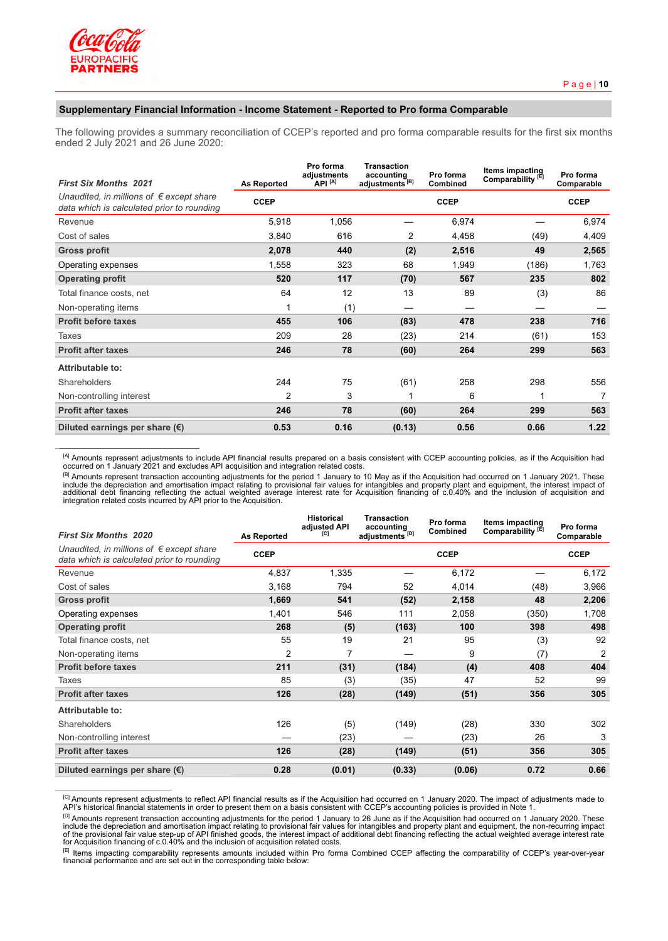

 $\overline{\phantom{a}}$  , where the contract of the contract of the contract of the contract of the contract of the contract of the contract of the contract of the contract of the contract of the contract of the contract of the contr

#### **Supplementary Financial Information - Income Statement - Reported to Pro forma Comparable**

The following provides a summary reconciliation of CCEP's reported and pro forma comparable results for the first six months ended 2 July 2021 and 26 June 2020:

| <b>First Six Months 2021</b>                                                                    | <b>As Reported</b> | Pro forma<br>adjustments<br>API <sup>[A]</sup> | <b>Transaction</b><br>accounting<br>adjustments <sup>[B]</sup> | Pro forma<br>Combined | Items impacting<br>Comparability <sup>[E]</sup> | Pro forma<br>Comparable |
|-------------------------------------------------------------------------------------------------|--------------------|------------------------------------------------|----------------------------------------------------------------|-----------------------|-------------------------------------------------|-------------------------|
| Unaudited, in millions of $\epsilon$ except share<br>data which is calculated prior to rounding | <b>CCEP</b>        |                                                |                                                                | <b>CCEP</b>           |                                                 | <b>CCEP</b>             |
| Revenue                                                                                         | 5,918              | 1,056                                          |                                                                | 6,974                 |                                                 | 6,974                   |
| Cost of sales                                                                                   | 3,840              | 616                                            | 2                                                              | 4,458                 | (49)                                            | 4,409                   |
| <b>Gross profit</b>                                                                             | 2,078              | 440                                            | (2)                                                            | 2,516                 | 49                                              | 2,565                   |
| Operating expenses                                                                              | 1,558              | 323                                            | 68                                                             | 1,949                 | (186)                                           | 1,763                   |
| <b>Operating profit</b>                                                                         | 520                | 117                                            | (70)                                                           | 567                   | 235                                             | 802                     |
| Total finance costs, net                                                                        | 64                 | 12                                             | 13                                                             | 89                    | (3)                                             | 86                      |
| Non-operating items                                                                             |                    | (1)                                            |                                                                |                       |                                                 |                         |
| <b>Profit before taxes</b>                                                                      | 455                | 106                                            | (83)                                                           | 478                   | 238                                             | 716                     |
| <b>Taxes</b>                                                                                    | 209                | 28                                             | (23)                                                           | 214                   | (61)                                            | 153                     |
| <b>Profit after taxes</b>                                                                       | 246                | 78                                             | (60)                                                           | 264                   | 299                                             | 563                     |
| <b>Attributable to:</b>                                                                         |                    |                                                |                                                                |                       |                                                 |                         |
| Shareholders                                                                                    | 244                | 75                                             | (61)                                                           | 258                   | 298                                             | 556                     |
| Non-controlling interest                                                                        | $\overline{2}$     | 3                                              |                                                                | 6                     | 1                                               | 7                       |
| <b>Profit after taxes</b>                                                                       | 246                | 78                                             | (60)                                                           | 264                   | 299                                             | 563                     |
| Diluted earnings per share $(\epsilon)$                                                         | 0.53               | 0.16                                           | (0.13)                                                         | 0.56                  | 0.66                                            | 1.22                    |

[A] Amounts represent adjustments to include API financial results prepared on a basis consistent with CCEP accounting policies, as if the Acquisition had occurred on 1 January 2021 and excludes API acquisition and integration related costs.

<sup>[B]</sup> Amounts represent transaction accounting adjustments for the period 1 January to 10 May as if the Acquisition had occurred on 1 January 2021. These include the depreciation and amortisation impact relating to provisional fair values for intangibles and property plant and equipment, the interest impact of<br>additional debt financing reflecting the actual weighted average

| <b>First Six Months 2020</b>                                                                    | <b>As Reported</b> | <b>Historical</b><br>adjusted API<br>[C] | <b>Transaction</b><br>accounting<br>adjustments <sup>[D]</sup> | Pro forma<br>Combined | Items impacting<br>Comparability <sup>[E]</sup> | Pro forma<br>Comparable |
|-------------------------------------------------------------------------------------------------|--------------------|------------------------------------------|----------------------------------------------------------------|-----------------------|-------------------------------------------------|-------------------------|
| Unaudited, in millions of $\epsilon$ except share<br>data which is calculated prior to rounding | <b>CCEP</b>        |                                          |                                                                | <b>CCEP</b>           |                                                 | <b>CCEP</b>             |
| Revenue                                                                                         | 4,837              | 1,335                                    |                                                                | 6,172                 |                                                 | 6,172                   |
| Cost of sales                                                                                   | 3,168              | 794                                      | 52                                                             | 4,014                 | (48)                                            | 3,966                   |
| <b>Gross profit</b>                                                                             | 1,669              | 541                                      | (52)                                                           | 2,158                 | 48                                              | 2,206                   |
| Operating expenses                                                                              | 1,401              | 546                                      | 111                                                            | 2,058                 | (350)                                           | 1,708                   |
| <b>Operating profit</b>                                                                         | 268                | (5)                                      | (163)                                                          | 100                   | 398                                             | 498                     |
| Total finance costs, net                                                                        | 55                 | 19                                       | 21                                                             | 95                    | (3)                                             | 92                      |
| Non-operating items                                                                             | $\overline{2}$     | 7                                        |                                                                | 9                     | (7)                                             | 2                       |
| <b>Profit before taxes</b>                                                                      | 211                | (31)                                     | (184)                                                          | (4)                   | 408                                             | 404                     |
| <b>Taxes</b>                                                                                    | 85                 | (3)                                      | (35)                                                           | 47                    | 52                                              | 99                      |
| <b>Profit after taxes</b>                                                                       | 126                | (28)                                     | (149)                                                          | (51)                  | 356                                             | 305                     |
| <b>Attributable to:</b>                                                                         |                    |                                          |                                                                |                       |                                                 |                         |
| Shareholders                                                                                    | 126                | (5)                                      | (149)                                                          | (28)                  | 330                                             | 302                     |
| Non-controlling interest                                                                        |                    | (23)                                     |                                                                | (23)                  | 26                                              | 3                       |
| <b>Profit after taxes</b>                                                                       | 126                | (28)                                     | (149)                                                          | (51)                  | 356                                             | 305                     |
| Diluted earnings per share $(\epsilon)$                                                         | 0.28               | (0.01)                                   | (0.33)                                                         | (0.06)                | 0.72                                            | 0.66                    |

<sup>[C]</sup> Amounts represent adjustments to reflect API financial results as if the Acquisition had occurred on 1 January 2020. The impact of adjustments made to API's historical financial statements in order to present them on a basis consistent with CCEP's accounting policies is provided in Note 1.

<sup>[D]</sup> Amounts represent transaction accounting adjustments for the period 1 January to 26 June as if the Acquisition had occurred on 1 January 2020. These<br>include the depreciation and amortisation impact relating to provis

<sup>[E]</sup> Items impacting comparability represents amounts included within Pro forma Combined CCEP affecting the comparability of CCEP's year-over-year financial performance and are set out in the corresponding table below: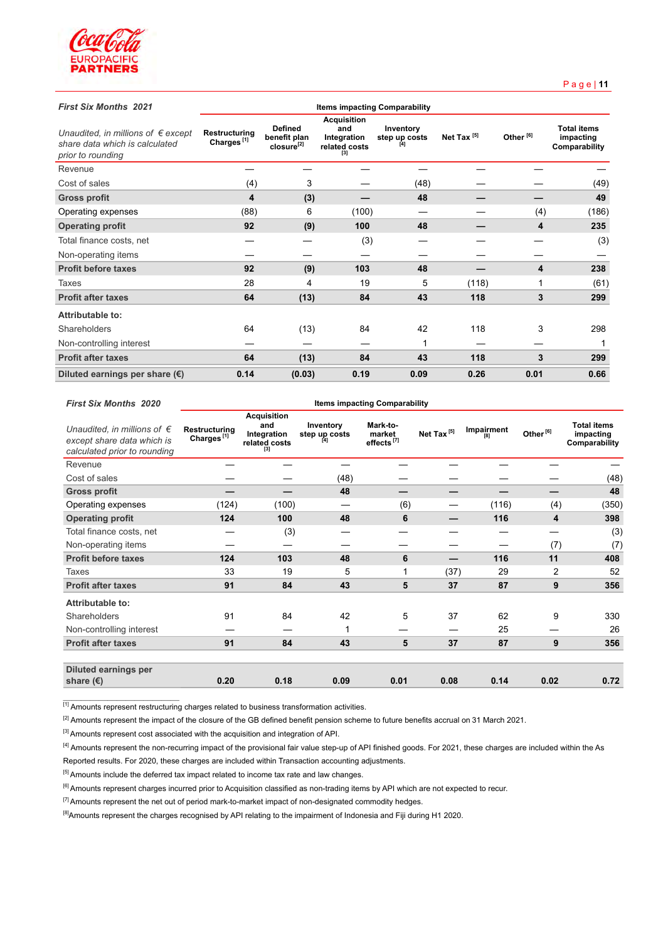

| <b>First Six Months 2021</b>                                                                       | <b>Items impacting Comparability</b>    |                                                          |                                                                  |                            |                        |                      |                                                  |  |
|----------------------------------------------------------------------------------------------------|-----------------------------------------|----------------------------------------------------------|------------------------------------------------------------------|----------------------------|------------------------|----------------------|--------------------------------------------------|--|
| Unaudited, in millions of $\epsilon$ except<br>share data which is calculated<br>prior to rounding | Restructuring<br>Charges <sup>[1]</sup> | <b>Defined</b><br>benefit plan<br>closure <sup>[2]</sup> | <b>Acquisition</b><br>and<br>Integration<br>related costs<br>[3] | Inventory<br>step up costs | Net Tax <sup>[5]</sup> | Other <sup>[6]</sup> | <b>Total items</b><br>impacting<br>Comparability |  |
| Revenue                                                                                            |                                         |                                                          |                                                                  |                            |                        |                      |                                                  |  |
| Cost of sales                                                                                      | (4)                                     | 3                                                        |                                                                  | (48)                       |                        |                      | (49)                                             |  |
| <b>Gross profit</b>                                                                                | 4                                       | (3)                                                      |                                                                  | 48                         |                        |                      | 49                                               |  |
| Operating expenses                                                                                 | (88)                                    | 6                                                        | (100)                                                            |                            |                        | (4)                  | (186)                                            |  |
| <b>Operating profit</b>                                                                            | 92                                      | (9)                                                      | 100                                                              | 48                         |                        | 4                    | 235                                              |  |
| Total finance costs, net                                                                           |                                         |                                                          | (3)                                                              |                            |                        |                      | (3)                                              |  |
| Non-operating items                                                                                |                                         |                                                          |                                                                  |                            |                        |                      |                                                  |  |
| <b>Profit before taxes</b>                                                                         | 92                                      | (9)                                                      | 103                                                              | 48                         |                        | 4                    | 238                                              |  |
| <b>Taxes</b>                                                                                       | 28                                      | 4                                                        | 19                                                               | 5                          | (118)                  | 1                    | (61)                                             |  |
| <b>Profit after taxes</b>                                                                          | 64                                      | (13)                                                     | 84                                                               | 43                         | 118                    | 3                    | 299                                              |  |
| Attributable to:                                                                                   |                                         |                                                          |                                                                  |                            |                        |                      |                                                  |  |
| Shareholders                                                                                       | 64                                      | (13)                                                     | 84                                                               | 42                         | 118                    | 3                    | 298                                              |  |
| Non-controlling interest                                                                           |                                         |                                                          |                                                                  | 1                          |                        |                      |                                                  |  |
| <b>Profit after taxes</b>                                                                          | 64                                      | (13)                                                     | 84                                                               | 43                         | 118                    | 3                    | 299                                              |  |
| Diluted earnings per share $(\epsilon)$                                                            | 0.14                                    | (0.03)                                                   | 0.19                                                             | 0.09                       | 0.26                   | 0.01                 | 0.66                                             |  |

| <b>First Six Months 2020</b>                                                                       | <b>Items impacting Comparability</b>    |                                                                    |                            |                                              |                        |                   |                      |                                                  |
|----------------------------------------------------------------------------------------------------|-----------------------------------------|--------------------------------------------------------------------|----------------------------|----------------------------------------------|------------------------|-------------------|----------------------|--------------------------------------------------|
| Unaudited, in millions of $\epsilon$<br>except share data which is<br>calculated prior to rounding | Restructuring<br>Charges <sup>[1]</sup> | <b>Acquisition</b><br>and<br>Integration<br>related costs<br>$[3]$ | Inventory<br>step up costs | Mark-to-<br>market<br>effects <sup>[7]</sup> | Net Tax <sup>[5]</sup> | Impairment<br>[8] | Other <sup>[6]</sup> | <b>Total items</b><br>impacting<br>Comparability |
| Revenue                                                                                            |                                         |                                                                    |                            |                                              |                        |                   |                      |                                                  |
| Cost of sales                                                                                      |                                         |                                                                    | (48)                       |                                              |                        |                   |                      | (48)                                             |
| <b>Gross profit</b>                                                                                |                                         |                                                                    | 48                         |                                              |                        |                   |                      | 48                                               |
| Operating expenses                                                                                 | (124)                                   | (100)                                                              |                            | (6)                                          |                        | (116)             | (4)                  | (350)                                            |
| <b>Operating profit</b>                                                                            | 124                                     | 100                                                                | 48                         | 6                                            |                        | 116               | 4                    | 398                                              |
| Total finance costs, net                                                                           |                                         | (3)                                                                |                            |                                              |                        |                   |                      | (3)                                              |
| Non-operating items                                                                                |                                         | —                                                                  |                            |                                              |                        |                   | (7)                  | (7)                                              |
| <b>Profit before taxes</b>                                                                         | 124                                     | 103                                                                | 48                         | 6                                            |                        | 116               | 11                   | 408                                              |
| Taxes                                                                                              | 33                                      | 19                                                                 | 5                          | 1                                            | (37)                   | 29                | $\overline{2}$       | 52                                               |
| <b>Profit after taxes</b>                                                                          | 91                                      | 84                                                                 | 43                         | 5                                            | 37                     | 87                | 9                    | 356                                              |
| Attributable to:                                                                                   |                                         |                                                                    |                            |                                              |                        |                   |                      |                                                  |
| Shareholders                                                                                       | 91                                      | 84                                                                 | 42                         | 5                                            | 37                     | 62                | 9                    | 330                                              |
| Non-controlling interest                                                                           |                                         |                                                                    |                            |                                              |                        | 25                |                      | 26                                               |
| <b>Profit after taxes</b>                                                                          | 91                                      | 84                                                                 | 43                         | 5                                            | 37                     | 87                | 9                    | 356                                              |
| <b>Diluted earnings per</b>                                                                        |                                         |                                                                    |                            |                                              |                        |                   |                      |                                                  |
| share $(\epsilon)$                                                                                 | 0.20                                    | 0.18                                                               | 0.09                       | 0.01                                         | 0.08                   | 0.14              | 0.02                 | 0.72                                             |

 $\mathcal{L}=\mathcal{L}=\mathcal{L}=\mathcal{L}=\mathcal{L}=\mathcal{L}=\mathcal{L}=\mathcal{L}=\mathcal{L}=\mathcal{L}=\mathcal{L}=\mathcal{L}=\mathcal{L}=\mathcal{L}=\mathcal{L}=\mathcal{L}=\mathcal{L}=\mathcal{L}=\mathcal{L}=\mathcal{L}=\mathcal{L}=\mathcal{L}=\mathcal{L}=\mathcal{L}=\mathcal{L}=\mathcal{L}=\mathcal{L}=\mathcal{L}=\mathcal{L}=\mathcal{L}=\mathcal{L}=\mathcal{L}=\mathcal{L}=\mathcal{L}=\mathcal{L}=\mathcal{L}=\mathcal{$ <sup>[1]</sup> Amounts represent restructuring charges related to business transformation activities.

<sup>[2]</sup> Amounts represent the impact of the closure of the GB defined benefit pension scheme to future benefits accrual on 31 March 2021.

[3] Amounts represent cost associated with the acquisition and integration of API.

<sup>[4]</sup> Amounts represent the non-recurring impact of the provisional fair value step-up of API finished goods. For 2021, these charges are included within the As

Reported results. For 2020, these charges are included within Transaction accounting adjustments.

<sup>[5]</sup> Amounts include the deferred tax impact related to income tax rate and law changes.

<sup>[6]</sup> Amounts represent charges incurred prior to Acquisition classified as non-trading items by API which are not expected to recur.

<sup>[7]</sup> Amounts represent the net out of period mark-to-market impact of non-designated commodity hedges.

<sup>[8]</sup> Amounts represent the charges recognised by API relating to the impairment of Indonesia and Fiji during H1 2020.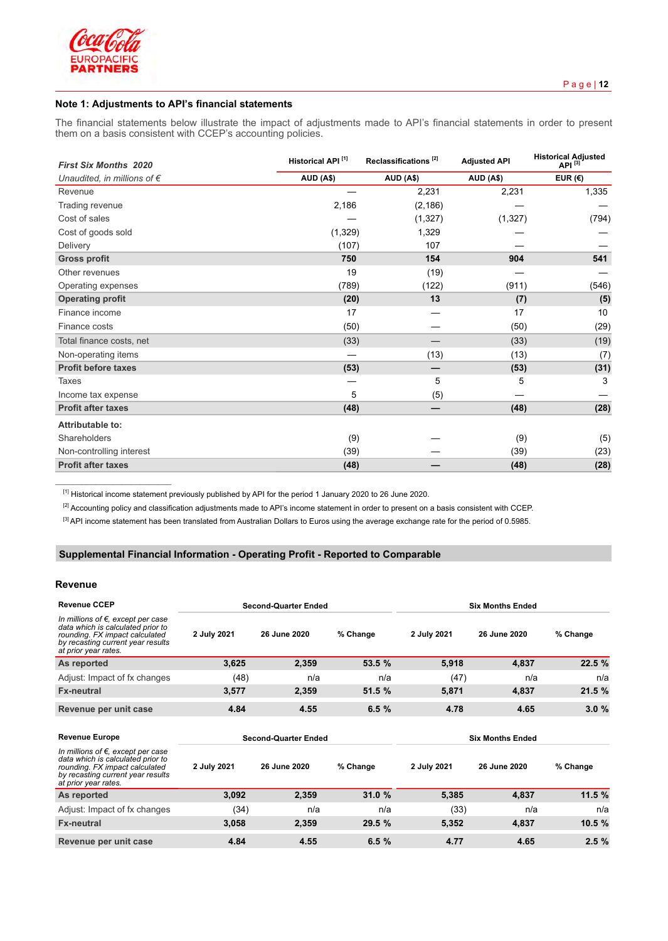

### **Note 1: Adjustments to API's financial statements**

The financial statements below illustrate the impact of adjustments made to API's financial statements in order to present them on a basis consistent with CCEP's accounting policies.

| <b>First Six Months 2020</b>         | Historical API <sup>[1]</sup> | Reclassifications <sup>[2]</sup> | <b>Adjusted API</b> | <b>Historical Adjusted</b><br>$API^{[3]}$ |
|--------------------------------------|-------------------------------|----------------------------------|---------------------|-------------------------------------------|
| Unaudited, in millions of $\epsilon$ | AUD (A\$)                     | <b>AUD (A\$)</b>                 | AUD (A\$)           | EUR $(\epsilon)$                          |
| Revenue                              |                               | 2,231                            | 2,231               | 1,335                                     |
| Trading revenue                      | 2,186                         | (2, 186)                         |                     |                                           |
| Cost of sales                        |                               | (1, 327)                         | (1, 327)            | (794)                                     |
| Cost of goods sold                   | (1,329)                       | 1,329                            |                     |                                           |
| Delivery                             | (107)                         | 107                              |                     |                                           |
| <b>Gross profit</b>                  | 750                           | 154                              | 904                 | 541                                       |
| Other revenues                       | 19                            | (19)                             |                     |                                           |
| Operating expenses                   | (789)                         | (122)                            | (911)               | (546)                                     |
| <b>Operating profit</b>              | (20)                          | 13                               | (7)                 | (5)                                       |
| Finance income                       | 17                            |                                  | 17                  | 10                                        |
| Finance costs                        | (50)                          |                                  | (50)                | (29)                                      |
| Total finance costs, net             | (33)                          |                                  | (33)                | (19)                                      |
| Non-operating items                  |                               | (13)                             | (13)                | (7)                                       |
| <b>Profit before taxes</b>           | (53)                          |                                  | (53)                | (31)                                      |
| <b>Taxes</b>                         |                               | 5                                | 5                   | 3                                         |
| Income tax expense                   | 5                             | (5)                              |                     |                                           |
| <b>Profit after taxes</b>            | (48)                          |                                  | (48)                | (28)                                      |
| <b>Attributable to:</b>              |                               |                                  |                     |                                           |
| Shareholders                         | (9)                           |                                  | (9)                 | (5)                                       |
| Non-controlling interest             | (39)                          |                                  | (39)                | (23)                                      |
| <b>Profit after taxes</b>            | (48)                          |                                  | (48)                | (28)                                      |

[1] Historical income statement previously published by API for the period 1 January 2020 to 26 June 2020.

<sup>[2]</sup> Accounting policy and classification adjustments made to API's income statement in order to present on a basis consistent with CCEP.

<sup>[3]</sup> API income statement has been translated from Australian Dollars to Euros using the average exchange rate for the period of 0.5985.

## **Supplemental Financial Information - Operating Profit - Reported to Comparable**

#### **Revenue**

| <b>Revenue CCEP</b>                                                                                                                                                             |             | <b>Second-Quarter Ended</b> |          | <b>Six Months Ended</b> |              |          |  |
|---------------------------------------------------------------------------------------------------------------------------------------------------------------------------------|-------------|-----------------------------|----------|-------------------------|--------------|----------|--|
| In millions of $\epsilon$ , except per case<br>data which is calculated prior to<br>rounding. FX impact calculated<br>by recasting current year results<br>at prior year rates. | 2 July 2021 | 26 June 2020                | % Change | 2 July 2021             | 26 June 2020 | % Change |  |
| As reported                                                                                                                                                                     | 3,625       | 2,359                       | 53.5 %   | 5,918                   | 4,837        | 22.5 %   |  |
| Adjust: Impact of fx changes                                                                                                                                                    | (48)        | n/a                         | n/a      | (47)                    | n/a          | n/a      |  |
| <b>Fx-neutral</b>                                                                                                                                                               | 3,577       | 2,359                       | 51.5 %   | 5,871                   | 4,837        | 21.5%    |  |
| Revenue per unit case                                                                                                                                                           | 4.84        | 4.55                        | 6.5%     | 4.78                    | 4.65         | 3.0%     |  |
| <b>Revenue Europe</b>                                                                                                                                                           |             | <b>Second-Quarter Ended</b> |          | <b>Six Months Ended</b> |              |          |  |
| In millions of $\epsilon$ , except per case<br>data which is calculated prior to<br>rounding. FX impact calculated<br>by recasting current year results<br>at prior year rates. | 2 July 2021 | 26 June 2020                | % Change | 2 July 2021             | 26 June 2020 | % Change |  |
| As reported                                                                                                                                                                     | 3,092       | 2,359                       | 31.0%    | 5,385                   | 4,837        | 11.5 %   |  |
| Adjust: Impact of fx changes                                                                                                                                                    | (34)        | n/a                         | n/a      | (33)                    | n/a          | n/a      |  |
| <b>Fx-neutral</b>                                                                                                                                                               | 3,058       | 2,359                       | 29.5 %   | 5,352                   | 4,837        | 10.5 %   |  |
| Revenue per unit case                                                                                                                                                           | 4.84        | 4.55                        | 6.5%     | 4.77                    | 4.65         | 2.5%     |  |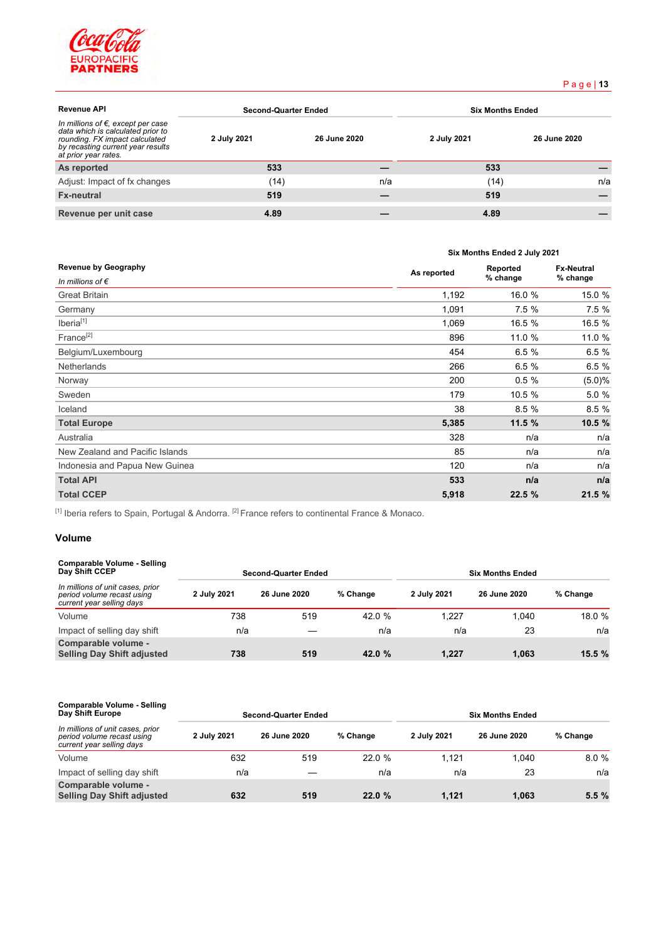

| <b>Revenue API</b>                                                                                                                                                              | <b>Second-Quarter Ended</b> |              |             | <b>Six Months Ended</b> |  |  |
|---------------------------------------------------------------------------------------------------------------------------------------------------------------------------------|-----------------------------|--------------|-------------|-------------------------|--|--|
| In millions of $\epsilon$ , except per case<br>data which is calculated prior to<br>rounding. FX impact calculated<br>by recasting current year results<br>at prior year rates. | 2 July 2021                 | 26 June 2020 | 2 July 2021 | 26 June 2020            |  |  |
| As reported                                                                                                                                                                     | 533                         |              | 533         |                         |  |  |
| Adjust: Impact of fx changes                                                                                                                                                    | (14)                        | n/a          | (14)        | n/a                     |  |  |
| <b>Fx-neutral</b>                                                                                                                                                               | 519                         |              | 519         |                         |  |  |
| Revenue per unit case                                                                                                                                                           | 4.89                        |              | 4.89        |                         |  |  |

|                                                          | Six Months Ended 2 July 2021 |                      |                               |  |
|----------------------------------------------------------|------------------------------|----------------------|-------------------------------|--|
| <b>Revenue by Geography</b><br>In millions of $\epsilon$ | As reported                  | Reported<br>% change | <b>Fx-Neutral</b><br>% change |  |
|                                                          |                              |                      |                               |  |
| <b>Great Britain</b>                                     | 1,192                        | 16.0 %               | 15.0 %                        |  |
| Germany                                                  | 1,091                        | 7.5%                 | 7.5 %                         |  |
| Iberia <sup>[1]</sup>                                    | 1,069                        | 16.5 %               | 16.5 %                        |  |
| France <sup>[2]</sup>                                    | 896                          | 11.0 %               | 11.0 %                        |  |
| Belgium/Luxembourg                                       | 454                          | 6.5%                 | 6.5%                          |  |
| <b>Netherlands</b>                                       | 266                          | 6.5%                 | 6.5%                          |  |
| Norway                                                   | 200                          | 0.5%                 | (5.0)%                        |  |
| Sweden                                                   | 179                          | 10.5 %               | 5.0 %                         |  |
| Iceland                                                  | 38                           | 8.5%                 | 8.5%                          |  |
| <b>Total Europe</b>                                      | 5,385                        | 11.5 %               | 10.5 %                        |  |
| Australia                                                | 328                          | n/a                  | n/a                           |  |
| New Zealand and Pacific Islands                          | 85                           | n/a                  | n/a                           |  |
| Indonesia and Papua New Guinea                           | 120                          | n/a                  | n/a                           |  |
| <b>Total API</b>                                         | 533                          | n/a                  | n/a                           |  |
| <b>Total CCEP</b>                                        | 5,918                        | 22.5 %               | 21.5 %                        |  |

[1] Iberia refers to Spain, Portugal & Andorra. <sup>[2]</sup> France refers to continental France & Monaco.

## **Volume**

# **Comparable Volume - Selling Day Shift CCEP**

| Day Shift CCEP                                                                              | <b>Second-Quarter Ended</b> |                     |          | <b>Six Months Ended</b> |              |          |
|---------------------------------------------------------------------------------------------|-----------------------------|---------------------|----------|-------------------------|--------------|----------|
| In millions of unit cases, prior<br>period volume recast using<br>current year selling days | 2 July 2021                 | <b>26 June 2020</b> | % Change | 2 July 2021             | 26 June 2020 | % Change |
| Volume                                                                                      | 738                         | 519                 | 42.0 %   | 1.227                   | 1.040        | 18.0 %   |
| Impact of selling day shift                                                                 | n/a                         |                     | n/a      | n/a                     | 23           | n/a      |
| Comparable volume -<br><b>Selling Day Shift adjusted</b>                                    | 738                         | 519                 | 42.0 $%$ | 1.227                   | 1,063        | 15.5%    |

| Comparable Volume - Selling<br>Day Shift Europe                                             | <b>Second-Quarter Ended</b> |                     |          | <b>Six Months Ended</b> |                     |          |
|---------------------------------------------------------------------------------------------|-----------------------------|---------------------|----------|-------------------------|---------------------|----------|
| In millions of unit cases, prior<br>period volume recast using<br>current year selling days | 2 July 2021                 | <b>26 June 2020</b> | % Change | 2 July 2021             | <b>26 June 2020</b> | % Change |
| Volume                                                                                      | 632                         | 519                 | 22.0%    | 1.121                   | 1.040               | 8.0%     |
| Impact of selling day shift                                                                 | n/a                         |                     | n/a      | n/a                     | 23                  | n/a      |
| Comparable volume -<br>Selling Day Shift adjusted                                           | 632                         | 519                 | 22.0%    | 1.121                   | 1.063               | 5.5%     |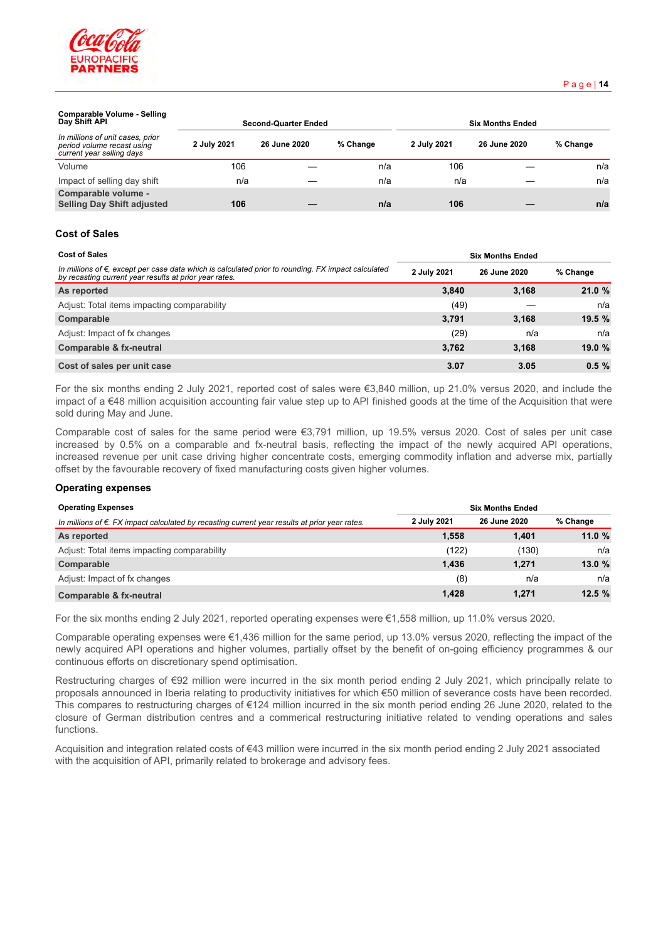

### **Comparable Volume - Selling**

| Day Shift API                                                                               | <b>Second-Quarter Ended</b> |              |          | <b>Six Months Ended</b> |              |          |
|---------------------------------------------------------------------------------------------|-----------------------------|--------------|----------|-------------------------|--------------|----------|
| In millions of unit cases, prior<br>period volume recast using<br>current year selling days | 2 July 2021                 | 26 June 2020 | % Change | 2 July 2021             | 26 June 2020 | % Change |
| Volume                                                                                      | 106                         |              | n/a      | 106                     |              | n/a      |
| Impact of selling day shift                                                                 | n/a                         |              | n/a      | n/a                     |              | n/a      |
| Comparable volume -<br><b>Selling Day Shift adjusted</b>                                    | 106                         |              | n/a      | 106                     |              | n/a      |

#### **Cost of Sales**

| <b>Cost of Sales</b>                                                                                                                                                   | <b>Six Months Ended</b> |                     |          |  |
|------------------------------------------------------------------------------------------------------------------------------------------------------------------------|-------------------------|---------------------|----------|--|
| In millions of $\epsilon$ , except per case data which is calculated prior to rounding. FX impact calculated<br>by recasting current year results at prior year rates. | 2 July 2021             | <b>26 June 2020</b> | % Change |  |
| As reported                                                                                                                                                            | 3,840                   | 3,168               | 21.0 %   |  |
| Adjust: Total items impacting comparability                                                                                                                            | (49)                    |                     | n/a      |  |
| Comparable                                                                                                                                                             | 3.791                   | 3,168               | 19.5 %   |  |
| Adjust: Impact of fx changes                                                                                                                                           | (29)                    | n/a                 | n/a      |  |
| Comparable & fx-neutral                                                                                                                                                | 3,762                   | 3,168               | 19.0 %   |  |
| Cost of sales per unit case                                                                                                                                            | 3.07                    | 3.05                | 0.5%     |  |

For the six months ending 2 July 2021, reported cost of sales were €3,840 million, up 21.0% versus 2020, and include the impact of a €48 million acquisition accounting fair value step up to API finished goods at the time of the Acquisition that were sold during May and June.

Comparable cost of sales for the same period were €3,791 million, up 19.5% versus 2020. Cost of sales per unit case increased by 0.5% on a comparable and fx-neutral basis, reflecting the impact of the newly acquired API operations, increased revenue per unit case driving higher concentrate costs, emerging commodity inflation and adverse mix, partially offset by the favourable recovery of fixed manufacturing costs given higher volumes.

#### **Operating expenses**

| <b>Operating Expenses</b>                                                                               | <b>Six Months Ended</b> |              |          |  |
|---------------------------------------------------------------------------------------------------------|-------------------------|--------------|----------|--|
| In millions of $\epsilon$ . FX impact calculated by recasting current year results at prior year rates. | 2 July 2021             | 26 June 2020 | % Change |  |
| As reported                                                                                             | 1.558                   | 1.401        | 11.0%    |  |
| Adjust: Total items impacting comparability                                                             | (122)                   | (130)        | n/a      |  |
| Comparable                                                                                              | 1.436                   | 1.271        | 13.0%    |  |
| Adjust: Impact of fx changes                                                                            | (8)                     | n/a          | n/a      |  |
| Comparable & fx-neutral                                                                                 | 1.428                   | 1.271        | 12.5%    |  |

For the six months ending 2 July 2021, reported operating expenses were €1,558 million, up 11.0% versus 2020.

Comparable operating expenses were €1,436 million for the same period, up 13.0% versus 2020, reflecting the impact of the newly acquired API operations and higher volumes, partially offset by the benefit of on-going efficiency programmes & our continuous efforts on discretionary spend optimisation.

Restructuring charges of €92 million were incurred in the six month period ending 2 July 2021, which principally relate to proposals announced in Iberia relating to productivity initiatives for which €50 million of severance costs have been recorded. This compares to restructuring charges of €124 million incurred in the six month period ending 26 June 2020, related to the closure of German distribution centres and a commerical restructuring initiative related to vending operations and sales functions.

Acquisition and integration related costs of €43 million were incurred in the six month period ending 2 July 2021 associated with the acquisition of API, primarily related to brokerage and advisory fees.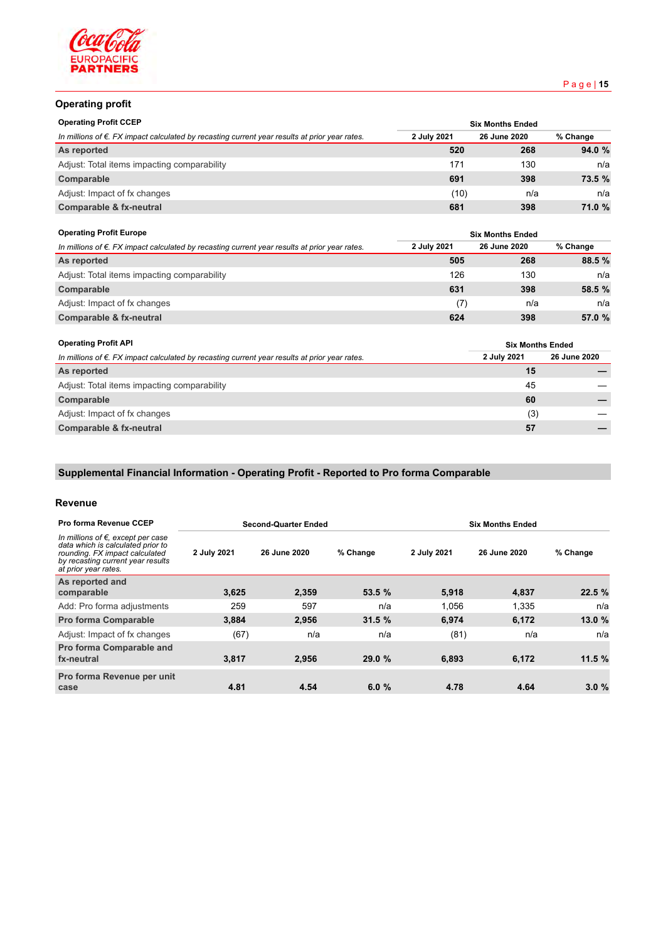

## **Operating profit**

| <b>Operating Profit CCEP</b>                                                                            | <b>Six Months Ended</b> |                     |          |  |
|---------------------------------------------------------------------------------------------------------|-------------------------|---------------------|----------|--|
| In millions of $\epsilon$ . FX impact calculated by recasting current year results at prior year rates. | 2 July 2021             | <b>26 June 2020</b> | % Change |  |
| As reported                                                                                             | 520                     | 268                 | 94.0%    |  |
| Adjust: Total items impacting comparability                                                             | 171                     | 130                 | n/a      |  |
| Comparable                                                                                              | 691                     | 398                 | 73.5 %   |  |
| Adjust: Impact of fx changes                                                                            | (10)                    | n/a                 | n/a      |  |
| Comparable & fx-neutral                                                                                 | 681                     | 398                 | 71.0 %   |  |

| <b>Operating Profit Europe</b>                                                                          | <b>Six Months Ended</b> |                         |              |  |
|---------------------------------------------------------------------------------------------------------|-------------------------|-------------------------|--------------|--|
| In millions of $\epsilon$ . FX impact calculated by recasting current year results at prior year rates. | 2 July 2021             | 26 June 2020            | % Change     |  |
| As reported                                                                                             | 505                     | 268                     | 88.5 %       |  |
| Adjust: Total items impacting comparability                                                             | 126                     | 130                     | n/a          |  |
| Comparable                                                                                              | 631                     | 398                     | 58.5 %       |  |
| Adjust: Impact of fx changes                                                                            | (7)                     | n/a                     | n/a          |  |
| Comparable & fx-neutral                                                                                 | 624                     | 398                     | 57.0 %       |  |
|                                                                                                         |                         |                         |              |  |
| <b>Operating Profit API</b>                                                                             |                         | <b>Six Months Ended</b> |              |  |
| In millions of $\epsilon$ . FX impact calculated by recasting current year results at prior year rates. |                         | 2 July 2021             | 26 June 2020 |  |
| As reported                                                                                             |                         | 15                      |              |  |
| Adjust: Total items impacting comparability                                                             |                         | 45                      |              |  |
| Comparable                                                                                              |                         | 60                      |              |  |
| Adjust: Impact of fx changes                                                                            |                         | (3)                     |              |  |
| Comparable & fx-neutral                                                                                 |                         | 57                      |              |  |

# **Supplemental Financial Information - Operating Profit - Reported to Pro forma Comparable**

### **Revenue**

| Pro forma Revenue CCEP                                                                                                                                                          | <b>Second-Quarter Ended</b> |              |          | <b>Six Months Ended</b> |              |          |
|---------------------------------------------------------------------------------------------------------------------------------------------------------------------------------|-----------------------------|--------------|----------|-------------------------|--------------|----------|
| In millions of $\epsilon$ , except per case<br>data which is calculated prior to<br>rounding. FX impact calculated<br>by recasting current year results<br>at prior year rates. | 2 July 2021                 | 26 June 2020 | % Change | 2 July 2021             | 26 June 2020 | % Change |
| As reported and                                                                                                                                                                 |                             |              |          |                         |              |          |
| comparable                                                                                                                                                                      | 3,625                       | 2,359        | 53.5%    | 5,918                   | 4,837        | 22.5%    |
| Add: Pro forma adjustments                                                                                                                                                      | 259                         | 597          | n/a      | 1.056                   | 1,335        | n/a      |
| <b>Pro forma Comparable</b>                                                                                                                                                     | 3.884                       | 2,956        | 31.5%    | 6,974                   | 6,172        | 13.0%    |
| Adjust: Impact of fx changes                                                                                                                                                    | (67)                        | n/a          | n/a      | (81)                    | n/a          | n/a      |
| Pro forma Comparable and<br>fx-neutral                                                                                                                                          | 3,817                       | 2,956        | 29.0%    | 6,893                   | 6,172        | 11.5%    |
| Pro forma Revenue per unit<br>case                                                                                                                                              | 4.81                        | 4.54         | 6.0%     | 4.78                    | 4.64         | 3.0%     |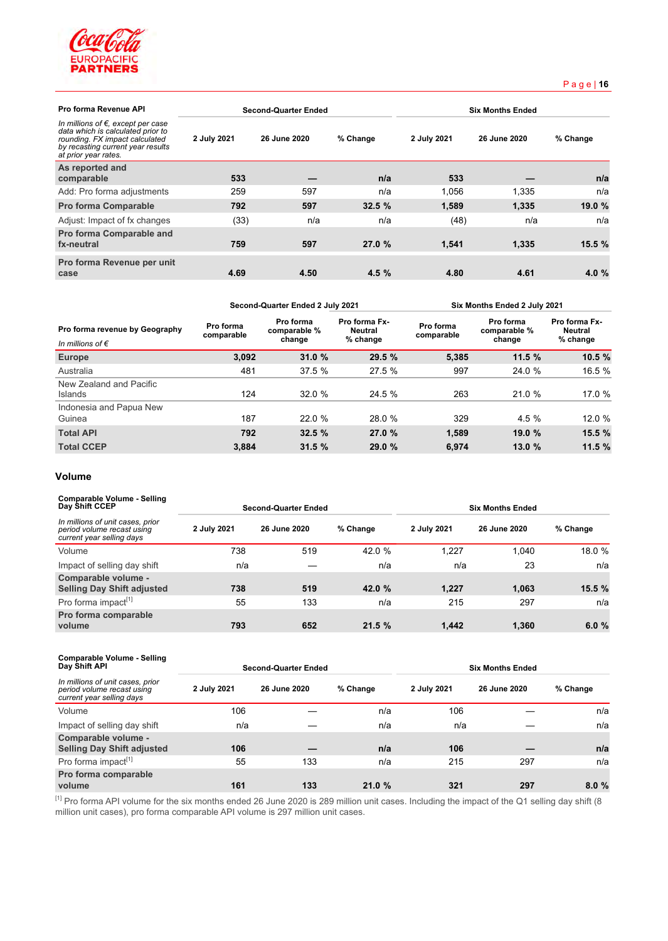

| Pro forma Revenue API                                                                                                                                                           | <b>Second-Quarter Ended</b> |              |          |             | <b>Six Months Ended</b> |          |
|---------------------------------------------------------------------------------------------------------------------------------------------------------------------------------|-----------------------------|--------------|----------|-------------|-------------------------|----------|
| In millions of $\epsilon$ , except per case<br>data which is calculated prior to<br>rounding. FX impact calculated<br>by recasting current year results<br>at prior year rates. | 2 July 2021                 | 26 June 2020 | % Change | 2 July 2021 | 26 June 2020            | % Change |
| As reported and                                                                                                                                                                 |                             |              |          |             |                         |          |
| comparable                                                                                                                                                                      | 533                         |              | n/a      | 533         |                         | n/a      |
| Add: Pro forma adjustments                                                                                                                                                      | 259                         | 597          | n/a      | 1,056       | 1,335                   | n/a      |
| <b>Pro forma Comparable</b>                                                                                                                                                     | 792                         | 597          | 32.5%    | 1.589       | 1,335                   | 19.0%    |
| Adjust: Impact of fx changes                                                                                                                                                    | (33)                        | n/a          | n/a      | (48)        | n/a                     | n/a      |
| Pro forma Comparable and<br>fx-neutral                                                                                                                                          | 759                         | 597          | 27.0%    | 1.541       | 1,335                   | 15.5%    |
| Pro forma Revenue per unit<br>case                                                                                                                                              | 4.69                        | 4.50         | 4.5%     | 4.80        | 4.61                    | 4.0 $%$  |

|                                                             | Second-Quarter Ended 2 July 2021 |                                     |                                      | Six Months Ended 2 July 2021 |                                     |                                      |
|-------------------------------------------------------------|----------------------------------|-------------------------------------|--------------------------------------|------------------------------|-------------------------------------|--------------------------------------|
| Pro forma revenue by Geography<br>In millions of $\epsilon$ | Pro forma<br>comparable          | Pro forma<br>comparable %<br>change | Pro forma Fx-<br>Neutral<br>% change | Pro forma<br>comparable      | Pro forma<br>comparable %<br>change | Pro forma Fx-<br>Neutral<br>% change |
| <b>Europe</b>                                               | 3,092                            | 31.0%                               | 29.5 %                               | 5.385                        | 11.5%                               | 10.5%                                |
| Australia                                                   | 481                              | 37.5 %                              | 27.5 %                               | 997                          | 24.0 %                              | 16.5 %                               |
| New Zealand and Pacific<br>Islands                          | 124                              | 32.0%                               | 24.5 %                               | 263                          | 21.0 %                              | 17.0 %                               |
| Indonesia and Papua New<br>Guinea                           | 187                              | 22.0%                               | 28.0 %                               | 329                          | $4.5 \%$                            | 12.0 %                               |
| <b>Total API</b>                                            | 792                              | 32.5%                               | 27.0 %                               | 1.589                        | 19.0%                               | 15.5 %                               |
| <b>Total CCEP</b>                                           | 3,884                            | 31.5%                               | 29.0 %                               | 6,974                        | 13.0%                               | 11.5%                                |
|                                                             |                                  |                                     |                                      |                              |                                     |                                      |

## **Volume**

| Comparable Volume - Selling |  |
|-----------------------------|--|
| <b>B.J. OLIN AAFB</b>       |  |

| Comparable volume - Selling<br>Day Shift CCEP                                               | <b>Second-Quarter Ended</b> |              |          | <b>Six Months Ended</b> |              |          |
|---------------------------------------------------------------------------------------------|-----------------------------|--------------|----------|-------------------------|--------------|----------|
| In millions of unit cases, prior<br>period volume recast using<br>current year selling days | 2 July 2021                 | 26 June 2020 | % Change | 2 July 2021             | 26 June 2020 | % Change |
| Volume                                                                                      | 738                         | 519          | 42.0 %   | 1.227                   | 1.040        | 18.0 %   |
| Impact of selling day shift                                                                 | n/a                         |              | n/a      | n/a                     | 23           | n/a      |
| Comparable volume -<br><b>Selling Day Shift adjusted</b>                                    | 738                         | 519          | 42.0 %   | 1.227                   | 1.063        | 15.5%    |
| Pro forma impact <sup>[1]</sup>                                                             | 55                          | 133          | n/a      | 215                     | 297          | n/a      |
| Pro forma comparable<br>volume                                                              | 793                         | 652          | 21.5%    | 1.442                   | 1.360        | 6.0%     |

|               | <b>Comparable Volume - Selling</b> |
|---------------|------------------------------------|
| Day Chift ADI |                                    |

| Day Shift API                                                                               |             | <b>Second-Quarter Ended</b> |          | <b>Six Months Ended</b> |              |          |
|---------------------------------------------------------------------------------------------|-------------|-----------------------------|----------|-------------------------|--------------|----------|
| In millions of unit cases, prior<br>period volume recast using<br>current year selling days | 2 July 2021 | 26 June 2020                | % Change | 2 July 2021             | 26 June 2020 | % Change |
| Volume                                                                                      | 106         |                             | n/a      | 106                     |              | n/a      |
| Impact of selling day shift                                                                 | n/a         |                             | n/a      | n/a                     |              | n/a      |
| Comparable volume -<br><b>Selling Day Shift adjusted</b>                                    | 106         |                             | n/a      | 106                     |              | n/a      |
| Pro forma impact <sup>[1]</sup>                                                             | 55          | 133                         | n/a      | 215                     | 297          | n/a      |
| Pro forma comparable<br>volume                                                              | 161         | 133                         | 21.0%    | 321                     | 297          | 8.0%     |

<sup>[1]</sup> Pro forma API volume for the six months ended 26 June 2020 is 289 million unit cases. Including the impact of the Q1 selling day shift (8 million unit cases), pro forma comparable API volume is 297 million unit cases.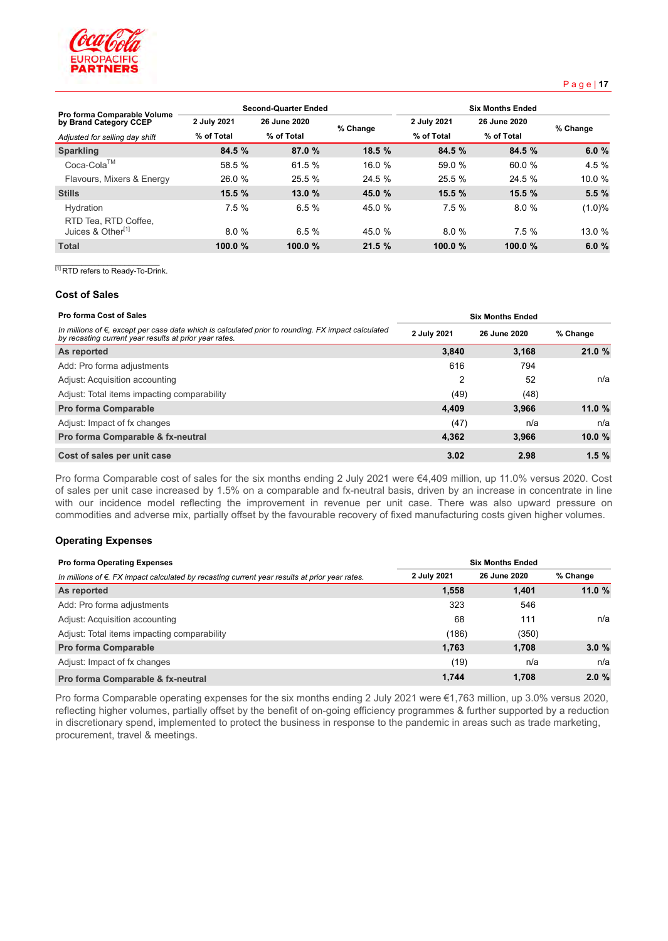

|                                                       | <b>Second-Quarter Ended</b> |              |          | <b>Six Months Ended</b> |              |           |
|-------------------------------------------------------|-----------------------------|--------------|----------|-------------------------|--------------|-----------|
| Pro forma Comparable Volume<br>by Brand Category CCEP | 2 July 2021                 | 26 June 2020 | % Change | 2 July 2021             | 26 June 2020 | % Change  |
| Adjusted for selling day shift                        | % of Total                  | % of Total   |          | % of Total              | % of Total   |           |
| <b>Sparkling</b>                                      | 84.5 %                      | 87.0 %       | 18.5%    | 84.5 %                  | 84.5 %       | 6.0%      |
| Coca-Cola <sup>™</sup>                                | 58.5 %                      | 61.5 %       | 16.0%    | 59.0%                   | 60.0 %       | 4.5 $%$   |
| Flavours, Mixers & Energy                             | 26.0 %                      | 25.5 %       | 24.5 %   | 25.5%                   | 24.5 %       | 10.0%     |
| <b>Stills</b>                                         | 15.5%                       | 13.0%        | 45.0 %   | 15.5%                   | 15.5 %       | 5.5%      |
| Hydration                                             | 7.5%                        | 6.5%         | 45.0 %   | 7.5%                    | 8.0%         | $(1.0)\%$ |
| RTD Tea, RTD Coffee,<br>Juices & Other <sup>[1]</sup> | 8.0%                        | 6.5%         | 45.0 %   | 8.0%                    | 7.5%         | 13.0%     |
| <b>Total</b>                                          | 100.0%                      | 100.0%       | 21.5%    | 100.0%                  | 100.0%       | 6.0%      |

[1] RTD refers to Ready-To-Drink.

#### **Cost of Sales**

| <b>Pro forma Cost of Sales</b>                                                                                                                                         | <b>Six Months Ended</b> |              |          |
|------------------------------------------------------------------------------------------------------------------------------------------------------------------------|-------------------------|--------------|----------|
| In millions of $\epsilon$ , except per case data which is calculated prior to rounding. FX impact calculated<br>by recasting current year results at prior year rates. | 2 July 2021             | 26 June 2020 | % Change |
| As reported                                                                                                                                                            | 3.840                   | 3,168        | 21.0 %   |
| Add: Pro forma adjustments                                                                                                                                             | 616                     | 794          |          |
| Adjust: Acquisition accounting                                                                                                                                         | $\overline{2}$          | 52           | n/a      |
| Adjust: Total items impacting comparability                                                                                                                            | (49)                    | (48)         |          |
| <b>Pro forma Comparable</b>                                                                                                                                            | 4.409                   | 3.966        | 11.0%    |
| Adjust: Impact of fx changes                                                                                                                                           | (47)                    | n/a          | n/a      |
| Pro forma Comparable & fx-neutral                                                                                                                                      | 4.362                   | 3.966        | 10.0%    |
| Cost of sales per unit case                                                                                                                                            | 3.02                    | 2.98         | 1.5%     |

Pro forma Comparable cost of sales for the six months ending 2 July 2021 were €4,409 million, up 11.0% versus 2020. Cost of sales per unit case increased by 1.5% on a comparable and fx-neutral basis, driven by an increase in concentrate in line with our incidence model reflecting the improvement in revenue per unit case. There was also upward pressure on commodities and adverse mix, partially offset by the favourable recovery of fixed manufacturing costs given higher volumes.

## **Operating Expenses**

| <b>Pro forma Operating Expenses</b>                                                                     | <b>Six Months Ended</b> |              |          |  |
|---------------------------------------------------------------------------------------------------------|-------------------------|--------------|----------|--|
| In millions of $\epsilon$ . FX impact calculated by recasting current year results at prior year rates. | 2 July 2021             | 26 June 2020 | % Change |  |
| As reported                                                                                             | 1,558                   | 1.401        | 11.0 %   |  |
| Add: Pro forma adjustments                                                                              | 323                     | 546          |          |  |
| Adjust: Acquisition accounting                                                                          | 68                      | 111          | n/a      |  |
| Adjust: Total items impacting comparability                                                             | (186)                   | (350)        |          |  |
| <b>Pro forma Comparable</b>                                                                             | 1.763                   | 1.708        | 3.0%     |  |
| Adjust: Impact of fx changes                                                                            | (19)                    | n/a          | n/a      |  |
| Pro forma Comparable & fx-neutral                                                                       | 1.744                   | 1.708        | 2.0%     |  |

Pro forma Comparable operating expenses for the six months ending 2 July 2021 were €1,763 million, up 3.0% versus 2020, reflecting higher volumes, partially offset by the benefit of on-going efficiency programmes & further supported by a reduction in discretionary spend, implemented to protect the business in response to the pandemic in areas such as trade marketing, procurement, travel & meetings.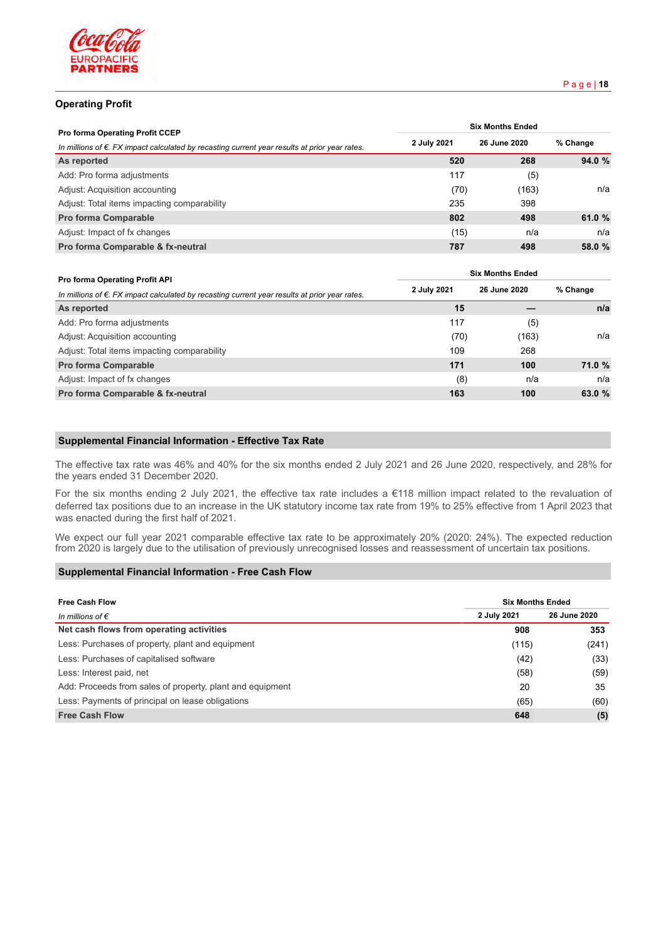

## **Operating Profit**

| <b>Pro forma Operating Profit CCEP</b>                                                                  | <b>Six Months Ended</b> |              |          |  |
|---------------------------------------------------------------------------------------------------------|-------------------------|--------------|----------|--|
| In millions of $\epsilon$ . FX impact calculated by recasting current year results at prior year rates. | 2 July 2021             | 26 June 2020 | % Change |  |
| As reported                                                                                             | 520                     | 268          | 94.0 %   |  |
| Add: Pro forma adjustments                                                                              | 117                     | (5)          |          |  |
| Adjust: Acquisition accounting                                                                          | (70)                    | (163)        | n/a      |  |
| Adjust: Total items impacting comparability                                                             | 235                     | 398          |          |  |
| <b>Pro forma Comparable</b>                                                                             | 802                     | 498          | 61.0 %   |  |
| Adjust: Impact of fx changes                                                                            | (15)                    | n/a          | n/a      |  |
| Pro forma Comparable & fx-neutral                                                                       | 787                     | 498          | 58.0 %   |  |

| <b>Pro forma Operating Profit API</b>                                                                   | <b>Six Months Ended</b> |              |          |  |
|---------------------------------------------------------------------------------------------------------|-------------------------|--------------|----------|--|
| In millions of $\epsilon$ . FX impact calculated by recasting current year results at prior year rates. | 2 July 2021             | 26 June 2020 | % Change |  |
| As reported                                                                                             | 15                      |              | n/a      |  |
| Add: Pro forma adjustments                                                                              | 117                     | (5)          |          |  |
| Adjust: Acquisition accounting                                                                          | (70)                    | (163)        | n/a      |  |
| Adjust: Total items impacting comparability                                                             | 109                     | 268          |          |  |
| <b>Pro forma Comparable</b>                                                                             | 171                     | 100          | 71.0 %   |  |
| Adjust: Impact of fx changes                                                                            | (8)                     | n/a          | n/a      |  |
| Pro forma Comparable & fx-neutral                                                                       | 163                     | 100          | 63.0 %   |  |

## **Supplemental Financial Information - Effective Tax Rate**

The effective tax rate was 46% and 40% for the six months ended 2 July 2021 and 26 June 2020, respectively, and 28% for the years ended 31 December 2020.

For the six months ending 2 July 2021, the effective tax rate includes a €118 million impact related to the revaluation of deferred tax positions due to an increase in the UK statutory income tax rate from 19% to 25% effective from 1 April 2023 that was enacted during the first half of 2021.

We expect our full year 2021 comparable effective tax rate to be approximately 20% (2020: 24%). The expected reduction from 2020 is largely due to the utilisation of previously unrecognised losses and reassessment of uncertain tax positions.

### **Supplemental Financial Information - Free Cash Flow**

| <b>Free Cash Flow</b>                                     | <b>Six Months Ended</b> |              |  |
|-----------------------------------------------------------|-------------------------|--------------|--|
| In millions of $\epsilon$                                 | 2 July 2021             | 26 June 2020 |  |
| Net cash flows from operating activities                  | 908                     | 353          |  |
| Less: Purchases of property, plant and equipment          | (115)                   | (241)        |  |
| Less: Purchases of capitalised software                   | (42)                    | (33)         |  |
| Less: Interest paid, net                                  | (58)                    | (59)         |  |
| Add: Proceeds from sales of property, plant and equipment | 20                      | 35           |  |
| Less: Payments of principal on lease obligations          | (65)                    | (60)         |  |
| <b>Free Cash Flow</b>                                     | 648                     | (5)          |  |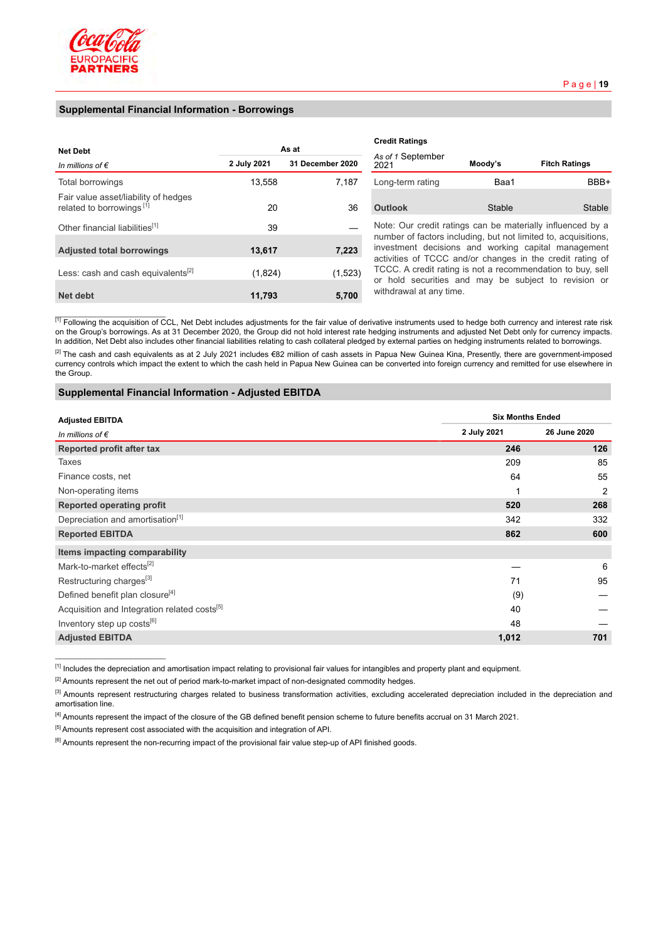

#### **Supplemental Financial Information - Borrowings**

| <b>Net Debt</b>                                                              | As at       |                  | <b>Credit Ratings</b>                                                                                                   |         |                      |
|------------------------------------------------------------------------------|-------------|------------------|-------------------------------------------------------------------------------------------------------------------------|---------|----------------------|
| In millions of $\epsilon$                                                    | 2 July 2021 | 31 December 2020 | As of 1 September<br>2021                                                                                               | Moody's | <b>Fitch Ratings</b> |
| Total borrowings                                                             | 13,558      | 7.187            | Long-term rating                                                                                                        | Baa1    | BBB+                 |
| Fair value asset/liability of hedges<br>related to borrowings <sup>[1]</sup> | 20          | 36               | Outlook                                                                                                                 | Stable  | Stable               |
| Other financial liabilities <sup>[1]</sup>                                   | 39          |                  | Note: Our credit ratings can be materially influenced by a                                                              |         |                      |
| <b>Adjusted total borrowings</b>                                             | 13,617      | 7,223            | number of factors including, but not limited to, acquisitions,<br>investment decisions and working capital management   |         |                      |
| Less: cash and cash equivalents <sup>[2]</sup>                               | (1,824)     | (1,523)          | activities of TCCC and/or changes in the credit rating of<br>TCCC. A credit rating is not a recommendation to buy, sell |         |                      |
| Net debt                                                                     | 11.793      | 5,700            | or hold securities and may be subject to revision or<br>withdrawal at any time.                                         |         |                      |

|             | As at            | <u>oroun runnyo</u>       |         |                      |
|-------------|------------------|---------------------------|---------|----------------------|
| 2 July 2021 | 31 December 2020 | As of 1 September<br>2021 | Moody's | <b>Fitch Ratings</b> |
| 13.558      | 7.187            | Long-term rating          | Baa1    | BBB+                 |
| 20          | 36               | Outlook                   | Stable  | Stable               |

 $^{[1]}$  Following the acquisition of CCL, Net Debt includes adjustments for the fair value of derivative instruments used to hedge both currency and interest rate risk on the Group's borrowings. As at 31 December 2020, the Group did not hold interest rate hedging instruments and adjusted Net Debt only for currency impacts. In addition, Net Debt also includes other financial liabilities relating to cash collateral pledged by external parties on hedging instruments related to borrowings.

<sup>[2]</sup> The cash and cash equivalents as at 2 July 2021 includes €82 million of cash assets in Papua New Guinea Kina, Presently, there are government-imposed currency controls which impact the extent to which the cash held in Papua New Guinea can be converted into foreign currency and remitted for use elsewhere in the Group.

## **Supplemental Financial Information - Adjusted EBITDA**

| <b>Adjusted EBITDA</b>                       | <b>Six Months Ended</b> |              |
|----------------------------------------------|-------------------------|--------------|
| In millions of $\epsilon$                    | 2 July 2021             | 26 June 2020 |
| <b>Reported profit after tax</b>             | 246                     | 126          |
| Taxes                                        | 209                     | 85           |
| Finance costs, net                           | 64                      | 55           |
| Non-operating items                          | 1                       | 2            |
| <b>Reported operating profit</b>             | 520                     | 268          |
| Depreciation and amortisation <sup>[1]</sup> | 342                     | 332          |
| <b>Reported EBITDA</b>                       | 862                     | 600          |
| Items impacting comparability                |                         |              |
| Mark-to-market effects <sup>[2]</sup>        |                         | 6            |
| Restructuring charges <sup>[3]</sup>         | 71                      | 95           |
| Defined benefit plan closure <sup>[4]</sup>  | (9)                     |              |
| Acquisition and Integration related costs[5] | 40                      |              |
| Inventory step up costs[6]                   | 48                      |              |
| <b>Adjusted EBITDA</b>                       | 1,012                   | 701          |
|                                              |                         |              |

<sup>&</sup>lt;sup>[1]</sup> Includes the depreciation and amortisation impact relating to provisional fair values for intangibles and property plant and equipment.

<sup>[2]</sup> Amounts represent the net out of period mark-to-market impact of non-designated commodity hedges.

[5] Amounts represent cost associated with the acquisition and integration of API.

<sup>&</sup>lt;sup>[3]</sup> Amounts represent restructuring charges related to business transformation activities, excluding accelerated depreciation included in the depreciation and amortisation line.

<sup>[4]</sup> Amounts represent the impact of the closure of the GB defined benefit pension scheme to future benefits accrual on 31 March 2021.

<sup>&</sup>lt;sup>[6]</sup> Amounts represent the non-recurring impact of the provisional fair value step-up of API finished goods.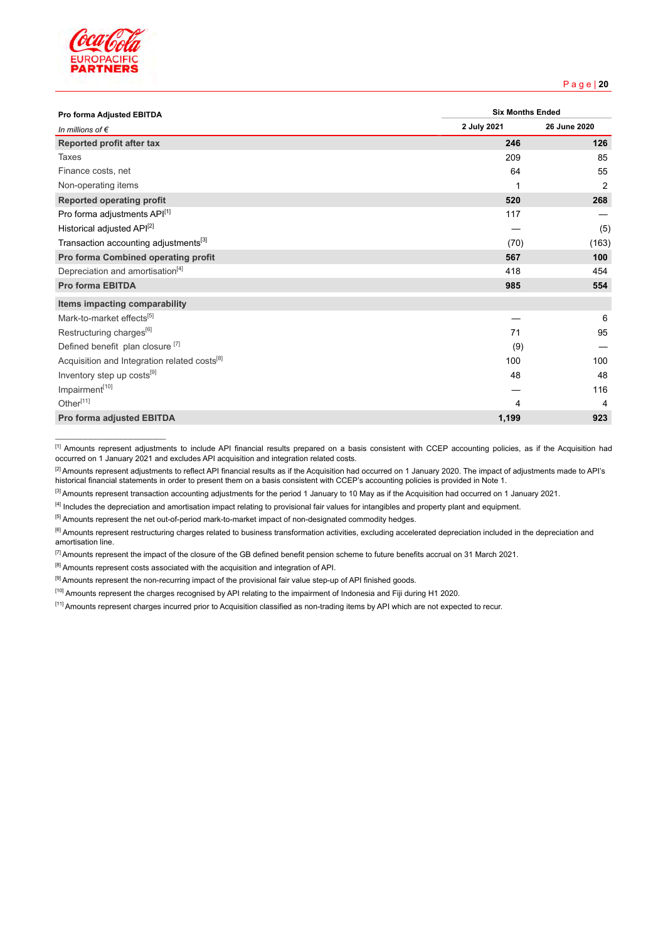

 $\_$ 

| Pro forma Adjusted EBITDA                                | <b>Six Months Ended</b>     |       |  |  |
|----------------------------------------------------------|-----------------------------|-------|--|--|
| In millions of $\epsilon$                                | 2 July 2021<br>26 June 2020 |       |  |  |
| <b>Reported profit after tax</b>                         | 246                         | 126   |  |  |
| Taxes                                                    | 209                         | 85    |  |  |
| Finance costs, net                                       | 64                          | 55    |  |  |
| Non-operating items                                      | 1                           | 2     |  |  |
| <b>Reported operating profit</b>                         | 520                         | 268   |  |  |
| Pro forma adjustments API[1]                             | 117                         |       |  |  |
| Historical adjusted API <sup>[2]</sup>                   |                             | (5)   |  |  |
| Transaction accounting adjustments <sup>[3]</sup>        | (70)                        | (163) |  |  |
| Pro forma Combined operating profit                      | 567                         | 100   |  |  |
| Depreciation and amortisation <sup>[4]</sup>             | 418                         | 454   |  |  |
| Pro forma EBITDA                                         | 985                         | 554   |  |  |
| Items impacting comparability                            |                             |       |  |  |
| Mark-to-market effects <sup>[5]</sup>                    |                             | 6     |  |  |
| Restructuring charges <sup>[6]</sup>                     | 71                          | 95    |  |  |
| Defined benefit plan closure <sup>[7]</sup>              | (9)                         |       |  |  |
| Acquisition and Integration related costs <sup>[8]</sup> | 100                         | 100   |  |  |
| Inventory step up costs <sup>[9]</sup>                   | 48                          | 48    |  |  |
| Impairment <sup>[10]</sup>                               |                             | 116   |  |  |
| Other <sup>[11]</sup>                                    | 4                           | 4     |  |  |
| Pro forma adjusted EBITDA                                | 1,199                       | 923   |  |  |

<sup>[1]</sup> Amounts represent adjustments to include API financial results prepared on a basis consistent with CCEP accounting policies, as if the Acquisition had occurred on 1 January 2021 and excludes API acquisition and integration related costs.

<sup>[3]</sup> Amounts represent transaction accounting adjustments for the period 1 January to 10 May as if the Acquisition had occurred on 1 January 2021.

<sup>[4]</sup> Includes the depreciation and amortisation impact relating to provisional fair values for intangibles and property plant and equipment.

<sup>[5]</sup> Amounts represent the net out-of-period mark-to-market impact of non-designated commodity hedges.

<sup>[6]</sup> Amounts represent restructuring charges related to business transformation activities, excluding accelerated depreciation included in the depreciation and amortisation line.

<sup>[7]</sup> Amounts represent the impact of the closure of the GB defined benefit pension scheme to future benefits accrual on 31 March 2021.

[8] Amounts represent costs associated with the acquisition and integration of API.

<sup>[9]</sup> Amounts represent the non-recurring impact of the provisional fair value step-up of API finished goods.

[10] Amounts represent the charges recognised by API relating to the impairment of Indonesia and Fiji during H1 2020.

[11] Amounts represent charges incurred prior to Acquisition classified as non-trading items by API which are not expected to recur.

<sup>&</sup>lt;sup>[2]</sup> Amounts represent adjustments to reflect API financial results as if the Acquisition had occurred on 1 January 2020. The impact of adjustments made to API's historical financial statements in order to present them on a basis consistent with CCEP's accounting policies is provided in Note 1.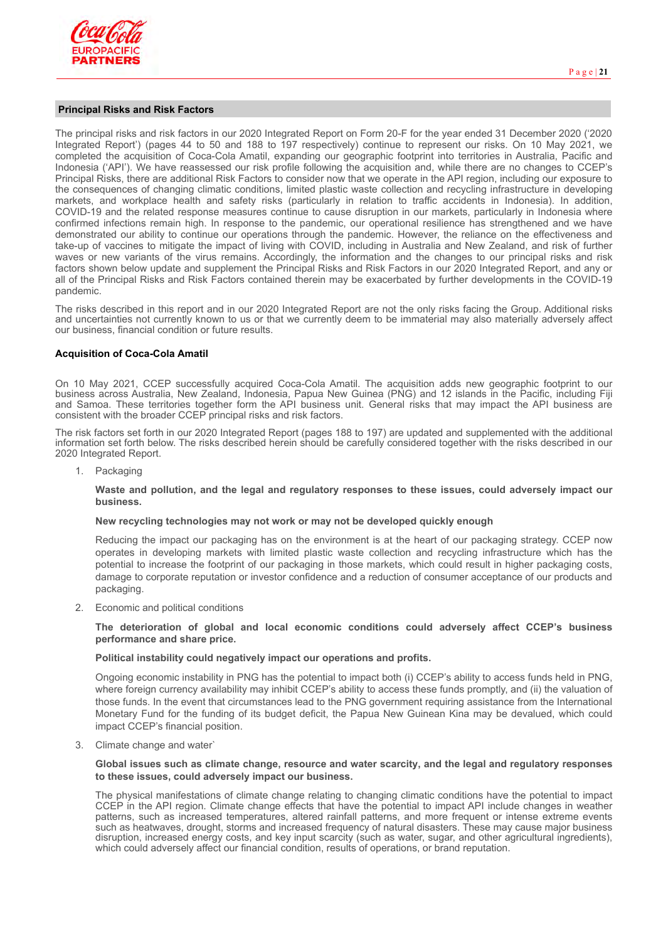

#### **Principal Risks and Risk Factors**

The principal risks and risk factors in our 2020 Integrated Report on Form 20-F for the year ended 31 December 2020 ('2020 Integrated Report') (pages 44 to 50 and 188 to 197 respectively) continue to represent our risks. On 10 May 2021, we completed the acquisition of Coca-Cola Amatil, expanding our geographic footprint into territories in Australia, Pacific and Indonesia ('API'). We have reassessed our risk profile following the acquisition and, while there are no changes to CCEP's Principal Risks, there are additional Risk Factors to consider now that we operate in the API region, including our exposure to the consequences of changing climatic conditions, limited plastic waste collection and recycling infrastructure in developing markets, and workplace health and safety risks (particularly in relation to traffic accidents in Indonesia). In addition, COVID-19 and the related response measures continue to cause disruption in our markets, particularly in Indonesia where confirmed infections remain high. In response to the pandemic, our operational resilience has strengthened and we have demonstrated our ability to continue our operations through the pandemic. However, the reliance on the effectiveness and take-up of vaccines to mitigate the impact of living with COVID, including in Australia and New Zealand, and risk of further waves or new variants of the virus remains. Accordingly, the information and the changes to our principal risks and risk factors shown below update and supplement the Principal Risks and Risk Factors in our 2020 Integrated Report, and any or all of the Principal Risks and Risk Factors contained therein may be exacerbated by further developments in the COVID-19 pandemic.

The risks described in this report and in our 2020 Integrated Report are not the only risks facing the Group. Additional risks and uncertainties not currently known to us or that we currently deem to be immaterial may also materially adversely affect our business, financial condition or future results.

#### **Acquisition of Coca-Cola Amatil**

On 10 May 2021, CCEP successfully acquired Coca-Cola Amatil. The acquisition adds new geographic footprint to our business across Australia, New Zealand, Indonesia, Papua New Guinea (PNG) and 12 islands in the Pacific, including Fiji and Samoa. These territories together form the API business unit. General risks that may impact the API business are consistent with the broader CCEP principal risks and risk factors.

The risk factors set forth in our 2020 Integrated Report (pages 188 to 197) are updated and supplemented with the additional information set forth below. The risks described herein should be carefully considered together with the risks described in our 2020 Integrated Report.

1. Packaging

**Waste and pollution, and the legal and regulatory responses to these issues, could adversely impact our business.**

#### **New recycling technologies may not work or may not be developed quickly enough**

Reducing the impact our packaging has on the environment is at the heart of our packaging strategy. CCEP now operates in developing markets with limited plastic waste collection and recycling infrastructure which has the potential to increase the footprint of our packaging in those markets, which could result in higher packaging costs, damage to corporate reputation or investor confidence and a reduction of consumer acceptance of our products and packaging.

2. Economic and political conditions

**The deterioration of global and local economic conditions could adversely affect CCEP's business performance and share price.**

### **Political instability could negatively impact our operations and profits.**

Ongoing economic instability in PNG has the potential to impact both (i) CCEP's ability to access funds held in PNG, where foreign currency availability may inhibit CCEP's ability to access these funds promptly, and (ii) the valuation of those funds. In the event that circumstances lead to the PNG government requiring assistance from the International Monetary Fund for the funding of its budget deficit, the Papua New Guinean Kina may be devalued, which could impact CCEP's financial position.

3. Climate change and water`

**Global issues such as climate change, resource and water scarcity, and the legal and regulatory responses to these issues, could adversely impact our business.**

The physical manifestations of climate change relating to changing climatic conditions have the potential to impact CCEP in the API region. Climate change effects that have the potential to impact API include changes in weather patterns, such as increased temperatures, altered rainfall patterns, and more frequent or intense extreme events such as heatwaves, drought, storms and increased frequency of natural disasters. These may cause major business disruption, increased energy costs, and key input scarcity (such as water, sugar, and other agricultural ingredients), which could adversely affect our financial condition, results of operations, or brand reputation.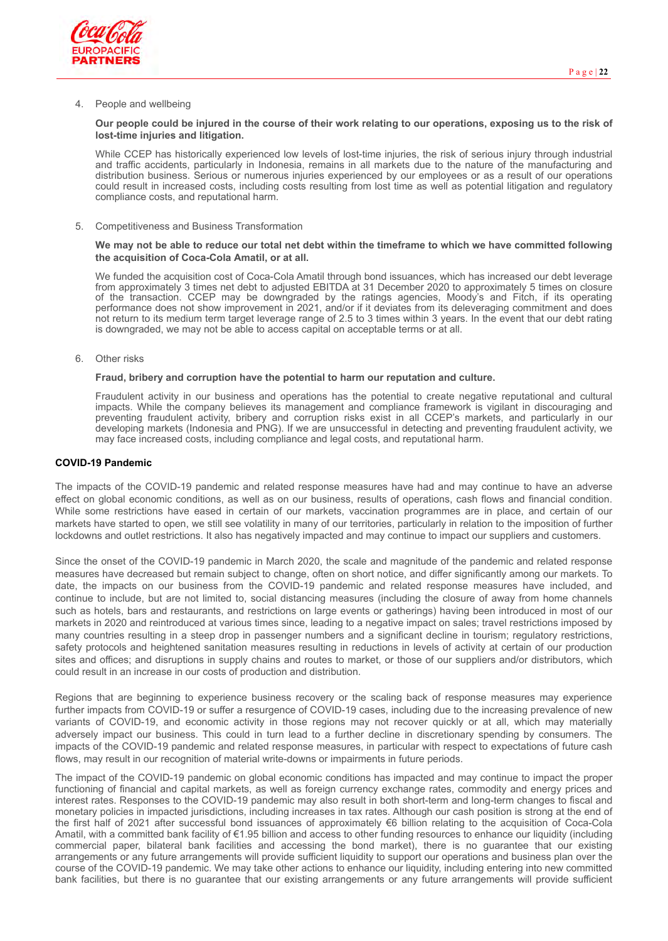



#### 4. People and wellbeing

#### **Our people could be injured in the course of their work relating to our operations, exposing us to the risk of lost-time injuries and litigation.**

While CCEP has historically experienced low levels of lost-time injuries, the risk of serious injury through industrial and traffic accidents, particularly in Indonesia, remains in all markets due to the nature of the manufacturing and distribution business. Serious or numerous injuries experienced by our employees or as a result of our operations could result in increased costs, including costs resulting from lost time as well as potential litigation and regulatory compliance costs, and reputational harm.

5. Competitiveness and Business Transformation

#### **We may not be able to reduce our total net debt within the timeframe to which we have committed following the acquisition of Coca-Cola Amatil, or at all.**

We funded the acquisition cost of Coca-Cola Amatil through bond issuances, which has increased our debt leverage from approximately 3 times net debt to adjusted EBITDA at 31 December 2020 to approximately 5 times on closure of the transaction. CCEP may be downgraded by the ratings agencies, Moody's and Fitch, if its operating performance does not show improvement in 2021, and/or if it deviates from its deleveraging commitment and does not return to its medium term target leverage range of 2.5 to 3 times within 3 years. In the event that our debt rating is downgraded, we may not be able to access capital on acceptable terms or at all.

6. Other risks

#### **Fraud, bribery and corruption have the potential to harm our reputation and culture.**

Fraudulent activity in our business and operations has the potential to create negative reputational and cultural impacts. While the company believes its management and compliance framework is vigilant in discouraging and preventing fraudulent activity, bribery and corruption risks exist in all CCEP's markets, and particularly in our developing markets (Indonesia and PNG). If we are unsuccessful in detecting and preventing fraudulent activity, we may face increased costs, including compliance and legal costs, and reputational harm.

#### **COVID-19 Pandemic**

The impacts of the COVID-19 pandemic and related response measures have had and may continue to have an adverse effect on global economic conditions, as well as on our business, results of operations, cash flows and financial condition. While some restrictions have eased in certain of our markets, vaccination programmes are in place, and certain of our markets have started to open, we still see volatility in many of our territories, particularly in relation to the imposition of further lockdowns and outlet restrictions. It also has negatively impacted and may continue to impact our suppliers and customers.

Since the onset of the COVID-19 pandemic in March 2020, the scale and magnitude of the pandemic and related response measures have decreased but remain subject to change, often on short notice, and differ significantly among our markets. To date, the impacts on our business from the COVID-19 pandemic and related response measures have included, and continue to include, but are not limited to, social distancing measures (including the closure of away from home channels such as hotels, bars and restaurants, and restrictions on large events or gatherings) having been introduced in most of our markets in 2020 and reintroduced at various times since, leading to a negative impact on sales; travel restrictions imposed by many countries resulting in a steep drop in passenger numbers and a significant decline in tourism; regulatory restrictions, safety protocols and heightened sanitation measures resulting in reductions in levels of activity at certain of our production sites and offices; and disruptions in supply chains and routes to market, or those of our suppliers and/or distributors, which could result in an increase in our costs of production and distribution.

Regions that are beginning to experience business recovery or the scaling back of response measures may experience further impacts from COVID-19 or suffer a resurgence of COVID-19 cases, including due to the increasing prevalence of new variants of COVID-19, and economic activity in those regions may not recover quickly or at all, which may materially adversely impact our business. This could in turn lead to a further decline in discretionary spending by consumers. The impacts of the COVID-19 pandemic and related response measures, in particular with respect to expectations of future cash flows, may result in our recognition of material write-downs or impairments in future periods.

The impact of the COVID-19 pandemic on global economic conditions has impacted and may continue to impact the proper functioning of financial and capital markets, as well as foreign currency exchange rates, commodity and energy prices and interest rates. Responses to the COVID-19 pandemic may also result in both short-term and long-term changes to fiscal and monetary policies in impacted jurisdictions, including increases in tax rates. Although our cash position is strong at the end of the first half of 2021 after successful bond issuances of approximately €6 billion relating to the acquisition of Coca-Cola Amatil, with a committed bank facility of €1.95 billion and access to other funding resources to enhance our liquidity (including commercial paper, bilateral bank facilities and accessing the bond market), there is no guarantee that our existing arrangements or any future arrangements will provide sufficient liquidity to support our operations and business plan over the course of the COVID-19 pandemic. We may take other actions to enhance our liquidity, including entering into new committed bank facilities, but there is no guarantee that our existing arrangements or any future arrangements will provide sufficient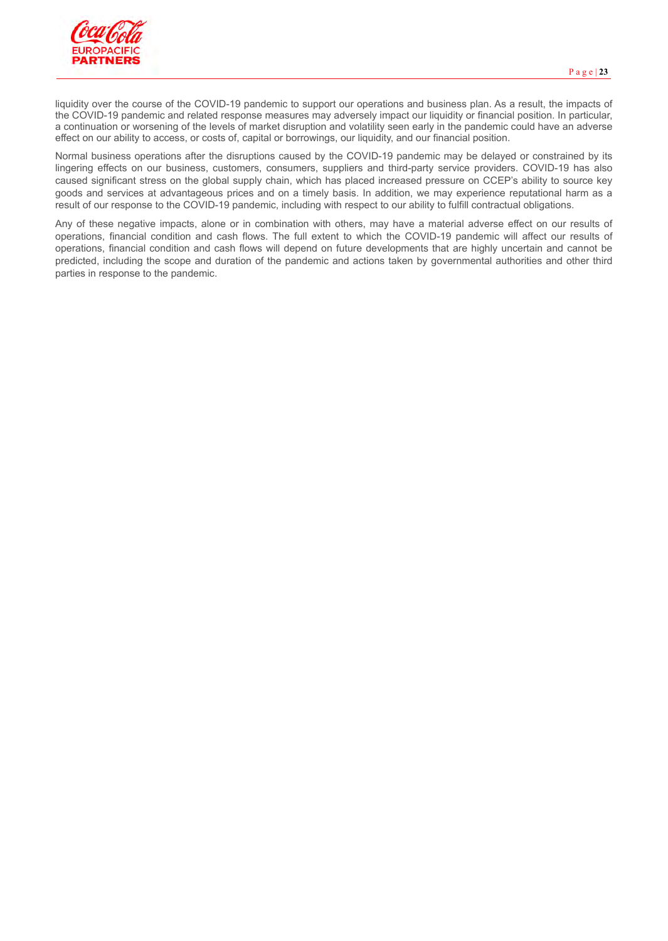

liquidity over the course of the COVID-19 pandemic to support our operations and business plan. As a result, the impacts of the COVID-19 pandemic and related response measures may adversely impact our liquidity or financial position. In particular, a continuation or worsening of the levels of market disruption and volatility seen early in the pandemic could have an adverse effect on our ability to access, or costs of, capital or borrowings, our liquidity, and our financial position.

Normal business operations after the disruptions caused by the COVID-19 pandemic may be delayed or constrained by its lingering effects on our business, customers, consumers, suppliers and third-party service providers. COVID-19 has also caused significant stress on the global supply chain, which has placed increased pressure on CCEP's ability to source key goods and services at advantageous prices and on a timely basis. In addition, we may experience reputational harm as a result of our response to the COVID-19 pandemic, including with respect to our ability to fulfill contractual obligations.

Any of these negative impacts, alone or in combination with others, may have a material adverse effect on our results of operations, financial condition and cash flows. The full extent to which the COVID-19 pandemic will affect our results of operations, financial condition and cash flows will depend on future developments that are highly uncertain and cannot be predicted, including the scope and duration of the pandemic and actions taken by governmental authorities and other third parties in response to the pandemic.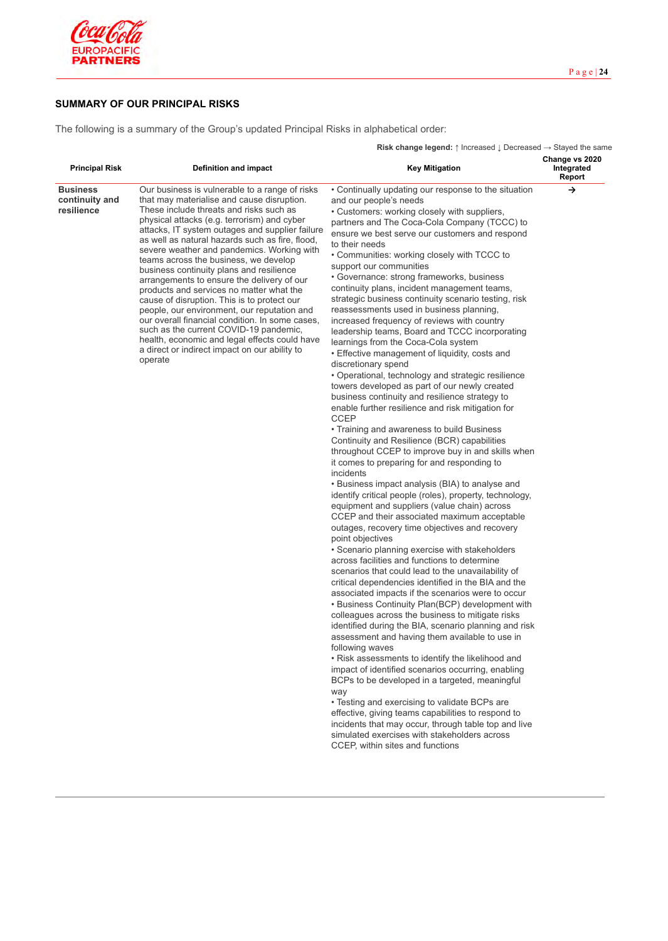

## **SUMMARY OF OUR PRINCIPAL RISKS**

The following is a summary of the Group's updated Principal Risks in alphabetical order:

|                                                 |                                                                                                                                                                                                                                                                                                                                                                                                                                                                                                                                                                                                                                                                                                                                                                                                                                   | <b>Risk change legend:</b> $\uparrow$ Increased $\downarrow$ Decreased $\rightarrow$ Stayed the same                                                                                                                                                                                                                                                                                                                                                                                                                                                                                                                                                                                                                                                                                                                                                                                                                                                                                                                                                                                                                                                                                                                                                                                                                                                                                                                                                                                                                                                                                                                                                                                                                                                                                                                                                                                                                                                                                                                                                                                                                                                                                                                                                                                                                                                                                                            |                                        |
|-------------------------------------------------|-----------------------------------------------------------------------------------------------------------------------------------------------------------------------------------------------------------------------------------------------------------------------------------------------------------------------------------------------------------------------------------------------------------------------------------------------------------------------------------------------------------------------------------------------------------------------------------------------------------------------------------------------------------------------------------------------------------------------------------------------------------------------------------------------------------------------------------|-----------------------------------------------------------------------------------------------------------------------------------------------------------------------------------------------------------------------------------------------------------------------------------------------------------------------------------------------------------------------------------------------------------------------------------------------------------------------------------------------------------------------------------------------------------------------------------------------------------------------------------------------------------------------------------------------------------------------------------------------------------------------------------------------------------------------------------------------------------------------------------------------------------------------------------------------------------------------------------------------------------------------------------------------------------------------------------------------------------------------------------------------------------------------------------------------------------------------------------------------------------------------------------------------------------------------------------------------------------------------------------------------------------------------------------------------------------------------------------------------------------------------------------------------------------------------------------------------------------------------------------------------------------------------------------------------------------------------------------------------------------------------------------------------------------------------------------------------------------------------------------------------------------------------------------------------------------------------------------------------------------------------------------------------------------------------------------------------------------------------------------------------------------------------------------------------------------------------------------------------------------------------------------------------------------------------------------------------------------------------------------------------------------------|----------------------------------------|
| <b>Principal Risk</b>                           | Definition and impact                                                                                                                                                                                                                                                                                                                                                                                                                                                                                                                                                                                                                                                                                                                                                                                                             | <b>Key Mitigation</b>                                                                                                                                                                                                                                                                                                                                                                                                                                                                                                                                                                                                                                                                                                                                                                                                                                                                                                                                                                                                                                                                                                                                                                                                                                                                                                                                                                                                                                                                                                                                                                                                                                                                                                                                                                                                                                                                                                                                                                                                                                                                                                                                                                                                                                                                                                                                                                                           | Change vs 2020<br>Integrated<br>Report |
| <b>Business</b><br>continuity and<br>resilience | Our business is vulnerable to a range of risks<br>that may materialise and cause disruption.<br>These include threats and risks such as<br>physical attacks (e.g. terrorism) and cyber<br>attacks, IT system outages and supplier failure<br>as well as natural hazards such as fire, flood,<br>severe weather and pandemics. Working with<br>teams across the business, we develop<br>business continuity plans and resilience<br>arrangements to ensure the delivery of our<br>products and services no matter what the<br>cause of disruption. This is to protect our<br>people, our environment, our reputation and<br>our overall financial condition. In some cases,<br>such as the current COVID-19 pandemic,<br>health, economic and legal effects could have<br>a direct or indirect impact on our ability to<br>operate | • Continually updating our response to the situation<br>and our people's needs<br>• Customers: working closely with suppliers,<br>partners and The Coca-Cola Company (TCCC) to<br>ensure we best serve our customers and respond<br>to their needs<br>• Communities: working closely with TCCC to<br>support our communities<br>• Governance: strong frameworks, business<br>continuity plans, incident management teams,<br>strategic business continuity scenario testing, risk<br>reassessments used in business planning,<br>increased frequency of reviews with country<br>leadership teams, Board and TCCC incorporating<br>learnings from the Coca-Cola system<br>• Effective management of liquidity, costs and<br>discretionary spend<br>• Operational, technology and strategic resilience<br>towers developed as part of our newly created<br>business continuity and resilience strategy to<br>enable further resilience and risk mitigation for<br><b>CCEP</b><br>• Training and awareness to build Business<br>Continuity and Resilience (BCR) capabilities<br>throughout CCEP to improve buy in and skills when<br>it comes to preparing for and responding to<br>incidents<br>• Business impact analysis (BIA) to analyse and<br>identify critical people (roles), property, technology,<br>equipment and suppliers (value chain) across<br>CCEP and their associated maximum acceptable<br>outages, recovery time objectives and recovery<br>point objectives<br>• Scenario planning exercise with stakeholders<br>across facilities and functions to determine<br>scenarios that could lead to the unavailability of<br>critical dependencies identified in the BIA and the<br>associated impacts if the scenarios were to occur<br>• Business Continuity Plan(BCP) development with<br>colleagues across the business to mitigate risks<br>identified during the BIA, scenario planning and risk<br>assessment and having them available to use in<br>following waves<br>• Risk assessments to identify the likelihood and<br>impact of identified scenarios occurring, enabling<br>BCPs to be developed in a targeted, meaningful<br>way<br>• Testing and exercising to validate BCPs are<br>effective, giving teams capabilities to respond to<br>incidents that may occur, through table top and live<br>simulated exercises with stakeholders across<br>CCEP, within sites and functions | →                                      |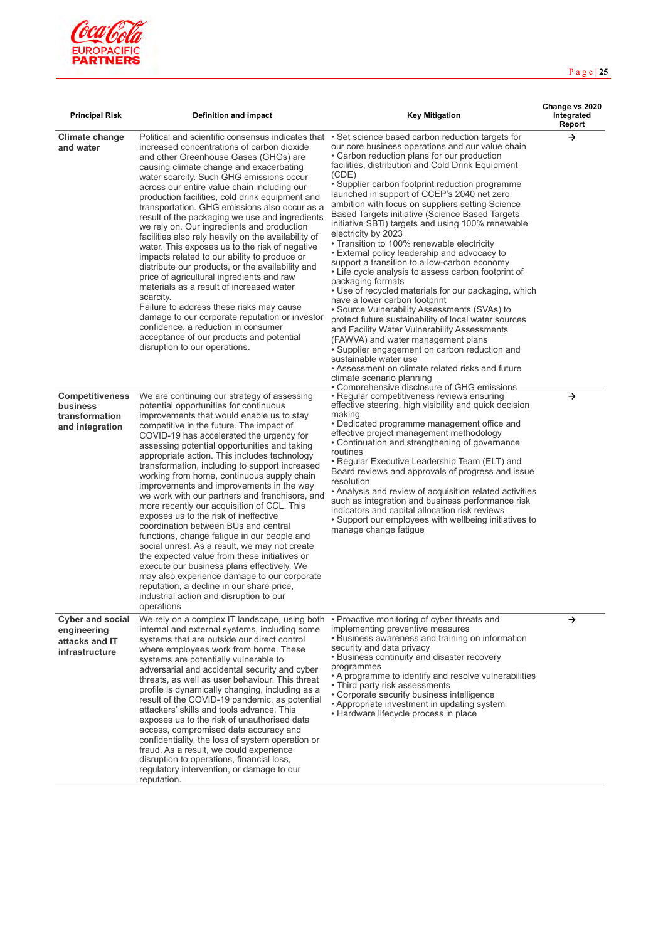

| <b>Principal Risk</b>                                                      | Definition and impact                                                                                                                                                                                                                                                                                                                                                                                                                                                                                                                                                                                                                                                                                                                                                                                                                                                                                                                                                                                                   | <b>Key Mitigation</b>                                                                                                                                                                                                                                                                                                                                                                                                                                                                                                                                                                                                                                                                                                                                                                                                                                                                                                                                                                                                                                                                                                                                                                                                             |             |  |
|----------------------------------------------------------------------------|-------------------------------------------------------------------------------------------------------------------------------------------------------------------------------------------------------------------------------------------------------------------------------------------------------------------------------------------------------------------------------------------------------------------------------------------------------------------------------------------------------------------------------------------------------------------------------------------------------------------------------------------------------------------------------------------------------------------------------------------------------------------------------------------------------------------------------------------------------------------------------------------------------------------------------------------------------------------------------------------------------------------------|-----------------------------------------------------------------------------------------------------------------------------------------------------------------------------------------------------------------------------------------------------------------------------------------------------------------------------------------------------------------------------------------------------------------------------------------------------------------------------------------------------------------------------------------------------------------------------------------------------------------------------------------------------------------------------------------------------------------------------------------------------------------------------------------------------------------------------------------------------------------------------------------------------------------------------------------------------------------------------------------------------------------------------------------------------------------------------------------------------------------------------------------------------------------------------------------------------------------------------------|-------------|--|
| Climate change<br>and water                                                | Political and scientific consensus indicates that<br>increased concentrations of carbon dioxide<br>and other Greenhouse Gases (GHGs) are<br>causing climate change and exacerbating<br>water scarcity. Such GHG emissions occur<br>across our entire value chain including our<br>production facilities, cold drink equipment and<br>transportation. GHG emissions also occur as a<br>result of the packaging we use and ingredients<br>we rely on. Our ingredients and production<br>facilities also rely heavily on the availability of<br>water. This exposes us to the risk of negative<br>impacts related to our ability to produce or<br>distribute our products, or the availability and<br>price of agricultural ingredients and raw<br>materials as a result of increased water<br>scarcity.<br>Failure to address these risks may cause<br>damage to our corporate reputation or investor<br>confidence, a reduction in consumer<br>acceptance of our products and potential<br>disruption to our operations. | • Set science based carbon reduction targets for<br>our core business operations and our value chain<br>• Carbon reduction plans for our production<br>facilities, distribution and Cold Drink Equipment<br>(CDE)<br>· Supplier carbon footprint reduction programme<br>launched in support of CCEP's 2040 net zero<br>ambition with focus on suppliers setting Science<br>Based Targets initiative (Science Based Targets<br>initiative SBTi) targets and using 100% renewable<br>electricity by 2023<br>• Transition to 100% renewable electricity<br>• External policy leadership and advocacy to<br>support a transition to a low-carbon economy<br>• Life cycle analysis to assess carbon footprint of<br>packaging formats<br>• Use of recycled materials for our packaging, which<br>have a lower carbon footprint<br>• Source Vulnerability Assessments (SVAs) to<br>protect future sustainability of local water sources<br>and Facility Water Vulnerability Assessments<br>(FAWVA) and water management plans<br>• Supplier engagement on carbon reduction and<br>sustainable water use<br>• Assessment on climate related risks and future<br>climate scenario planning<br>• Comprehensive disclosure of GHG emissions | Report<br>→ |  |
| <b>Competitiveness</b><br>business<br>transformation<br>and integration    | We are continuing our strategy of assessing<br>potential opportunities for continuous<br>improvements that would enable us to stay<br>competitive in the future. The impact of<br>COVID-19 has accelerated the urgency for<br>assessing potential opportunities and taking<br>appropriate action. This includes technology<br>transformation, including to support increased<br>working from home, continuous supply chain<br>improvements and improvements in the way<br>we work with our partners and franchisors, and<br>more recently our acquisition of CCL. This<br>exposes us to the risk of ineffective<br>coordination between BUs and central<br>functions, change fatigue in our people and<br>social unrest. As a result, we may not create<br>the expected value from these initiatives or<br>execute our business plans effectively. We<br>may also experience damage to our corporate<br>reputation, a decline in our share price,<br>industrial action and disruption to our<br>operations              | • Regular competitiveness reviews ensuring<br>effective steering, high visibility and quick decision<br>making<br>• Dedicated programme management office and<br>effective project management methodology<br>• Continuation and strengthening of governance<br>routines<br>• Regular Executive Leadership Team (ELT) and<br>Board reviews and approvals of progress and issue<br>resolution<br>• Analysis and review of acquisition related activities<br>such as integration and business performance risk<br>indicators and capital allocation risk reviews<br>• Support our employees with wellbeing initiatives to<br>manage change fatigue                                                                                                                                                                                                                                                                                                                                                                                                                                                                                                                                                                                   | →           |  |
| <b>Cyber and social</b><br>engineering<br>attacks and IT<br>infrastructure | We rely on a complex IT landscape, using both<br>internal and external systems, including some<br>systems that are outside our direct control<br>where employees work from home. These<br>systems are potentially vulnerable to<br>adversarial and accidental security and cyber<br>threats, as well as user behaviour. This threat<br>profile is dynamically changing, including as a<br>result of the COVID-19 pandemic, as potential<br>attackers' skills and tools advance. This<br>exposes us to the risk of unauthorised data<br>access, compromised data accuracy and<br>confidentiality, the loss of system operation or<br>fraud. As a result, we could experience<br>disruption to operations, financial loss,<br>regulatory intervention, or damage to our<br>reputation.                                                                                                                                                                                                                                    | • Proactive monitoring of cyber threats and<br>implementing preventive measures<br>• Business awareness and training on information<br>security and data privacy<br>• Business continuity and disaster recovery<br>programmes<br>• A programme to identify and resolve vulnerabilities<br>• Third party risk assessments<br>• Corporate security business intelligence<br>• Appropriate investment in updating system<br>• Hardware lifecycle process in place                                                                                                                                                                                                                                                                                                                                                                                                                                                                                                                                                                                                                                                                                                                                                                    | →           |  |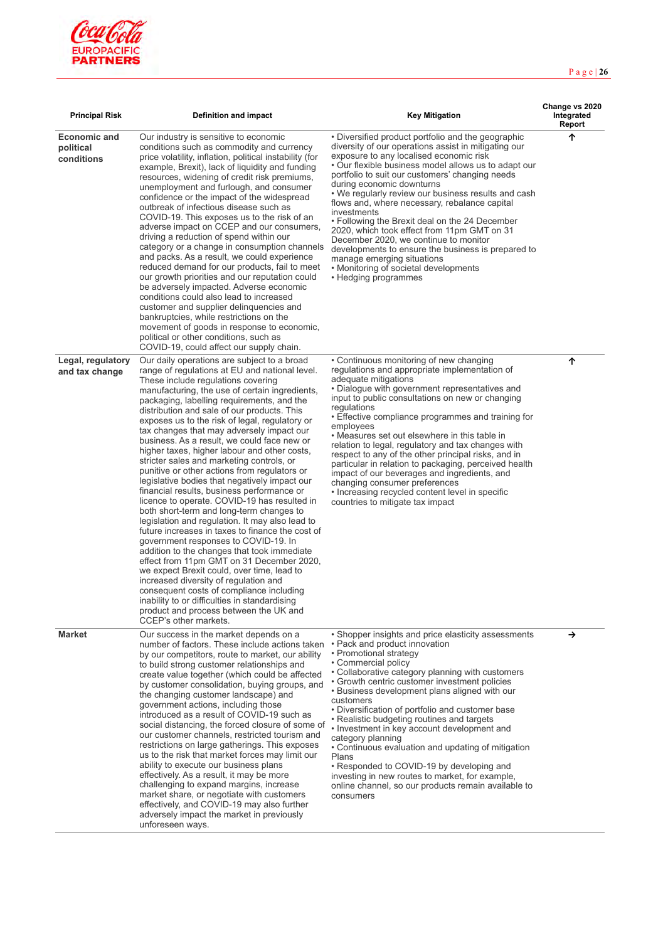

| Principal Risk                                 | Definition and impact                                                                                                                                                                                                                                                                                                                                                                                                                                                                                                                                                                                                                                                                                                                                                                                                                                                                                                                                                                                                                                                                                                                                                                                                                                                      | <b>Key Mitigation</b>                                                                                                                                                                                                                                                                                                                                                                                                                                                                                                                                                                                                                                                                                               | Change vs 2020<br>Integrated<br>Report |  |
|------------------------------------------------|----------------------------------------------------------------------------------------------------------------------------------------------------------------------------------------------------------------------------------------------------------------------------------------------------------------------------------------------------------------------------------------------------------------------------------------------------------------------------------------------------------------------------------------------------------------------------------------------------------------------------------------------------------------------------------------------------------------------------------------------------------------------------------------------------------------------------------------------------------------------------------------------------------------------------------------------------------------------------------------------------------------------------------------------------------------------------------------------------------------------------------------------------------------------------------------------------------------------------------------------------------------------------|---------------------------------------------------------------------------------------------------------------------------------------------------------------------------------------------------------------------------------------------------------------------------------------------------------------------------------------------------------------------------------------------------------------------------------------------------------------------------------------------------------------------------------------------------------------------------------------------------------------------------------------------------------------------------------------------------------------------|----------------------------------------|--|
| <b>Economic and</b><br>political<br>conditions | Our industry is sensitive to economic<br>conditions such as commodity and currency<br>price volatility, inflation, political instability (for<br>example, Brexit), lack of liquidity and funding<br>resources, widening of credit risk premiums,<br>unemployment and furlough, and consumer<br>confidence or the impact of the widespread<br>outbreak of infectious disease such as<br>COVID-19. This exposes us to the risk of an<br>adverse impact on CCEP and our consumers,<br>driving a reduction of spend within our<br>category or a change in consumption channels<br>and packs. As a result, we could experience<br>reduced demand for our products, fail to meet<br>our growth priorities and our reputation could<br>be adversely impacted. Adverse economic<br>conditions could also lead to increased<br>customer and supplier delinquencies and<br>bankruptcies, while restrictions on the<br>movement of goods in response to economic,<br>political or other conditions, such as<br>COVID-19, could affect our supply chain.                                                                                                                                                                                                                               | • Diversified product portfolio and the geographic<br>diversity of our operations assist in mitigating our<br>exposure to any localised economic risk<br>• Our flexible business model allows us to adapt our<br>portfolio to suit our customers' changing needs<br>during economic downturns<br>• We regularly review our business results and cash<br>flows and, where necessary, rebalance capital<br>investments<br>• Following the Brexit deal on the 24 December<br>2020, which took effect from 11pm GMT on 31<br>December 2020, we continue to monitor<br>developments to ensure the business is prepared to<br>manage emerging situations<br>• Monitoring of societal developments<br>• Hedging programmes | ↑                                      |  |
| Legal, regulatory<br>and tax change            | Our daily operations are subject to a broad<br>range of regulations at EU and national level.<br>These include regulations covering<br>manufacturing, the use of certain ingredients,<br>packaging, labelling requirements, and the<br>distribution and sale of our products. This<br>exposes us to the risk of legal, regulatory or<br>tax changes that may adversely impact our<br>business. As a result, we could face new or<br>higher taxes, higher labour and other costs,<br>stricter sales and marketing controls, or<br>punitive or other actions from regulators or<br>legislative bodies that negatively impact our<br>financial results, business performance or<br>licence to operate. COVID-19 has resulted in<br>both short-term and long-term changes to<br>legislation and regulation. It may also lead to<br>future increases in taxes to finance the cost of<br>government responses to COVID-19. In<br>addition to the changes that took immediate<br>effect from 11pm GMT on 31 December 2020,<br>we expect Brexit could, over time, lead to<br>increased diversity of regulation and<br>consequent costs of compliance including<br>inability to or difficulties in standardising<br>product and process between the UK and<br>CCEP's other markets. | • Continuous monitoring of new changing<br>regulations and appropriate implementation of<br>adequate mitigations<br>• Dialogue with government representatives and<br>input to public consultations on new or changing<br>regulations<br>• Effective compliance programmes and training for<br>employees<br>• Measures set out elsewhere in this table in<br>relation to legal, regulatory and tax changes with<br>respect to any of the other principal risks, and in<br>particular in relation to packaging, perceived health<br>impact of our beverages and ingredients, and<br>changing consumer preferences<br>• Increasing recycled content level in specific<br>countries to mitigate tax impact             | ↑                                      |  |
| <b>Market</b>                                  | Our success in the market depends on a<br>number of factors. These include actions taken<br>by our competitors, route to market, our ability<br>to build strong customer relationships and<br>create value together (which could be affected<br>by customer consolidation, buying groups, and<br>the changing customer landscape) and<br>government actions, including those<br>introduced as a result of COVID-19 such as<br>social distancing, the forced closure of some of<br>our customer channels, restricted tourism and<br>restrictions on large gatherings. This exposes<br>us to the risk that market forces may limit our<br>ability to execute our business plans<br>effectively. As a result, it may be more<br>challenging to expand margins, increase<br>market share, or negotiate with customers<br>effectively, and COVID-19 may also further<br>adversely impact the market in previously<br>unforeseen ways.                                                                                                                                                                                                                                                                                                                                           | • Shopper insights and price elasticity assessments<br>• Pack and product innovation<br>• Promotional strategy<br>• Commercial policy<br>• Collaborative category planning with customers<br>• Growth centric customer investment policies<br>• Business development plans aligned with our<br>customers<br>• Diversification of portfolio and customer base<br>• Realistic budgeting routines and targets<br>• Investment in key account development and<br>category planning<br>• Continuous evaluation and updating of mitigation<br>Plans<br>• Responded to COVID-19 by developing and<br>investing in new routes to market, for example,<br>online channel, so our products remain available to<br>consumers   | →                                      |  |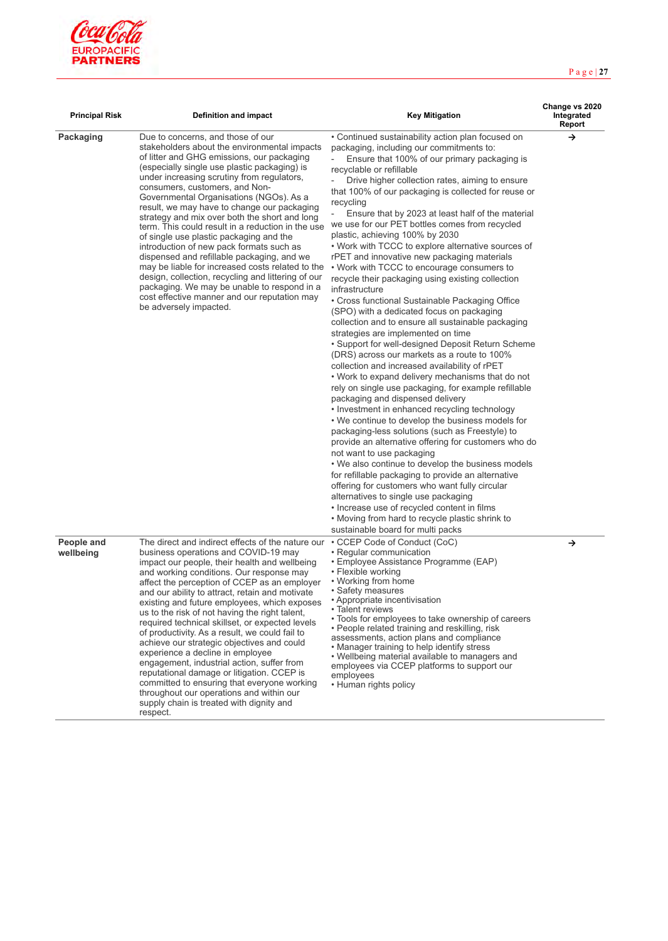

| <b>Principal Risk</b>   | Definition and impact                                                                                                                                                                                                                                                                                                                                                                                                                                                                                                                                                                                                                                                                                                                                                                                                                   | <b>Key Mitigation</b>                                                                                                                                                                                                                                                                                                                                                                                                                                                                                                                                                                                                                                                                                                                                                                                                                                                                                                                                                                                                                                                                                                                                                                                                                                                                                                                                                                                                                                                                                                                                                                                                                                                                                                                                           | Change vs 2020<br>Integrated<br>Report |
|-------------------------|-----------------------------------------------------------------------------------------------------------------------------------------------------------------------------------------------------------------------------------------------------------------------------------------------------------------------------------------------------------------------------------------------------------------------------------------------------------------------------------------------------------------------------------------------------------------------------------------------------------------------------------------------------------------------------------------------------------------------------------------------------------------------------------------------------------------------------------------|-----------------------------------------------------------------------------------------------------------------------------------------------------------------------------------------------------------------------------------------------------------------------------------------------------------------------------------------------------------------------------------------------------------------------------------------------------------------------------------------------------------------------------------------------------------------------------------------------------------------------------------------------------------------------------------------------------------------------------------------------------------------------------------------------------------------------------------------------------------------------------------------------------------------------------------------------------------------------------------------------------------------------------------------------------------------------------------------------------------------------------------------------------------------------------------------------------------------------------------------------------------------------------------------------------------------------------------------------------------------------------------------------------------------------------------------------------------------------------------------------------------------------------------------------------------------------------------------------------------------------------------------------------------------------------------------------------------------------------------------------------------------|----------------------------------------|
| Packaging               | Due to concerns, and those of our<br>stakeholders about the environmental impacts<br>of litter and GHG emissions, our packaging<br>(especially single use plastic packaging) is<br>under increasing scrutiny from regulators,<br>consumers, customers, and Non-<br>Governmental Organisations (NGOs). As a<br>result, we may have to change our packaging<br>strategy and mix over both the short and long<br>term. This could result in a reduction in the use<br>of single use plastic packaging and the<br>introduction of new pack formats such as<br>dispensed and refillable packaging, and we<br>may be liable for increased costs related to the<br>design, collection, recycling and littering of our<br>packaging. We may be unable to respond in a<br>cost effective manner and our reputation may<br>be adversely impacted. | • Continued sustainability action plan focused on<br>packaging, including our commitments to:<br>Ensure that 100% of our primary packaging is<br>recyclable or refillable<br>Drive higher collection rates, aiming to ensure<br>that 100% of our packaging is collected for reuse or<br>recycling<br>Ensure that by 2023 at least half of the material<br>we use for our PET bottles comes from recycled<br>plastic, achieving 100% by 2030<br>• Work with TCCC to explore alternative sources of<br>rPET and innovative new packaging materials<br>• Work with TCCC to encourage consumers to<br>recycle their packaging using existing collection<br>infrastructure<br>• Cross functional Sustainable Packaging Office<br>(SPO) with a dedicated focus on packaging<br>collection and to ensure all sustainable packaging<br>strategies are implemented on time<br>• Support for well-designed Deposit Return Scheme<br>(DRS) across our markets as a route to 100%<br>collection and increased availability of rPET<br>. Work to expand delivery mechanisms that do not<br>rely on single use packaging, for example refillable<br>packaging and dispensed delivery<br>• Investment in enhanced recycling technology<br>• We continue to develop the business models for<br>packaging-less solutions (such as Freestyle) to<br>provide an alternative offering for customers who do<br>not want to use packaging<br>. We also continue to develop the business models<br>for refillable packaging to provide an alternative<br>offering for customers who want fully circular<br>alternatives to single use packaging<br>• Increase use of recycled content in films<br>• Moving from hard to recycle plastic shrink to<br>sustainable board for multi packs | →                                      |
| People and<br>wellbeing | The direct and indirect effects of the nature our<br>business operations and COVID-19 may<br>impact our people, their health and wellbeing<br>and working conditions. Our response may<br>affect the perception of CCEP as an employer<br>and our ability to attract, retain and motivate<br>existing and future employees, which exposes<br>us to the risk of not having the right talent,<br>required technical skillset, or expected levels<br>of productivity. As a result, we could fail to<br>achieve our strategic objectives and could<br>experience a decline in employee<br>engagement, industrial action, suffer from<br>reputational damage or litigation. CCEP is<br>committed to ensuring that everyone working<br>throughout our operations and within our<br>supply chain is treated with dignity and<br>respect.       | • CCEP Code of Conduct (CoC)<br>• Regular communication<br>• Employee Assistance Programme (EAP)<br>• Flexible working<br>• Working from home<br>• Safety measures<br>• Appropriate incentivisation<br>• Talent reviews<br>• Tools for employees to take ownership of careers<br>• People related training and reskilling, risk<br>assessments, action plans and compliance<br>• Manager training to help identify stress<br>• Wellbeing material available to managers and<br>employees via CCEP platforms to support our<br>employees<br>• Human rights policy                                                                                                                                                                                                                                                                                                                                                                                                                                                                                                                                                                                                                                                                                                                                                                                                                                                                                                                                                                                                                                                                                                                                                                                                | →                                      |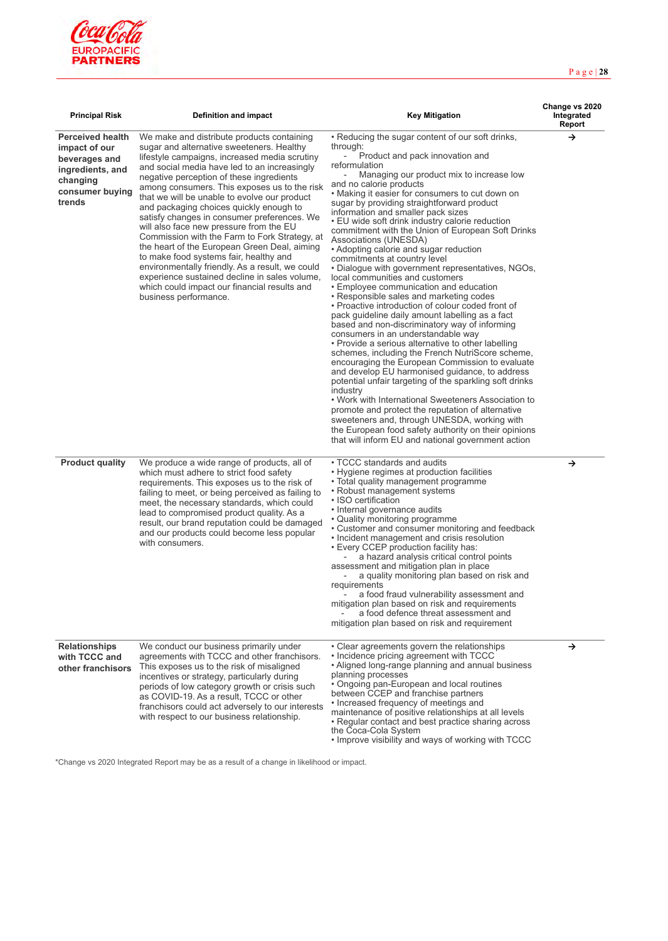

| <b>Principal Risk</b>                                                                                                  | Definition and impact<br><b>Key Mitigation</b>                                                                                                                                                                                                                                                                                                                                                                                                                                                                                                                                                                                                                                                                                                                                                    |                                                                                                                                                                                                                                                                                                                                                                                                                                                                                                                                                                                                                                                                                                                                                                                                                                                                                                                                                                                                                                                                                                                                                                                                                                                                                                                                                                                                                                                                                       | Change vs 2020<br>Integrated<br>Report |
|------------------------------------------------------------------------------------------------------------------------|---------------------------------------------------------------------------------------------------------------------------------------------------------------------------------------------------------------------------------------------------------------------------------------------------------------------------------------------------------------------------------------------------------------------------------------------------------------------------------------------------------------------------------------------------------------------------------------------------------------------------------------------------------------------------------------------------------------------------------------------------------------------------------------------------|---------------------------------------------------------------------------------------------------------------------------------------------------------------------------------------------------------------------------------------------------------------------------------------------------------------------------------------------------------------------------------------------------------------------------------------------------------------------------------------------------------------------------------------------------------------------------------------------------------------------------------------------------------------------------------------------------------------------------------------------------------------------------------------------------------------------------------------------------------------------------------------------------------------------------------------------------------------------------------------------------------------------------------------------------------------------------------------------------------------------------------------------------------------------------------------------------------------------------------------------------------------------------------------------------------------------------------------------------------------------------------------------------------------------------------------------------------------------------------------|----------------------------------------|
| <b>Perceived health</b><br>impact of our<br>beverages and<br>ingredients, and<br>changing<br>consumer buying<br>trends | We make and distribute products containing<br>sugar and alternative sweeteners. Healthy<br>lifestyle campaigns, increased media scrutiny<br>and social media have led to an increasingly<br>negative perception of these ingredients<br>among consumers. This exposes us to the risk<br>that we will be unable to evolve our product<br>and packaging choices quickly enough to<br>satisfy changes in consumer preferences. We<br>will also face new pressure from the EU<br>Commission with the Farm to Fork Strategy, at<br>the heart of the European Green Deal, aiming<br>to make food systems fair, healthy and<br>environmentally friendly. As a result, we could<br>experience sustained decline in sales volume,<br>which could impact our financial results and<br>business performance. | • Reducing the sugar content of our soft drinks,<br>through:<br>Product and pack innovation and<br>reformulation<br>Managing our product mix to increase low<br>and no calorie products<br>• Making it easier for consumers to cut down on<br>sugar by providing straightforward product<br>information and smaller pack sizes<br>• EU wide soft drink industry calorie reduction<br>commitment with the Union of European Soft Drinks<br>Associations (UNESDA)<br>• Adopting calorie and sugar reduction<br>commitments at country level<br>. Dialogue with government representatives, NGOs,<br>local communities and customers<br>• Employee communication and education<br>• Responsible sales and marketing codes<br>• Proactive introduction of colour coded front of<br>pack guideline daily amount labelling as a fact<br>based and non-discriminatory way of informing<br>consumers in an understandable way<br>• Provide a serious alternative to other labelling<br>schemes, including the French NutriScore scheme,<br>encouraging the European Commission to evaluate<br>and develop EU harmonised guidance, to address<br>potential unfair targeting of the sparkling soft drinks<br>industry<br>• Work with International Sweeteners Association to<br>promote and protect the reputation of alternative<br>sweeteners and, through UNESDA, working with<br>the European food safety authority on their opinions<br>that will inform EU and national government action | →                                      |
| <b>Product quality</b>                                                                                                 | We produce a wide range of products, all of<br>which must adhere to strict food safety<br>requirements. This exposes us to the risk of<br>failing to meet, or being perceived as failing to<br>meet, the necessary standards, which could<br>lead to compromised product quality. As a<br>result, our brand reputation could be damaged<br>and our products could become less popular<br>with consumers.                                                                                                                                                                                                                                                                                                                                                                                          | • TCCC standards and audits<br>• Hygiene regimes at production facilities<br>• Total quality management programme<br>• Robust management systems<br>• ISO certification<br>• Internal governance audits<br>• Quality monitoring programme<br>• Customer and consumer monitoring and feedback<br>• Incident management and crisis resolution<br>• Every CCEP production facility has:<br>a hazard analysis critical control points<br>assessment and mitigation plan in place<br>a quality monitoring plan based on risk and<br>requirements<br>- a food fraud vulnerability assessment and<br>mitigation plan based on risk and requirements<br>a food defence threat assessment and<br>mitigation plan based on risk and requirement                                                                                                                                                                                                                                                                                                                                                                                                                                                                                                                                                                                                                                                                                                                                                 | →                                      |
| <b>Relationships</b><br>with TCCC and<br>other franchisors                                                             | We conduct our business primarily under<br>agreements with TCCC and other franchisors.<br>This exposes us to the risk of misaligned<br>incentives or strategy, particularly during<br>periods of low category growth or crisis such<br>as COVID-19. As a result, TCCC or other<br>franchisors could act adversely to our interests<br>with respect to our business relationship.                                                                                                                                                                                                                                                                                                                                                                                                                  | • Clear agreements govern the relationships<br>• Incidence pricing agreement with TCCC<br>• Aligned long-range planning and annual business<br>planning processes<br>· Ongoing pan-European and local routines<br>between CCEP and franchise partners<br>• Increased frequency of meetings and<br>maintenance of positive relationships at all levels<br>• Regular contact and best practice sharing across<br>the Coca-Cola System<br>. Improve visibility and ways of working with TCCC                                                                                                                                                                                                                                                                                                                                                                                                                                                                                                                                                                                                                                                                                                                                                                                                                                                                                                                                                                                             | →                                      |

\*Change vs 2020 Integrated Report may be as a result of a change in likelihood or impact.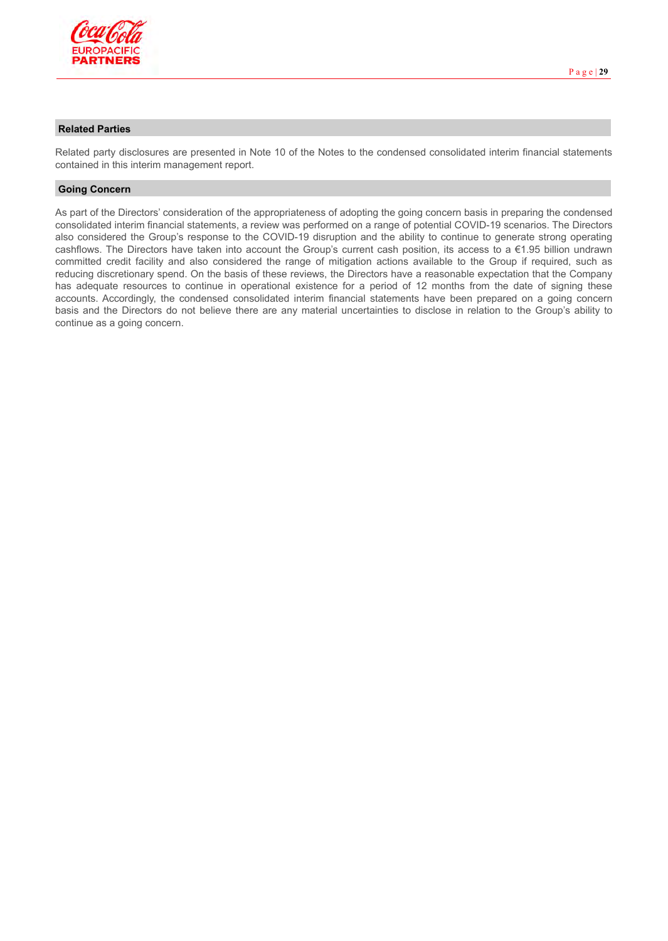

#### **Related Parties**

Related party disclosures are presented in Note 10 of the Notes to the condensed consolidated interim financial statements contained in this interim management report.

#### **Going Concern**

As part of the Directors' consideration of the appropriateness of adopting the going concern basis in preparing the condensed consolidated interim financial statements, a review was performed on a range of potential COVID-19 scenarios. The Directors also considered the Group's response to the COVID-19 disruption and the ability to continue to generate strong operating cashflows. The Directors have taken into account the Group's current cash position, its access to a €1.95 billion undrawn committed credit facility and also considered the range of mitigation actions available to the Group if required, such as reducing discretionary spend. On the basis of these reviews, the Directors have a reasonable expectation that the Company has adequate resources to continue in operational existence for a period of 12 months from the date of signing these accounts. Accordingly, the condensed consolidated interim financial statements have been prepared on a going concern basis and the Directors do not believe there are any material uncertainties to disclose in relation to the Group's ability to continue as a going concern.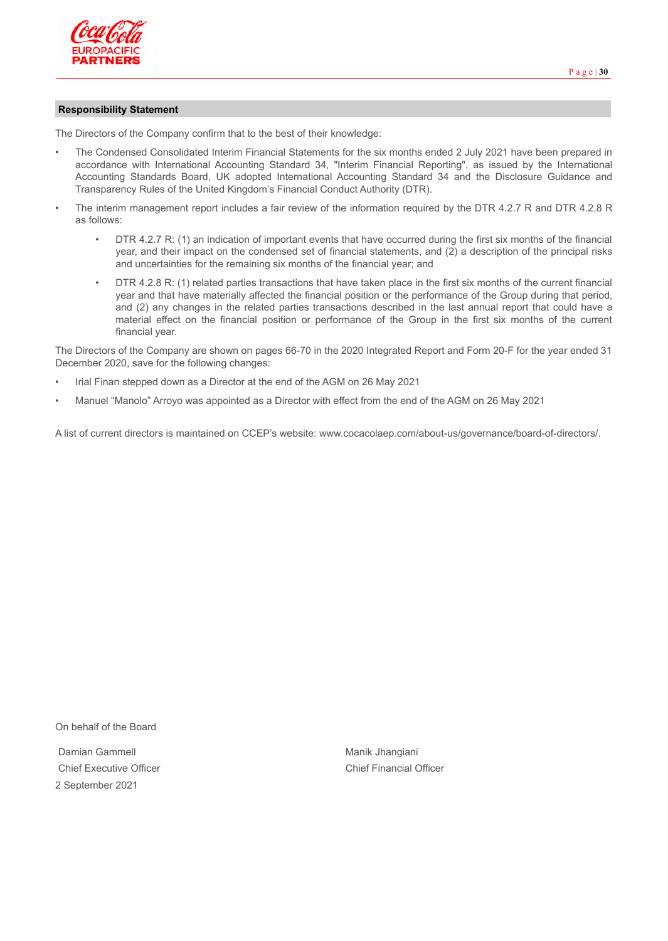

#### **Responsibility Statement**

The Directors of the Company confirm that to the best of their knowledge:

- The Condensed Consolidated Interim Financial Statements for the six months ended 2 July 2021 have been prepared in accordance with International Accounting Standard 34, "Interim Financial Reporting", as issued by the International Accounting Standards Board, UK adopted International Accounting Standard 34 and the Disclosure Guidance and Transparency Rules of the United Kingdom's Financial Conduct Authority (DTR).
- The interim management report includes a fair review of the information required by the DTR 4.2.7 R and DTR 4.2.8 R as follows:
	- DTR 4.2.7 R: (1) an indication of important events that have occurred during the first six months of the financial year, and their impact on the condensed set of financial statements, and (2) a description of the principal risks and uncertainties for the remaining six months of the financial year; and
	- DTR 4.2.8 R: (1) related parties transactions that have taken place in the first six months of the current financial year and that have materially affected the financial position or the performance of the Group during that period, and (2) any changes in the related parties transactions described in the last annual report that could have a material effect on the financial position or performance of the Group in the first six months of the current financial year.

The Directors of the Company are shown on pages 66-70 in the 2020 Integrated Report and Form 20-F for the year ended 31 December 2020, save for the following changes:

- Irial Finan stepped down as a Director at the end of the AGM on 26 May 2021
- Manuel "Manolo" Arroyo was appointed as a Director with effect from the end of the AGM on 26 May 2021

A list of current directors is maintained on CCEP's website: www.cocacolaep.com/about-us/governance/board-of-directors/.

On behalf of the Board

Damian Gammell Manik Jhangiani Chief Executive Officer Chief Financial Officer 2 September 2021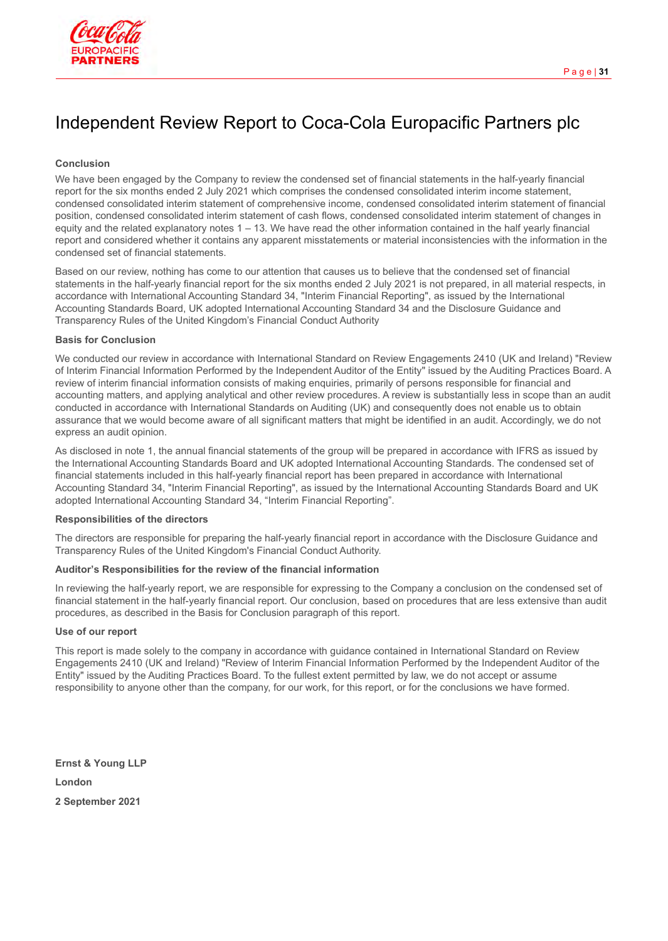

# Independent Review Report to Coca-Cola Europacific Partners plc

## **Conclusion**

We have been engaged by the Company to review the condensed set of financial statements in the half-yearly financial report for the six months ended 2 July 2021 which comprises the condensed consolidated interim income statement, condensed consolidated interim statement of comprehensive income, condensed consolidated interim statement of financial position, condensed consolidated interim statement of cash flows, condensed consolidated interim statement of changes in equity and the related explanatory notes  $1 - 13$ . We have read the other information contained in the half yearly financial report and considered whether it contains any apparent misstatements or material inconsistencies with the information in the condensed set of financial statements.

Based on our review, nothing has come to our attention that causes us to believe that the condensed set of financial statements in the half-yearly financial report for the six months ended 2 July 2021 is not prepared, in all material respects, in accordance with International Accounting Standard 34, "Interim Financial Reporting", as issued by the International Accounting Standards Board, UK adopted International Accounting Standard 34 and the Disclosure Guidance and Transparency Rules of the United Kingdom's Financial Conduct Authority

#### **Basis for Conclusion**

We conducted our review in accordance with International Standard on Review Engagements 2410 (UK and Ireland) "Review of Interim Financial Information Performed by the Independent Auditor of the Entity" issued by the Auditing Practices Board. A review of interim financial information consists of making enquiries, primarily of persons responsible for financial and accounting matters, and applying analytical and other review procedures. A review is substantially less in scope than an audit conducted in accordance with International Standards on Auditing (UK) and consequently does not enable us to obtain assurance that we would become aware of all significant matters that might be identified in an audit. Accordingly, we do not express an audit opinion.

As disclosed in note 1, the annual financial statements of the group will be prepared in accordance with IFRS as issued by the International Accounting Standards Board and UK adopted International Accounting Standards. The condensed set of financial statements included in this half-yearly financial report has been prepared in accordance with International Accounting Standard 34, "Interim Financial Reporting", as issued by the International Accounting Standards Board and UK adopted International Accounting Standard 34, "Interim Financial Reporting".

#### **Responsibilities of the directors**

The directors are responsible for preparing the half-yearly financial report in accordance with the Disclosure Guidance and Transparency Rules of the United Kingdom's Financial Conduct Authority.

#### **Auditor's Responsibilities for the review of the financial information**

In reviewing the half-yearly report, we are responsible for expressing to the Company a conclusion on the condensed set of financial statement in the half-yearly financial report. Our conclusion, based on procedures that are less extensive than audit procedures, as described in the Basis for Conclusion paragraph of this report.

#### **Use of our report**

This report is made solely to the company in accordance with guidance contained in International Standard on Review Engagements 2410 (UK and Ireland) "Review of Interim Financial Information Performed by the Independent Auditor of the Entity" issued by the Auditing Practices Board. To the fullest extent permitted by law, we do not accept or assume responsibility to anyone other than the company, for our work, for this report, or for the conclusions we have formed.

**Ernst & Young LLP London 2 September 2021**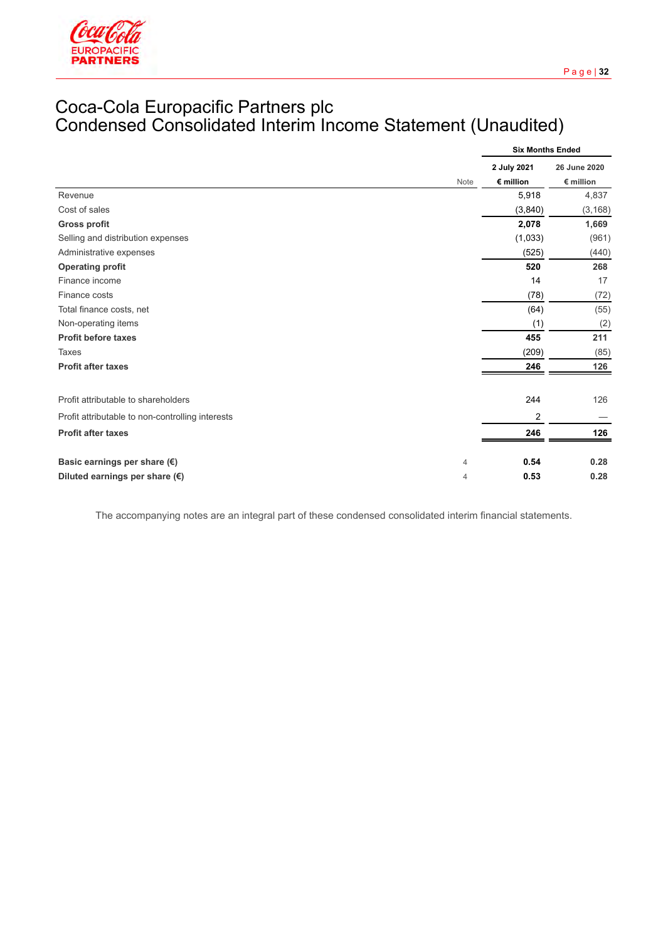

|                                                  |                | <b>Six Months Ended</b> |              |
|--------------------------------------------------|----------------|-------------------------|--------------|
|                                                  |                | 2 July 2021             | 26 June 2020 |
|                                                  | Note           | $\epsilon$ million      | € million    |
| Revenue                                          |                | 5,918                   | 4,837        |
| Cost of sales                                    |                | (3,840)                 | (3, 168)     |
| <b>Gross profit</b>                              |                | 2,078                   | 1,669        |
| Selling and distribution expenses                |                | (1,033)                 | (961)        |
| Administrative expenses                          |                | (525)                   | (440)        |
| <b>Operating profit</b>                          |                | 520                     | 268          |
| Finance income                                   |                | 14                      | 17           |
| Finance costs                                    |                | (78)                    | (72)         |
| Total finance costs, net                         |                | (64)                    | (55)         |
| Non-operating items                              |                | (1)                     | (2)          |
| <b>Profit before taxes</b>                       |                | 455                     | 211          |
| <b>Taxes</b>                                     |                | (209)                   | (85)         |
| <b>Profit after taxes</b>                        |                | 246                     | 126          |
| Profit attributable to shareholders              |                | 244                     | 126          |
| Profit attributable to non-controlling interests |                | 2                       |              |
| <b>Profit after taxes</b>                        |                | 246                     | 126          |
| Basic earnings per share $(\epsilon)$            | $\overline{4}$ | 0.54                    | 0.28         |
| Diluted earnings per share $(\epsilon)$          | 4              | 0.53                    | 0.28         |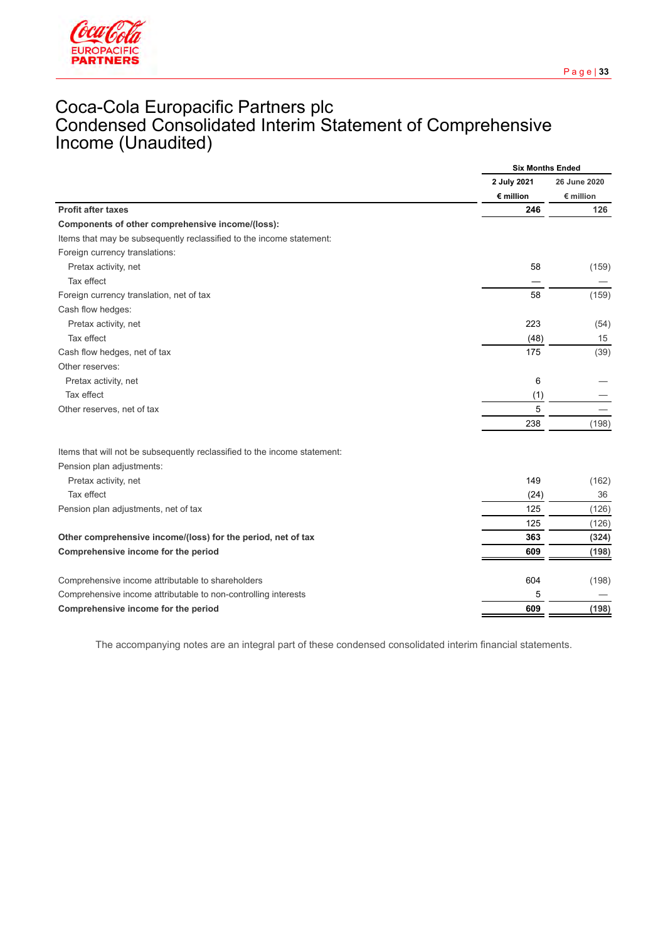

# Coca-Cola Europacific Partners plc Condensed Consolidated Interim Statement of Comprehensive Income (Unaudited)

|                                                                           | <b>Six Months Ended</b> |              |
|---------------------------------------------------------------------------|-------------------------|--------------|
|                                                                           | 2 July 2021             | 26 June 2020 |
|                                                                           | $\epsilon$ million      | € million    |
| <b>Profit after taxes</b>                                                 | 246                     | 126          |
| Components of other comprehensive income/(loss):                          |                         |              |
| Items that may be subsequently reclassified to the income statement:      |                         |              |
| Foreign currency translations:                                            |                         |              |
| Pretax activity, net                                                      | 58                      | (159)        |
| Tax effect                                                                |                         |              |
| Foreign currency translation, net of tax                                  | 58                      | (159)        |
| Cash flow hedges:                                                         |                         |              |
| Pretax activity, net                                                      | 223                     | (54)         |
| Tax effect                                                                | (48)                    | 15           |
| Cash flow hedges, net of tax                                              | 175                     | (39)         |
| Other reserves:                                                           |                         |              |
| Pretax activity, net                                                      | 6                       |              |
| Tax effect                                                                | (1)                     |              |
| Other reserves, net of tax                                                | 5                       |              |
|                                                                           | 238                     | (198)        |
| Items that will not be subsequently reclassified to the income statement: |                         |              |
| Pension plan adjustments:                                                 |                         |              |
| Pretax activity, net                                                      | 149                     | (162)        |
| Tax effect                                                                | (24)                    | 36           |
| Pension plan adjustments, net of tax                                      | 125                     | (126)        |
|                                                                           | 125                     | (126)        |
| Other comprehensive income/(loss) for the period, net of tax              | 363                     | (324)        |
| Comprehensive income for the period                                       | 609                     | (198)        |
| Comprehensive income attributable to shareholders                         | 604                     | (198)        |
| Comprehensive income attributable to non-controlling interests            | 5                       |              |
| Comprehensive income for the period                                       | 609                     | (198)        |
|                                                                           |                         |              |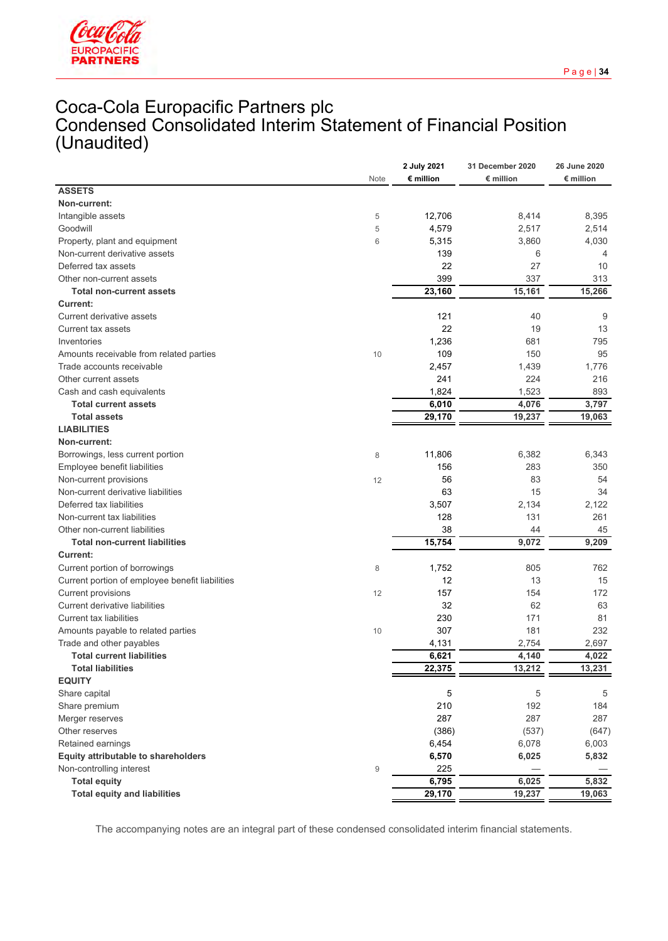

# Coca-Cola Europacific Partners plc Condensed Consolidated Interim Statement of Financial Position (Unaudited)

|                                                 |                  | 2 July 2021 | 31 December 2020 | 26 June 2020 |
|-------------------------------------------------|------------------|-------------|------------------|--------------|
|                                                 | Note             | € million   | € million        | € million    |
| <b>ASSETS</b>                                   |                  |             |                  |              |
| Non-current:                                    |                  |             |                  |              |
| Intangible assets                               | 5                | 12,706      | 8,414            | 8,395        |
| Goodwill                                        | 5                | 4,579       | 2,517            | 2,514        |
| Property, plant and equipment                   | 6                | 5,315       | 3,860            | 4,030        |
| Non-current derivative assets                   |                  | 139         | 6                | 4            |
| Deferred tax assets                             |                  | 22          | 27               | 10           |
| Other non-current assets                        |                  | 399         | 337              | 313          |
| <b>Total non-current assets</b>                 |                  | 23,160      | 15,161           | 15,266       |
| Current:                                        |                  |             |                  |              |
| Current derivative assets                       |                  | 121         | 40               | 9            |
| Current tax assets                              |                  | 22          | 19               | 13           |
| Inventories                                     |                  | 1,236       | 681              | 795          |
| Amounts receivable from related parties         | 10               | 109         | 150              | 95           |
| Trade accounts receivable                       |                  | 2,457       | 1,439            | 1,776        |
| Other current assets                            |                  | 241         | 224              | 216          |
| Cash and cash equivalents                       |                  | 1,824       | 1,523            | 893          |
| <b>Total current assets</b>                     |                  | 6,010       | 4,076            | 3,797        |
| <b>Total assets</b>                             |                  | 29,170      | 19,237           | 19,063       |
| <b>LIABILITIES</b>                              |                  |             |                  |              |
| Non-current:                                    |                  |             |                  |              |
| Borrowings, less current portion                | 8                | 11,806      | 6,382            | 6,343        |
| Employee benefit liabilities                    |                  | 156         | 283              | 350          |
|                                                 |                  | 56          | 83               | 54           |
| Non-current provisions                          | 12               | 63          | 15               | 34           |
| Non-current derivative liabilities              |                  |             |                  |              |
| Deferred tax liabilities                        |                  | 3,507       | 2,134            | 2,122        |
| Non-current tax liabilities                     |                  | 128         | 131              | 261          |
| Other non-current liabilities                   |                  | 38          | 44               | 45           |
| <b>Total non-current liabilities</b>            |                  | 15,754      | 9,072            | 9,209        |
| Current:                                        |                  |             |                  |              |
| Current portion of borrowings                   | 8                | 1,752       | 805              | 762          |
| Current portion of employee benefit liabilities |                  | 12          | 13               | 15           |
| Current provisions                              | 12               | 157         | 154              | 172          |
| Current derivative liabilities                  |                  | 32          | 62               | 63           |
| <b>Current tax liabilities</b>                  |                  | 230         | 171              | 81           |
| Amounts payable to related parties              | 10               | 307         | 181              | 232          |
| Trade and other payables                        |                  | 4,131       | 2,754            | 2,697        |
| <b>Total current liabilities</b>                |                  | 6,621       | 4,140            | 4,022        |
| <b>Total liabilities</b>                        |                  | 22,375      | 13,212           | 13,231       |
| <b>EQUITY</b>                                   |                  |             |                  |              |
| Share capital                                   |                  | 5           | 5                | 5            |
| Share premium                                   |                  | 210         | 192              | 184          |
| Merger reserves                                 |                  | 287         | 287              | 287          |
| Other reserves                                  |                  | (386)       | (537)            | (647)        |
| Retained earnings                               |                  | 6,454       | 6,078            | 6,003        |
| <b>Equity attributable to shareholders</b>      |                  | 6,570       | 6,025            | 5,832        |
| Non-controlling interest                        | $\boldsymbol{9}$ | 225         |                  |              |
| <b>Total equity</b>                             |                  | 6,795       | 6,025            | 5,832        |
| <b>Total equity and liabilities</b>             |                  | 29,170      | 19,237           | 19,063       |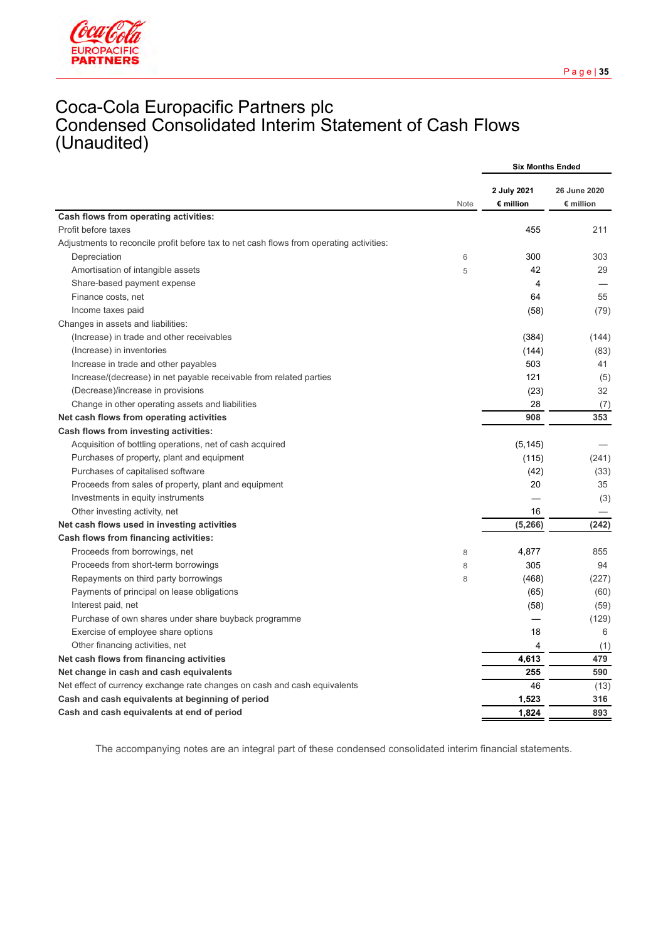

# Coca-Cola Europacific Partners plc Condensed Consolidated Interim Statement of Cash Flows (Unaudited)

|                                                                                         |      | <b>Six Months Ended</b>           |                           |
|-----------------------------------------------------------------------------------------|------|-----------------------------------|---------------------------|
|                                                                                         | Note | 2 July 2021<br>$\epsilon$ million | 26 June 2020<br>€ million |
| Cash flows from operating activities:                                                   |      |                                   |                           |
| Profit before taxes                                                                     |      | 455                               | 211                       |
| Adjustments to reconcile profit before tax to net cash flows from operating activities: |      |                                   |                           |
| Depreciation                                                                            | 6    | 300                               | 303                       |
| Amortisation of intangible assets                                                       | 5    | 42                                | 29                        |
| Share-based payment expense                                                             |      | $\overline{\mathbf{4}}$           |                           |
| Finance costs, net                                                                      |      | 64                                | 55                        |
| Income taxes paid                                                                       |      | (58)                              | (79)                      |
| Changes in assets and liabilities:                                                      |      |                                   |                           |
| (Increase) in trade and other receivables                                               |      | (384)                             | (144)                     |
| (Increase) in inventories                                                               |      | (144)                             | (83)                      |
| Increase in trade and other payables                                                    |      | 503                               | 41                        |
| Increase/(decrease) in net payable receivable from related parties                      |      | 121                               | (5)                       |
| (Decrease)/increase in provisions                                                       |      | (23)                              | 32                        |
| Change in other operating assets and liabilities                                        |      | 28                                | (7)                       |
| Net cash flows from operating activities                                                |      | 908                               | 353                       |
| Cash flows from investing activities:                                                   |      |                                   |                           |
| Acquisition of bottling operations, net of cash acquired                                |      | (5, 145)                          |                           |
| Purchases of property, plant and equipment                                              |      | (115)                             | (241)                     |
| Purchases of capitalised software                                                       |      | (42)                              | (33)                      |
| Proceeds from sales of property, plant and equipment                                    |      | 20                                | 35                        |
| Investments in equity instruments                                                       |      |                                   | (3)                       |
| Other investing activity, net                                                           |      | 16                                |                           |
| Net cash flows used in investing activities                                             |      | (5, 266)                          | (242)                     |
| Cash flows from financing activities:                                                   |      |                                   |                           |
| Proceeds from borrowings, net                                                           | 8    | 4,877                             | 855                       |
| Proceeds from short-term borrowings                                                     | 8    | 305                               | 94                        |
| Repayments on third party borrowings                                                    | 8    | (468)                             | (227)                     |
| Payments of principal on lease obligations                                              |      | (65)                              | (60)                      |
| Interest paid, net                                                                      |      | (58)                              | (59)                      |
| Purchase of own shares under share buyback programme                                    |      |                                   | (129)                     |
| Exercise of employee share options                                                      |      | 18                                | 6                         |
| Other financing activities, net                                                         |      | 4                                 | (1)                       |
| Net cash flows from financing activities                                                |      | 4,613                             | 479                       |
| Net change in cash and cash equivalents                                                 |      | 255                               | 590                       |
| Net effect of currency exchange rate changes on cash and cash equivalents               |      | 46                                | (13)                      |
| Cash and cash equivalents at beginning of period                                        |      | 1,523                             | 316                       |
| Cash and cash equivalents at end of period                                              |      | 1,824                             | 893                       |
|                                                                                         |      |                                   |                           |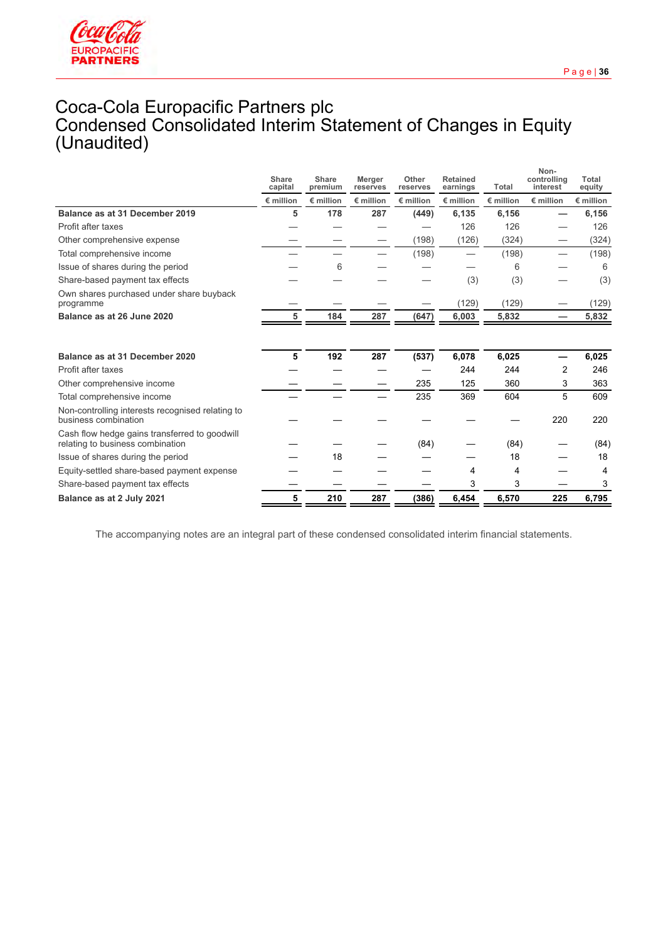

# Coca-Cola Europacific Partners plc Condensed Consolidated Interim Statement of Changes in Equity (Unaudited)

|                                                                                   | <b>Share</b><br>capital | Share<br>premium   | <b>Merger</b><br>reserves | Other<br>reserves  | <b>Retained</b><br>earnings | Total              | Non-<br>controlling<br>interest | <b>Total</b><br>equity |
|-----------------------------------------------------------------------------------|-------------------------|--------------------|---------------------------|--------------------|-----------------------------|--------------------|---------------------------------|------------------------|
|                                                                                   | $\epsilon$ million      | $\epsilon$ million | $\epsilon$ million        | $\epsilon$ million | $\epsilon$ million          | $\epsilon$ million | $\epsilon$ million              | $\epsilon$ million     |
| Balance as at 31 December 2019                                                    | 5                       | 178                | 287                       | (449)              | 6,135                       | 6,156              |                                 | 6,156                  |
| Profit after taxes                                                                |                         |                    |                           |                    | 126                         | 126                |                                 | 126                    |
| Other comprehensive expense                                                       |                         |                    |                           | (198)              | (126)                       | (324)              |                                 | (324)                  |
| Total comprehensive income                                                        |                         |                    |                           | (198)              |                             | (198)              |                                 | (198)                  |
| Issue of shares during the period                                                 |                         | 6                  |                           |                    |                             | 6                  |                                 | 6                      |
| Share-based payment tax effects                                                   |                         |                    |                           |                    | (3)                         | (3)                |                                 | (3)                    |
| Own shares purchased under share buyback<br>programme                             |                         |                    |                           |                    | (129)                       | (129)              |                                 | (129)                  |
| Balance as at 26 June 2020                                                        | 5                       | 184                | 287                       | (647)              | 6,003                       | 5,832              |                                 | 5,832                  |
| Balance as at 31 December 2020                                                    | 5                       | 192                | 287                       | (537)              | 6,078                       | 6,025              |                                 | 6,025                  |
| Profit after taxes                                                                |                         |                    |                           |                    | 244                         | 244                | $\overline{2}$                  | 246                    |
| Other comprehensive income                                                        |                         |                    |                           | 235                | 125                         | 360                | 3                               | 363                    |
| Total comprehensive income                                                        |                         |                    |                           | 235                | 369                         | 604                | 5                               | 609                    |
| Non-controlling interests recognised relating to<br>business combination          |                         |                    |                           |                    |                             |                    | 220                             | 220                    |
| Cash flow hedge gains transferred to goodwill<br>relating to business combination |                         |                    |                           | (84)               |                             | (84)               |                                 | (84)                   |
| Issue of shares during the period                                                 |                         | 18                 |                           |                    |                             | 18                 |                                 | 18                     |
| Equity-settled share-based payment expense                                        |                         |                    |                           |                    | 4                           | 4                  |                                 | 4                      |
| Share-based payment tax effects                                                   |                         |                    |                           |                    | 3                           | 3                  |                                 | 3                      |
| Balance as at 2 July 2021                                                         | 5                       | 210                | 287                       | (386)              | 6,454                       | 6,570              | 225                             | 6,795                  |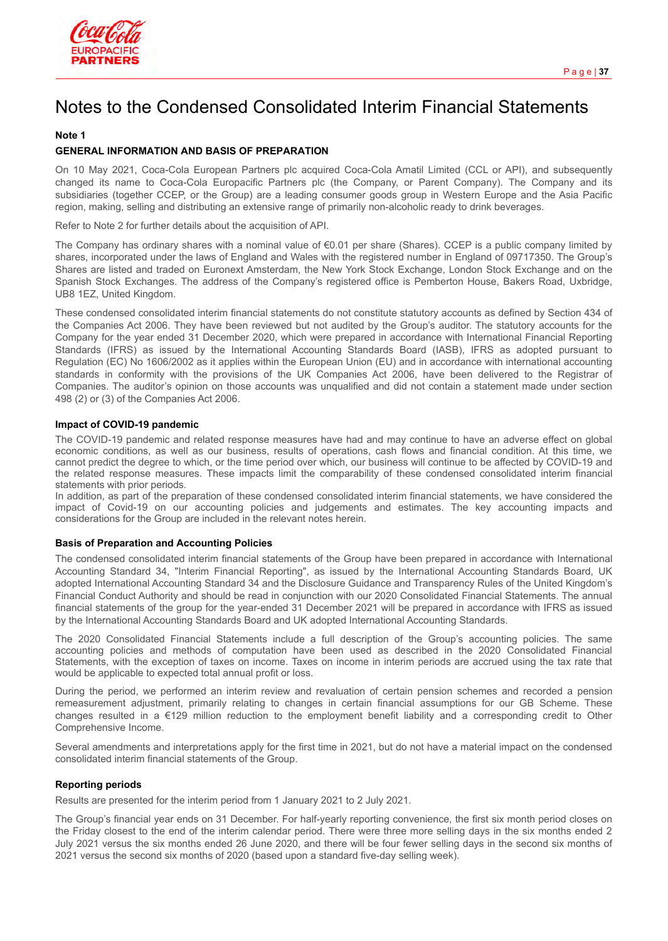

# Notes to the Condensed Consolidated Interim Financial Statements

## **Note 1**

## **GENERAL INFORMATION AND BASIS OF PREPARATION**

On 10 May 2021, Coca-Cola European Partners plc acquired Coca-Cola Amatil Limited (CCL or API), and subsequently changed its name to Coca-Cola Europacific Partners plc (the Company, or Parent Company). The Company and its subsidiaries (together CCEP, or the Group) are a leading consumer goods group in Western Europe and the Asia Pacific region, making, selling and distributing an extensive range of primarily non-alcoholic ready to drink beverages.

Refer to Note 2 for further details about the acquisition of API.

The Company has ordinary shares with a nominal value of €0.01 per share (Shares). CCEP is a public company limited by shares, incorporated under the laws of England and Wales with the registered number in England of 09717350. The Group's Shares are listed and traded on Euronext Amsterdam, the New York Stock Exchange, London Stock Exchange and on the Spanish Stock Exchanges. The address of the Company's registered office is Pemberton House, Bakers Road, Uxbridge, UB8 1EZ, United Kingdom.

These condensed consolidated interim financial statements do not constitute statutory accounts as defined by Section 434 of the Companies Act 2006. They have been reviewed but not audited by the Group's auditor. The statutory accounts for the Company for the year ended 31 December 2020, which were prepared in accordance with International Financial Reporting Standards (IFRS) as issued by the International Accounting Standards Board (IASB), IFRS as adopted pursuant to Regulation (EC) No 1606/2002 as it applies within the European Union (EU) and in accordance with international accounting standards in conformity with the provisions of the UK Companies Act 2006, have been delivered to the Registrar of Companies. The auditor's opinion on those accounts was unqualified and did not contain a statement made under section 498 (2) or (3) of the Companies Act 2006.

#### **Impact of COVID-19 pandemic**

The COVID-19 pandemic and related response measures have had and may continue to have an adverse effect on global economic conditions, as well as our business, results of operations, cash flows and financial condition. At this time, we cannot predict the degree to which, or the time period over which, our business will continue to be affected by COVID-19 and the related response measures. These impacts limit the comparability of these condensed consolidated interim financial statements with prior periods.

In addition, as part of the preparation of these condensed consolidated interim financial statements, we have considered the impact of Covid-19 on our accounting policies and judgements and estimates. The key accounting impacts and considerations for the Group are included in the relevant notes herein.

#### **Basis of Preparation and Accounting Policies**

The condensed consolidated interim financial statements of the Group have been prepared in accordance with International Accounting Standard 34, "Interim Financial Reporting", as issued by the International Accounting Standards Board, UK adopted International Accounting Standard 34 and the Disclosure Guidance and Transparency Rules of the United Kingdom's Financial Conduct Authority and should be read in conjunction with our 2020 Consolidated Financial Statements. The annual financial statements of the group for the year-ended 31 December 2021 will be prepared in accordance with IFRS as issued by the International Accounting Standards Board and UK adopted International Accounting Standards.

The 2020 Consolidated Financial Statements include a full description of the Group's accounting policies. The same accounting policies and methods of computation have been used as described in the 2020 Consolidated Financial Statements, with the exception of taxes on income. Taxes on income in interim periods are accrued using the tax rate that would be applicable to expected total annual profit or loss.

During the period, we performed an interim review and revaluation of certain pension schemes and recorded a pension remeasurement adjustment, primarily relating to changes in certain financial assumptions for our GB Scheme. These changes resulted in a €129 million reduction to the employment benefit liability and a corresponding credit to Other Comprehensive Income.

Several amendments and interpretations apply for the first time in 2021, but do not have a material impact on the condensed consolidated interim financial statements of the Group.

#### **Reporting periods**

Results are presented for the interim period from 1 January 2021 to 2 July 2021.

The Group's financial year ends on 31 December. For half-yearly reporting convenience, the first six month period closes on the Friday closest to the end of the interim calendar period. There were three more selling days in the six months ended 2 July 2021 versus the six months ended 26 June 2020, and there will be four fewer selling days in the second six months of 2021 versus the second six months of 2020 (based upon a standard five-day selling week).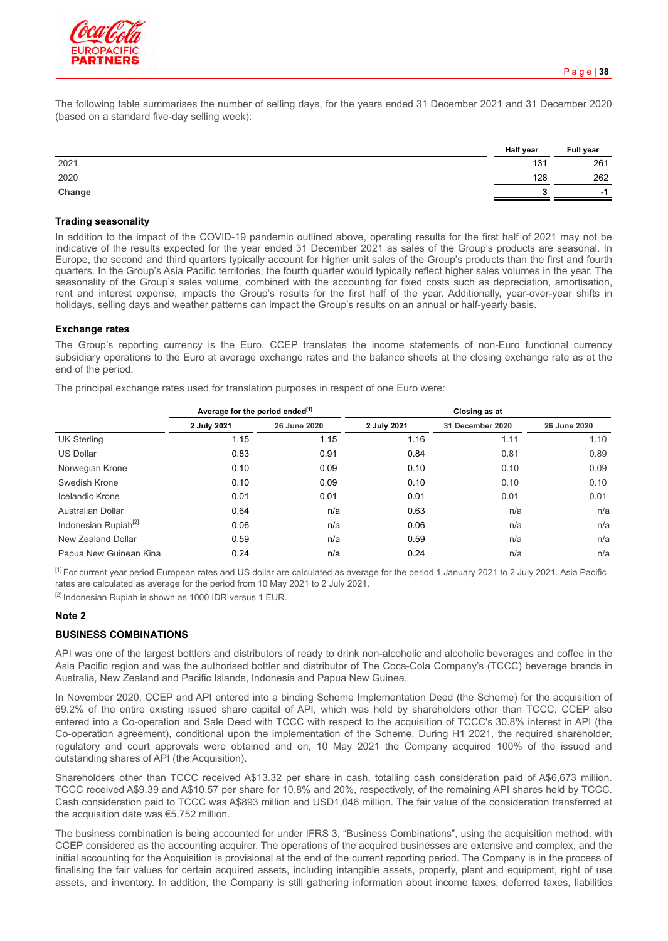

The following table summarises the number of selling days, for the years ended 31 December 2021 and 31 December 2020 (based on a standard five-day selling week):

|        | Half year | Full year |
|--------|-----------|-----------|
| 2021   | 131       | 261       |
| 2020   | 128       | 262       |
| Change |           | - 1       |
|        |           |           |

#### **Trading seasonality**

In addition to the impact of the COVID-19 pandemic outlined above, operating results for the first half of 2021 may not be indicative of the results expected for the year ended 31 December 2021 as sales of the Group's products are seasonal. In Europe, the second and third quarters typically account for higher unit sales of the Group's products than the first and fourth quarters. In the Group's Asia Pacific territories, the fourth quarter would typically reflect higher sales volumes in the year. The seasonality of the Group's sales volume, combined with the accounting for fixed costs such as depreciation, amortisation, rent and interest expense, impacts the Group's results for the first half of the year. Additionally, year-over-year shifts in holidays, selling days and weather patterns can impact the Group's results on an annual or half-yearly basis.

#### **Exchange rates**

The Group's reporting currency is the Euro. CCEP translates the income statements of non-Euro functional currency subsidiary operations to the Euro at average exchange rates and the balance sheets at the closing exchange rate as at the end of the period.

The principal exchange rates used for translation purposes in respect of one Euro were:

|                                  |             | Average for the period ended <sup>[1]</sup> |             | Closing as at    |              |
|----------------------------------|-------------|---------------------------------------------|-------------|------------------|--------------|
|                                  | 2 July 2021 | 26 June 2020                                | 2 July 2021 | 31 December 2020 | 26 June 2020 |
| <b>UK Sterling</b>               | 1.15        | 1.15                                        | 1.16        | 1.11             | 1.10         |
| <b>US Dollar</b>                 | 0.83        | 0.91                                        | 0.84        | 0.81             | 0.89         |
| Norwegian Krone                  | 0.10        | 0.09                                        | 0.10        | 0.10             | 0.09         |
| Swedish Krone                    | 0.10        | 0.09                                        | 0.10        | 0.10             | 0.10         |
| Icelandic Krone                  | 0.01        | 0.01                                        | 0.01        | 0.01             | 0.01         |
| Australian Dollar                | 0.64        | n/a                                         | 0.63        | n/a              | n/a          |
| Indonesian Rupiah <sup>[2]</sup> | 0.06        | n/a                                         | 0.06        | n/a              | n/a          |
| New Zealand Dollar               | 0.59        | n/a                                         | 0.59        | n/a              | n/a          |
| Papua New Guinean Kina           | 0.24        | n/a                                         | 0.24        | n/a              | n/a          |

<sup>[1]</sup> For current year period European rates and US dollar are calculated as average for the period 1 January 2021 to 2 July 2021. Asia Pacific rates are calculated as average for the period from 10 May 2021 to 2 July 2021.

 $^{[2]}$  Indonesian Rupiah is shown as 1000 IDR versus 1 EUR.

## **Note 2**

## **BUSINESS COMBINATIONS**

API was one of the largest bottlers and distributors of ready to drink non-alcoholic and alcoholic beverages and coffee in the Asia Pacific region and was the authorised bottler and distributor of The Coca-Cola Company's (TCCC) beverage brands in Australia, New Zealand and Pacific Islands, Indonesia and Papua New Guinea.

In November 2020, CCEP and API entered into a binding Scheme Implementation Deed (the Scheme) for the acquisition of 69.2% of the entire existing issued share capital of API, which was held by shareholders other than TCCC. CCEP also entered into a Co-operation and Sale Deed with TCCC with respect to the acquisition of TCCC's 30.8% interest in API (the Co-operation agreement), conditional upon the implementation of the Scheme. During H1 2021, the required shareholder, regulatory and court approvals were obtained and on, 10 May 2021 the Company acquired 100% of the issued and outstanding shares of API (the Acquisition).

Shareholders other than TCCC received A\$13.32 per share in cash, totalling cash consideration paid of A\$6,673 million. TCCC received A\$9.39 and A\$10.57 per share for 10.8% and 20%, respectively, of the remaining API shares held by TCCC. Cash consideration paid to TCCC was A\$893 million and USD1,046 million. The fair value of the consideration transferred at the acquisition date was €5,752 million.

The business combination is being accounted for under IFRS 3, "Business Combinations", using the acquisition method, with CCEP considered as the accounting acquirer. The operations of the acquired businesses are extensive and complex, and the initial accounting for the Acquisition is provisional at the end of the current reporting period. The Company is in the process of finalising the fair values for certain acquired assets, including intangible assets, property, plant and equipment, right of use assets, and inventory. In addition, the Company is still gathering information about income taxes, deferred taxes, liabilities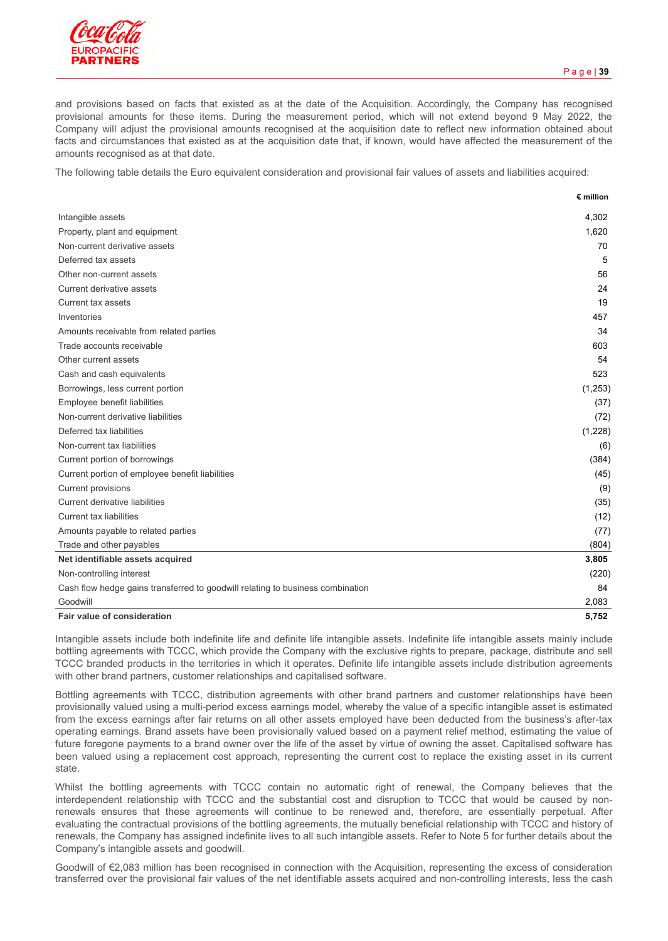

and provisions based on facts that existed as at the date of the Acquisition. Accordingly, the Company has recognised provisional amounts for these items. During the measurement period, which will not extend beyond 9 May 2022, the Company will adjust the provisional amounts recognised at the acquisition date to reflect new information obtained about facts and circumstances that existed as at the acquisition date that, if known, would have affected the measurement of the amounts recognised as at that date.

The following table details the Euro equivalent consideration and provisional fair values of assets and liabilities acquired:

|                                                                                | $\epsilon$ million |
|--------------------------------------------------------------------------------|--------------------|
| Intangible assets                                                              | 4,302              |
| Property, plant and equipment                                                  | 1,620              |
| Non-current derivative assets                                                  | 70                 |
| Deferred tax assets                                                            | 5                  |
| Other non-current assets                                                       | 56                 |
| Current derivative assets                                                      | 24                 |
| Current tax assets                                                             | 19                 |
| Inventories                                                                    | 457                |
| Amounts receivable from related parties                                        | 34                 |
| Trade accounts receivable                                                      | 603                |
| Other current assets                                                           | 54                 |
| Cash and cash equivalents                                                      | 523                |
| Borrowings, less current portion                                               | (1,253)            |
| Employee benefit liabilities                                                   | (37)               |
| Non-current derivative liabilities                                             | (72)               |
| Deferred tax liabilities                                                       | (1,228)            |
| Non-current tax liabilities                                                    | (6)                |
| Current portion of borrowings                                                  | (384)              |
| Current portion of employee benefit liabilities                                | (45)               |
| Current provisions                                                             | (9)                |
| Current derivative liabilities                                                 | (35)               |
| <b>Current tax liabilities</b>                                                 | (12)               |
| Amounts payable to related parties                                             | (77)               |
| Trade and other payables                                                       | (804)              |
| Net identifiable assets acquired                                               | 3,805              |
| Non-controlling interest                                                       | (220)              |
| Cash flow hedge gains transferred to goodwill relating to business combination | 84                 |
| Goodwill                                                                       | 2,083              |
| Fair value of consideration                                                    | 5.752              |

Intangible assets include both indefinite life and definite life intangible assets. Indefinite life intangible assets mainly include bottling agreements with TCCC, which provide the Company with the exclusive rights to prepare, package, distribute and sell TCCC branded products in the territories in which it operates. Definite life intangible assets include distribution agreements with other brand partners, customer relationships and capitalised software.

Bottling agreements with TCCC, distribution agreements with other brand partners and customer relationships have been provisionally valued using a multi-period excess earnings model, whereby the value of a specific intangible asset is estimated from the excess earnings after fair returns on all other assets employed have been deducted from the business's after-tax operating earnings. Brand assets have been provisionally valued based on a payment relief method, estimating the value of future foregone payments to a brand owner over the life of the asset by virtue of owning the asset. Capitalised software has been valued using a replacement cost approach, representing the current cost to replace the existing asset in its current state.

Whilst the bottling agreements with TCCC contain no automatic right of renewal, the Company believes that the interdependent relationship with TCCC and the substantial cost and disruption to TCCC that would be caused by nonrenewals ensures that these agreements will continue to be renewed and, therefore, are essentially perpetual. After evaluating the contractual provisions of the bottling agreements, the mutually beneficial relationship with TCCC and history of renewals, the Company has assigned indefinite lives to all such intangible assets. Refer to Note 5 for further details about the Company's intangible assets and goodwill.

Goodwill of €2,083 million has been recognised in connection with the Acquisition, representing the excess of consideration transferred over the provisional fair values of the net identifiable assets acquired and non-controlling interests, less the cash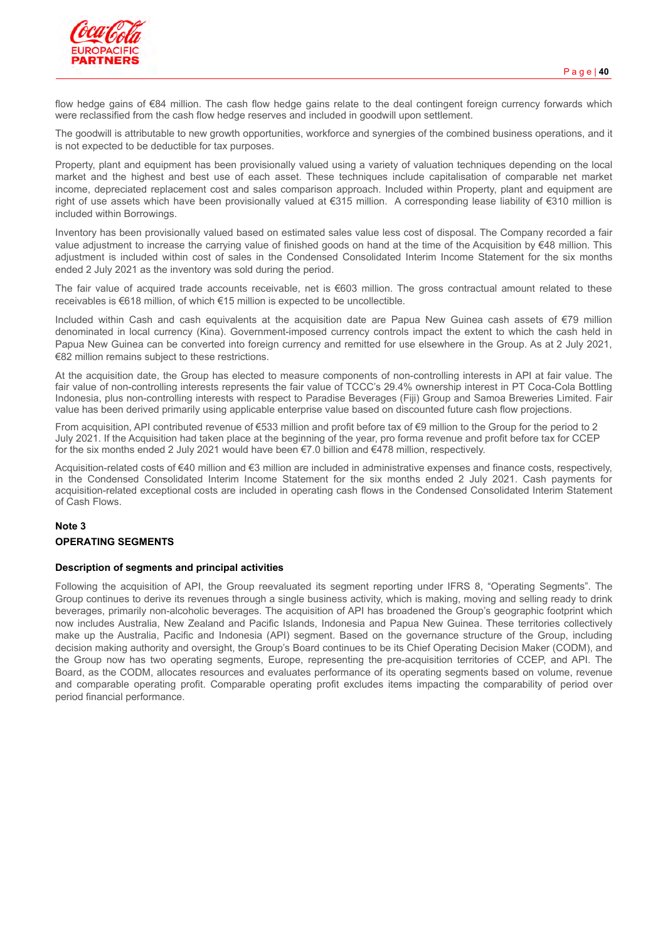

flow hedge gains of €84 million. The cash flow hedge gains relate to the deal contingent foreign currency forwards which were reclassified from the cash flow hedge reserves and included in goodwill upon settlement.

The goodwill is attributable to new growth opportunities, workforce and synergies of the combined business operations, and it is not expected to be deductible for tax purposes.

Property, plant and equipment has been provisionally valued using a variety of valuation techniques depending on the local market and the highest and best use of each asset. These techniques include capitalisation of comparable net market income, depreciated replacement cost and sales comparison approach. Included within Property, plant and equipment are right of use assets which have been provisionally valued at €315 million. A corresponding lease liability of €310 million is included within Borrowings.

Inventory has been provisionally valued based on estimated sales value less cost of disposal. The Company recorded a fair value adjustment to increase the carrying value of finished goods on hand at the time of the Acquisition by €48 million. This adjustment is included within cost of sales in the Condensed Consolidated Interim Income Statement for the six months ended 2 July 2021 as the inventory was sold during the period.

The fair value of acquired trade accounts receivable, net is €603 million. The gross contractual amount related to these receivables is €618 million, of which €15 million is expected to be uncollectible.

Included within Cash and cash equivalents at the acquisition date are Papua New Guinea cash assets of €79 million denominated in local currency (Kina). Government-imposed currency controls impact the extent to which the cash held in Papua New Guinea can be converted into foreign currency and remitted for use elsewhere in the Group. As at 2 July 2021, €82 million remains subject to these restrictions.

At the acquisition date, the Group has elected to measure components of non-controlling interests in API at fair value. The fair value of non-controlling interests represents the fair value of TCCC's 29.4% ownership interest in PT Coca-Cola Bottling Indonesia, plus non-controlling interests with respect to Paradise Beverages (Fiji) Group and Samoa Breweries Limited. Fair value has been derived primarily using applicable enterprise value based on discounted future cash flow projections.

From acquisition, API contributed revenue of €533 million and profit before tax of €9 million to the Group for the period to 2 July 2021. If the Acquisition had taken place at the beginning of the year, pro forma revenue and profit before tax for CCEP for the six months ended 2 July 2021 would have been €7.0 billion and €478 million, respectively.

Acquisition-related costs of €40 million and €3 million are included in administrative expenses and finance costs, respectively, in the Condensed Consolidated Interim Income Statement for the six months ended 2 July 2021. Cash payments for acquisition-related exceptional costs are included in operating cash flows in the Condensed Consolidated Interim Statement of Cash Flows.

## **Note 3 OPERATING SEGMENTS**

#### **Description of segments and principal activities**

Following the acquisition of API, the Group reevaluated its segment reporting under IFRS 8, "Operating Segments". The Group continues to derive its revenues through a single business activity, which is making, moving and selling ready to drink beverages, primarily non-alcoholic beverages. The acquisition of API has broadened the Group's geographic footprint which now includes Australia, New Zealand and Pacific Islands, Indonesia and Papua New Guinea. These territories collectively make up the Australia, Pacific and Indonesia (API) segment. Based on the governance structure of the Group, including decision making authority and oversight, the Group's Board continues to be its Chief Operating Decision Maker (CODM), and the Group now has two operating segments, Europe, representing the pre-acquisition territories of CCEP, and API. The Board, as the CODM, allocates resources and evaluates performance of its operating segments based on volume, revenue and comparable operating profit. Comparable operating profit excludes items impacting the comparability of period over period financial performance.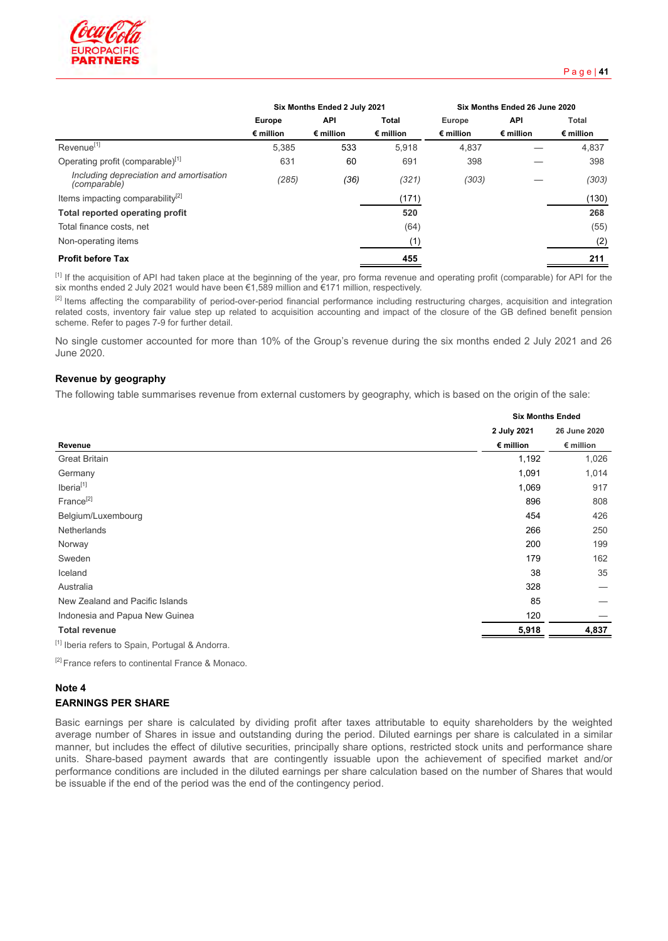

|                                                         | Six Months Ended 2 July 2021 |                    | Six Months Ended 26 June 2020 |                    |                    |                    |
|---------------------------------------------------------|------------------------------|--------------------|-------------------------------|--------------------|--------------------|--------------------|
|                                                         | <b>Europe</b>                | <b>API</b>         | <b>Total</b>                  | Europe             | <b>API</b>         | Total              |
|                                                         | $\epsilon$ million           | $\epsilon$ million | $\epsilon$ million            | $\epsilon$ million | $\epsilon$ million | $\epsilon$ million |
| Revenue <sup>[1]</sup>                                  | 5,385                        | 533                | 5,918                         | 4,837              |                    | 4,837              |
| Operating profit (comparable)[1]                        | 631                          | 60                 | 691                           | 398                |                    | 398                |
| Including depreciation and amortisation<br>(comparable) | (285)                        | (36)               | (321)                         | (303)              |                    | (303)              |
| Items impacting comparability <sup>[2]</sup>            |                              |                    | (171)                         |                    |                    | (130)              |
| Total reported operating profit                         |                              |                    | 520                           |                    |                    | 268                |
| Total finance costs, net                                |                              |                    | (64)                          |                    |                    | (55)               |
| Non-operating items                                     |                              |                    | (1)                           |                    |                    | (2)                |
| <b>Profit before Tax</b>                                |                              |                    | 455                           |                    |                    | 211                |

[1] If the acquisition of API had taken place at the beginning of the year, pro forma revenue and operating profit (comparable) for API for the six months ended 2 July 2021 would have been €1,589 million and €171 million, respectively.

<sup>[2]</sup> Items affecting the comparability of period-over-period financial performance including restructuring charges, acquisition and integration related costs, inventory fair value step up related to acquisition accounting and impact of the closure of the GB defined benefit pension scheme. Refer to pages 7-9 for further detail.

No single customer accounted for more than 10% of the Group's revenue during the six months ended 2 July 2021 and 26 June 2020.

#### **Revenue by geography**

The following table summarises revenue from external customers by geography, which is based on the origin of the sale:

|                                                            |                    | <b>Six Months Ended</b> |  |  |
|------------------------------------------------------------|--------------------|-------------------------|--|--|
|                                                            | 2 July 2021        | 26 June 2020            |  |  |
| Revenue                                                    | $\epsilon$ million | $\epsilon$ million      |  |  |
| <b>Great Britain</b>                                       | 1,192              | 1,026                   |  |  |
| Germany                                                    | 1,091              | 1,014                   |  |  |
| Iberia <sup>[1]</sup>                                      | 1,069              | 917                     |  |  |
| France <sup>[2]</sup>                                      | 896                | 808                     |  |  |
| Belgium/Luxembourg                                         | 454                | 426                     |  |  |
| Netherlands                                                | 266                | 250                     |  |  |
| Norway                                                     | 200                | 199                     |  |  |
| Sweden                                                     | 179                | 162                     |  |  |
| Iceland                                                    | 38                 | 35                      |  |  |
| Australia                                                  | 328                |                         |  |  |
| New Zealand and Pacific Islands                            | 85                 |                         |  |  |
| Indonesia and Papua New Guinea                             | 120                |                         |  |  |
| <b>Total revenue</b>                                       | 5,918              | 4,837                   |  |  |
| <sup>[1]</sup> Iberia refers to Spain, Portugal & Andorra. |                    |                         |  |  |

<sup>[2]</sup> France refers to continental France & Monaco.

# **Note 4**

## **EARNINGS PER SHARE**

Basic earnings per share is calculated by dividing profit after taxes attributable to equity shareholders by the weighted average number of Shares in issue and outstanding during the period. Diluted earnings per share is calculated in a similar manner, but includes the effect of dilutive securities, principally share options, restricted stock units and performance share units. Share-based payment awards that are contingently issuable upon the achievement of specified market and/or performance conditions are included in the diluted earnings per share calculation based on the number of Shares that would be issuable if the end of the period was the end of the contingency period.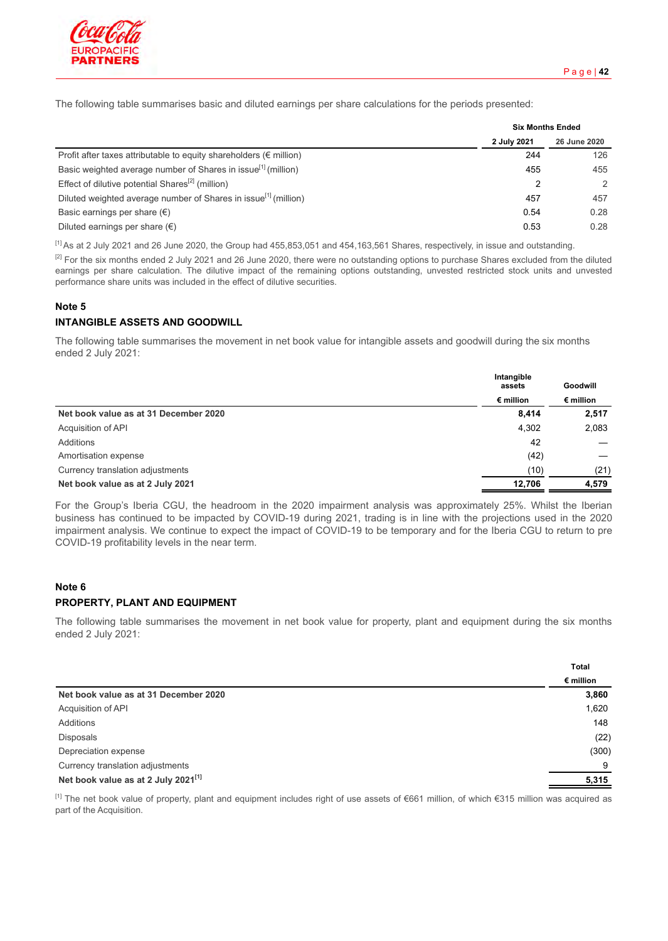

The following table summarises basic and diluted earnings per share calculations for the periods presented:

|                                                                              | <b>Six Months Ended</b> |               |
|------------------------------------------------------------------------------|-------------------------|---------------|
|                                                                              | 2 July 2021             | 26 June 2020  |
| Profit after taxes attributable to equity shareholders ( $\epsilon$ million) | 244                     | 126           |
| Basic weighted average number of Shares in issue <sup>[1]</sup> (million)    | 455                     | 455           |
| Effect of dilutive potential Shares <sup>[2]</sup> (million)                 |                         | $\mathcal{P}$ |
| Diluted weighted average number of Shares in issue <sup>[1]</sup> (million)  | 457                     | 457           |
| Basic earnings per share $(\epsilon)$                                        | 0.54                    | 0.28          |
| Diluted earnings per share $(\epsilon)$                                      | 0.53                    | 0.28          |

[1] As at 2 July 2021 and 26 June 2020, the Group had 455,853,051 and 454,163,561 Shares, respectively, in issue and outstanding.

<sup>[2]</sup> For the six months ended 2 July 2021 and 26 June 2020, there were no outstanding options to purchase Shares excluded from the diluted earnings per share calculation. The dilutive impact of the remaining options outstanding, unvested restricted stock units and unvested performance share units was included in the effect of dilutive securities.

#### **Note 5**

## **INTANGIBLE ASSETS AND GOODWILL**

The following table summarises the movement in net book value for intangible assets and goodwill during the six months ended 2 July 2021:

|                                       | Intangible<br>assets | Goodwill           |
|---------------------------------------|----------------------|--------------------|
|                                       | $\epsilon$ million   | $\epsilon$ million |
| Net book value as at 31 December 2020 | 8,414                | 2,517              |
| Acquisition of API                    | 4,302                | 2,083              |
| Additions                             | 42                   |                    |
| Amortisation expense                  | (42)                 |                    |
| Currency translation adjustments      | (10)                 | (21)               |
| Net book value as at 2 July 2021      | 12,706               | 4,579              |

For the Group's Iberia CGU, the headroom in the 2020 impairment analysis was approximately 25%. Whilst the Iberian business has continued to be impacted by COVID-19 during 2021, trading is in line with the projections used in the 2020 impairment analysis. We continue to expect the impact of COVID-19 to be temporary and for the Iberia CGU to return to pre COVID-19 profitability levels in the near term.

## **Note 6 PROPERTY, PLANT AND EQUIPMENT**

The following table summarises the movement in net book value for property, plant and equipment during the six months ended 2 July 2021:

|                                       | <b>Total</b>       |
|---------------------------------------|--------------------|
|                                       | $\epsilon$ million |
| Net book value as at 31 December 2020 | 3,860              |
| Acquisition of API                    | 1,620              |
| Additions                             | 148                |
| Disposals                             | (22)               |
| Depreciation expense                  | (300)              |
| Currency translation adjustments      | 9                  |
| Net book value as at 2 July 2021[1]   | 5,315              |

[1] The net book value of property, plant and equipment includes right of use assets of €661 million, of which €315 million was acquired as part of the Acquisition.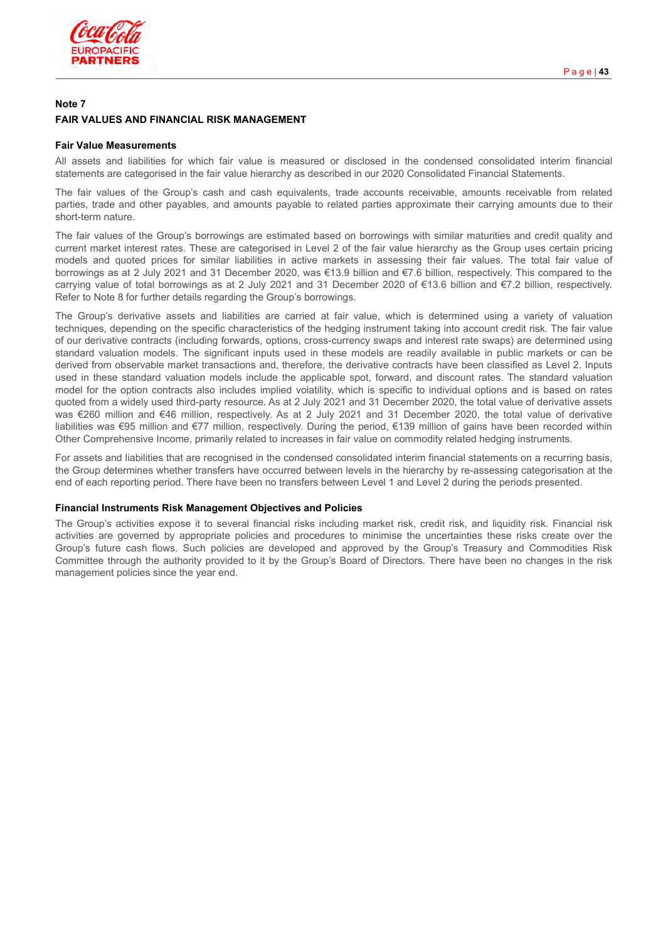

## **Note 7 FAIR VALUES AND FINANCIAL RISK MANAGEMENT**

#### **Fair Value Measurements**

All assets and liabilities for which fair value is measured or disclosed in the condensed consolidated interim financial statements are categorised in the fair value hierarchy as described in our 2020 Consolidated Financial Statements.

The fair values of the Group's cash and cash equivalents, trade accounts receivable, amounts receivable from related parties, trade and other payables, and amounts payable to related parties approximate their carrying amounts due to their short-term nature.

The fair values of the Group's borrowings are estimated based on borrowings with similar maturities and credit quality and current market interest rates. These are categorised in Level 2 of the fair value hierarchy as the Group uses certain pricing models and quoted prices for similar liabilities in active markets in assessing their fair values. The total fair value of borrowings as at 2 July 2021 and 31 December 2020, was €13.9 billion and €7.6 billion, respectively. This compared to the carrying value of total borrowings as at 2 July 2021 and 31 December 2020 of €13.6 billion and €7.2 billion, respectively. Refer to Note 8 for further details regarding the Group's borrowings.

The Group's derivative assets and liabilities are carried at fair value, which is determined using a variety of valuation techniques, depending on the specific characteristics of the hedging instrument taking into account credit risk. The fair value of our derivative contracts (including forwards, options, cross-currency swaps and interest rate swaps) are determined using standard valuation models. The significant inputs used in these models are readily available in public markets or can be derived from observable market transactions and, therefore, the derivative contracts have been classified as Level 2. Inputs used in these standard valuation models include the applicable spot, forward, and discount rates. The standard valuation model for the option contracts also includes implied volatility, which is specific to individual options and is based on rates quoted from a widely used third-party resource. As at 2 July 2021 and 31 December 2020, the total value of derivative assets was €260 million and €46 million, respectively. As at 2 July 2021 and 31 December 2020, the total value of derivative liabilities was €95 million and €77 million, respectively. During the period, €139 million of gains have been recorded within Other Comprehensive Income, primarily related to increases in fair value on commodity related hedging instruments.

For assets and liabilities that are recognised in the condensed consolidated interim financial statements on a recurring basis, the Group determines whether transfers have occurred between levels in the hierarchy by re-assessing categorisation at the end of each reporting period. There have been no transfers between Level 1 and Level 2 during the periods presented.

#### **Financial Instruments Risk Management Objectives and Policies**

The Group's activities expose it to several financial risks including market risk, credit risk, and liquidity risk. Financial risk activities are governed by appropriate policies and procedures to minimise the uncertainties these risks create over the Group's future cash flows. Such policies are developed and approved by the Group's Treasury and Commodities Risk Committee through the authority provided to it by the Group's Board of Directors. There have been no changes in the risk management policies since the year end.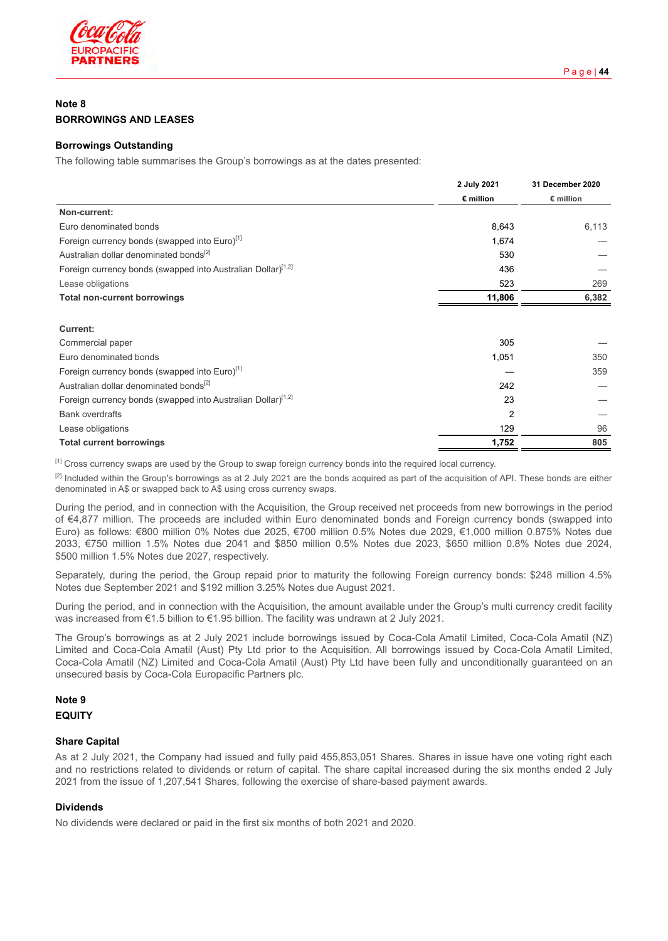

## **Note 8 BORROWINGS AND LEASES**

## **Borrowings Outstanding**

The following table summarises the Group's borrowings as at the dates presented:

|                                                                          | 2 July 2021        | 31 December 2020   |
|--------------------------------------------------------------------------|--------------------|--------------------|
|                                                                          | $\epsilon$ million | $\epsilon$ million |
| Non-current:                                                             |                    |                    |
| Euro denominated bonds                                                   | 8,643              | 6,113              |
| Foreign currency bonds (swapped into Euro)[1]                            | 1,674              |                    |
| Australian dollar denominated bonds <sup>[2]</sup>                       | 530                |                    |
| Foreign currency bonds (swapped into Australian Dollar) <sup>[1,2]</sup> | 436                |                    |
| Lease obligations                                                        | 523                | 269                |
| <b>Total non-current borrowings</b>                                      | 11,806             | 6,382              |
|                                                                          |                    |                    |
| Current:                                                                 |                    |                    |
| Commercial paper                                                         | 305                |                    |
| Euro denominated bonds                                                   | 1,051              | 350                |
| Foreign currency bonds (swapped into Euro)[1]                            |                    | 359                |
| Australian dollar denominated bonds <sup>[2]</sup>                       | 242                |                    |
| Foreign currency bonds (swapped into Australian Dollar) <sup>[1,2]</sup> | 23                 |                    |
| <b>Bank overdrafts</b>                                                   | $\overline{2}$     |                    |
| Lease obligations                                                        | 129                | 96                 |
| <b>Total current borrowings</b>                                          | 1,752              | 805                |

<sup>[1]</sup> Cross currency swaps are used by the Group to swap foreign currency bonds into the required local currency.

<sup>[2]</sup> Included within the Group's borrowings as at 2 July 2021 are the bonds acquired as part of the acquisition of API. These bonds are either denominated in A\$ or swapped back to A\$ using cross currency swaps.

During the period, and in connection with the Acquisition, the Group received net proceeds from new borrowings in the period of €4,877 million. The proceeds are included within Euro denominated bonds and Foreign currency bonds (swapped into Euro) as follows: €800 million 0% Notes due 2025, €700 million 0.5% Notes due 2029, €1,000 million 0.875% Notes due 2033, €750 million 1.5% Notes due 2041 and \$850 million 0.5% Notes due 2023, \$650 million 0.8% Notes due 2024, \$500 million 1.5% Notes due 2027, respectively.

Separately, during the period, the Group repaid prior to maturity the following Foreign currency bonds: \$248 million 4.5% Notes due September 2021 and \$192 million 3.25% Notes due August 2021.

During the period, and in connection with the Acquisition, the amount available under the Group's multi currency credit facility was increased from €1.5 billion to €1.95 billion. The facility was undrawn at 2 July 2021.

The Group's borrowings as at 2 July 2021 include borrowings issued by Coca-Cola Amatil Limited, Coca-Cola Amatil (NZ) Limited and Coca-Cola Amatil (Aust) Pty Ltd prior to the Acquisition. All borrowings issued by Coca-Cola Amatil Limited, Coca-Cola Amatil (NZ) Limited and Coca-Cola Amatil (Aust) Pty Ltd have been fully and unconditionally guaranteed on an unsecured basis by Coca-Cola Europacific Partners plc.

## **Note 9 EQUITY**

## **Share Capital**

As at 2 July 2021, the Company had issued and fully paid 455,853,051 Shares. Shares in issue have one voting right each and no restrictions related to dividends or return of capital. The share capital increased during the six months ended 2 July 2021 from the issue of 1,207,541 Shares, following the exercise of share-based payment awards.

## **Dividends**

No dividends were declared or paid in the first six months of both 2021 and 2020.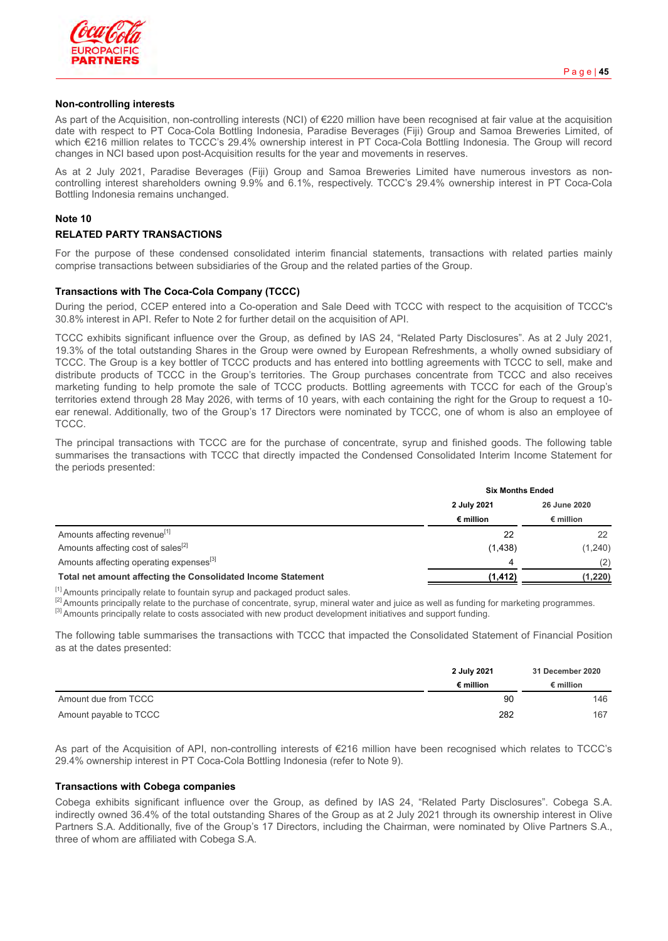

#### **Non-controlling interests**

As part of the Acquisition, non-controlling interests (NCI) of €220 million have been recognised at fair value at the acquisition date with respect to PT Coca-Cola Bottling Indonesia, Paradise Beverages (Fiji) Group and Samoa Breweries Limited, of which €216 million relates to TCCC's 29.4% ownership interest in PT Coca-Cola Bottling Indonesia. The Group will record changes in NCI based upon post-Acquisition results for the year and movements in reserves.

As at 2 July 2021, Paradise Beverages (Fiji) Group and Samoa Breweries Limited have numerous investors as noncontrolling interest shareholders owning 9.9% and 6.1%, respectively. TCCC's 29.4% ownership interest in PT Coca-Cola Bottling Indonesia remains unchanged.

# **Note 10**

## **RELATED PARTY TRANSACTIONS**

For the purpose of these condensed consolidated interim financial statements, transactions with related parties mainly comprise transactions between subsidiaries of the Group and the related parties of the Group.

## **Transactions with The Coca-Cola Company (TCCC)**

During the period, CCEP entered into a Co-operation and Sale Deed with TCCC with respect to the acquisition of TCCC's 30.8% interest in API. Refer to Note 2 for further detail on the acquisition of API.

TCCC exhibits significant influence over the Group, as defined by IAS 24, "Related Party Disclosures". As at 2 July 2021, 19.3% of the total outstanding Shares in the Group were owned by European Refreshments, a wholly owned subsidiary of TCCC. The Group is a key bottler of TCCC products and has entered into bottling agreements with TCCC to sell, make and distribute products of TCCC in the Group's territories. The Group purchases concentrate from TCCC and also receives marketing funding to help promote the sale of TCCC products. Bottling agreements with TCCC for each of the Group's territories extend through 28 May 2026, with terms of 10 years, with each containing the right for the Group to request a 10 ear renewal. Additionally, two of the Group's 17 Directors were nominated by TCCC, one of whom is also an employee of TCCC.

The principal transactions with TCCC are for the purchase of concentrate, syrup and finished goods. The following table summarises the transactions with TCCC that directly impacted the Condensed Consolidated Interim Income Statement for the periods presented:

|                                                              |                    | <b>Six Months Ended</b> |  |  |
|--------------------------------------------------------------|--------------------|-------------------------|--|--|
|                                                              | 2 July 2021        | 26 June 2020            |  |  |
|                                                              | $\epsilon$ million | $\epsilon$ million      |  |  |
| Amounts affecting revenue <sup>[1]</sup>                     | 22                 | 22                      |  |  |
| Amounts affecting cost of sales <sup>[2]</sup>               | (1, 438)           | (1,240)                 |  |  |
| Amounts affecting operating expenses <sup>[3]</sup>          | 4                  | (2)                     |  |  |
| Total net amount affecting the Consolidated Income Statement | (1,412)            | (1, 220)                |  |  |

[1] Amounts principally relate to fountain syrup and packaged product sales.

 $^{[2]}$  Amounts principally relate to the purchase of concentrate, syrup, mineral water and juice as well as funding for marketing programmes.

[3] Amounts principally relate to costs associated with new product development initiatives and support funding.

The following table summarises the transactions with TCCC that impacted the Consolidated Statement of Financial Position as at the dates presented:

|                        | 2 July 2021        | 31 December 2020   |  |
|------------------------|--------------------|--------------------|--|
|                        | $\epsilon$ million | $\epsilon$ million |  |
| Amount due from TCCC   | 90                 | 146                |  |
| Amount payable to TCCC | 282                | 167                |  |

As part of the Acquisition of API, non-controlling interests of €216 million have been recognised which relates to TCCC's 29.4% ownership interest in PT Coca-Cola Bottling Indonesia (refer to Note 9).

#### **Transactions with Cobega companies**

Cobega exhibits significant influence over the Group, as defined by IAS 24, "Related Party Disclosures". Cobega S.A. indirectly owned 36.4% of the total outstanding Shares of the Group as at 2 July 2021 through its ownership interest in Olive Partners S.A. Additionally, five of the Group's 17 Directors, including the Chairman, were nominated by Olive Partners S.A., three of whom are affiliated with Cobega S.A.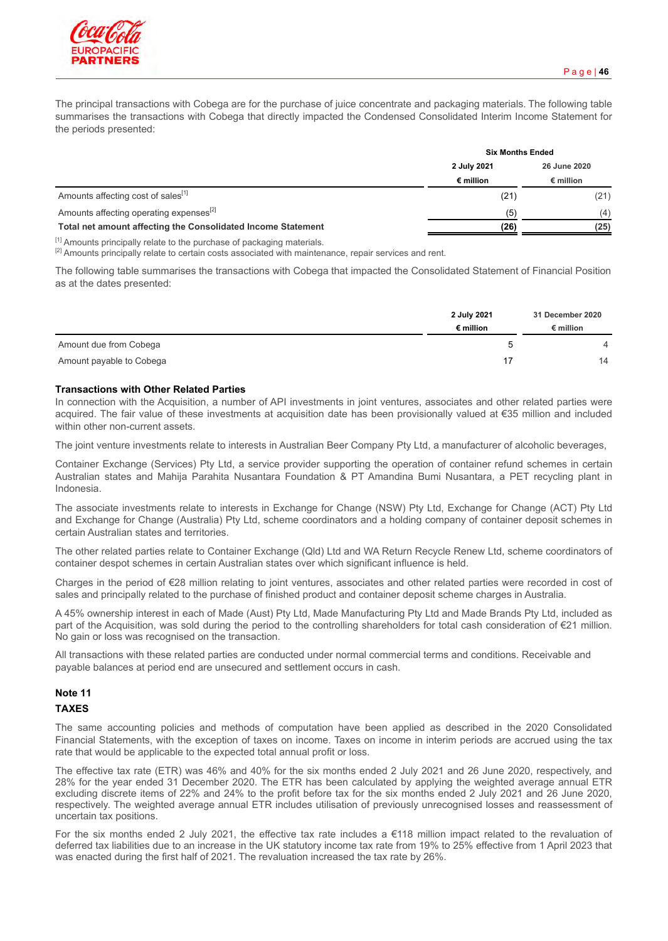

The principal transactions with Cobega are for the purchase of juice concentrate and packaging materials. The following table summarises the transactions with Cobega that directly impacted the Condensed Consolidated Interim Income Statement for the periods presented:

|                                                              |                    | <b>Six Months Ended</b> |  |  |
|--------------------------------------------------------------|--------------------|-------------------------|--|--|
|                                                              | 2 July 2021        | 26 June 2020            |  |  |
|                                                              | $\epsilon$ million | $\epsilon$ million      |  |  |
| Amounts affecting cost of sales <sup>[1]</sup>               | (21)               | (21)                    |  |  |
| Amounts affecting operating expenses <sup>[2]</sup>          | (5)                | (4)                     |  |  |
| Total net amount affecting the Consolidated Income Statement | (26)               | (25)                    |  |  |

[1] Amounts principally relate to the purchase of packaging materials.

<sup>[2]</sup> Amounts principally relate to certain costs associated with maintenance, repair services and rent.

The following table summarises the transactions with Cobega that impacted the Consolidated Statement of Financial Position as at the dates presented:

|                          | 2 July 2021        | 31 December 2020<br>$\epsilon$ million |  |
|--------------------------|--------------------|----------------------------------------|--|
|                          | $\epsilon$ million |                                        |  |
| Amount due from Cobega   | h                  | 4                                      |  |
| Amount payable to Cobega |                    | 14                                     |  |

#### **Transactions with Other Related Parties**

In connection with the Acquisition, a number of API investments in joint ventures, associates and other related parties were acquired. The fair value of these investments at acquisition date has been provisionally valued at €35 million and included within other non-current assets.

The joint venture investments relate to interests in Australian Beer Company Pty Ltd, a manufacturer of alcoholic beverages,

Container Exchange (Services) Pty Ltd, a service provider supporting the operation of container refund schemes in certain Australian states and Mahija Parahita Nusantara Foundation & PT Amandina Bumi Nusantara, a PET recycling plant in Indonesia.

The associate investments relate to interests in Exchange for Change (NSW) Pty Ltd, Exchange for Change (ACT) Pty Ltd and Exchange for Change (Australia) Pty Ltd, scheme coordinators and a holding company of container deposit schemes in certain Australian states and territories.

The other related parties relate to Container Exchange (Qld) Ltd and WA Return Recycle Renew Ltd, scheme coordinators of container despot schemes in certain Australian states over which significant influence is held.

Charges in the period of €28 million relating to joint ventures, associates and other related parties were recorded in cost of sales and principally related to the purchase of finished product and container deposit scheme charges in Australia.

A 45% ownership interest in each of Made (Aust) Pty Ltd, Made Manufacturing Pty Ltd and Made Brands Pty Ltd, included as part of the Acquisition, was sold during the period to the controlling shareholders for total cash consideration of €21 million. No gain or loss was recognised on the transaction.

All transactions with these related parties are conducted under normal commercial terms and conditions. Receivable and payable balances at period end are unsecured and settlement occurs in cash.

# **Note 11**

#### **TAXES**

The same accounting policies and methods of computation have been applied as described in the 2020 Consolidated Financial Statements, with the exception of taxes on income. Taxes on income in interim periods are accrued using the tax rate that would be applicable to the expected total annual profit or loss.

The effective tax rate (ETR) was 46% and 40% for the six months ended 2 July 2021 and 26 June 2020, respectively, and 28% for the year ended 31 December 2020. The ETR has been calculated by applying the weighted average annual ETR excluding discrete items of 22% and 24% to the profit before tax for the six months ended 2 July 2021 and 26 June 2020, respectively. The weighted average annual ETR includes utilisation of previously unrecognised losses and reassessment of uncertain tax positions.

For the six months ended 2 July 2021, the effective tax rate includes a €118 million impact related to the revaluation of deferred tax liabilities due to an increase in the UK statutory income tax rate from 19% to 25% effective from 1 April 2023 that was enacted during the first half of 2021. The revaluation increased the tax rate by 26%.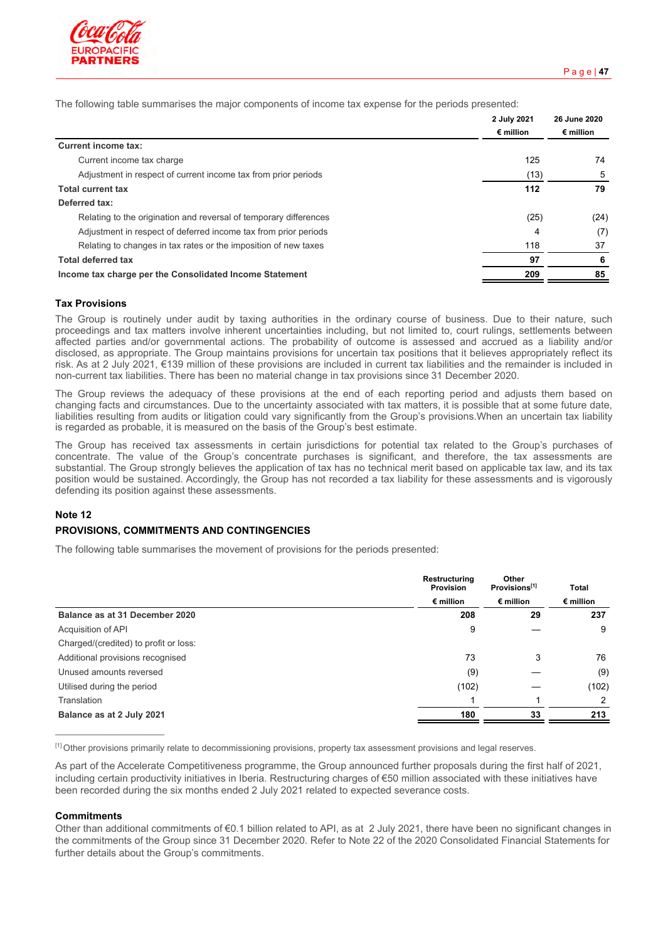

The following table summarises the major components of income tax expense for the periods presented:

|                                                                   | 2 July 2021        | 26 June 2020<br>$\epsilon$ million |
|-------------------------------------------------------------------|--------------------|------------------------------------|
|                                                                   | $\epsilon$ million |                                    |
| Current income tax:                                               |                    |                                    |
| Current income tax charge                                         | 125                | 74                                 |
| Adjustment in respect of current income tax from prior periods    | (13)               | 5                                  |
| <b>Total current tax</b>                                          | 112                | 79                                 |
| Deferred tax:                                                     |                    |                                    |
| Relating to the origination and reversal of temporary differences | (25)               | (24)                               |
| Adjustment in respect of deferred income tax from prior periods   | 4                  | (7)                                |
| Relating to changes in tax rates or the imposition of new taxes   | 118                | 37                                 |
| <b>Total deferred tax</b>                                         | 97                 | 6                                  |
| Income tax charge per the Consolidated Income Statement           | 209                | 85                                 |

#### **Tax Provisions**

The Group is routinely under audit by taxing authorities in the ordinary course of business. Due to their nature, such proceedings and tax matters involve inherent uncertainties including, but not limited to, court rulings, settlements between affected parties and/or governmental actions. The probability of outcome is assessed and accrued as a liability and/or disclosed, as appropriate. The Group maintains provisions for uncertain tax positions that it believes appropriately reflect its risk. As at 2 July 2021, €139 million of these provisions are included in current tax liabilities and the remainder is included in non-current tax liabilities. There has been no material change in tax provisions since 31 December 2020.

The Group reviews the adequacy of these provisions at the end of each reporting period and adjusts them based on changing facts and circumstances. Due to the uncertainty associated with tax matters, it is possible that at some future date, liabilities resulting from audits or litigation could vary significantly from the Group's provisions.When an uncertain tax liability is regarded as probable, it is measured on the basis of the Group's best estimate.

The Group has received tax assessments in certain jurisdictions for potential tax related to the Group's purchases of concentrate. The value of the Group's concentrate purchases is significant, and therefore, the tax assessments are substantial. The Group strongly believes the application of tax has no technical merit based on applicable tax law, and its tax position would be sustained. Accordingly, the Group has not recorded a tax liability for these assessments and is vigorously defending its position against these assessments.

## **Note 12**

## **PROVISIONS, COMMITMENTS AND CONTINGENCIES**

The following table summarises the movement of provisions for the periods presented:

|                                       | Restructuring<br>Provision | Other<br>Provisions <sup>[1]</sup> | <b>Total</b>       |
|---------------------------------------|----------------------------|------------------------------------|--------------------|
|                                       | $\epsilon$ million         | $\epsilon$ million                 | $\epsilon$ million |
| Balance as at 31 December 2020        | 208                        | 29                                 | 237                |
| Acquisition of API                    | 9                          |                                    | 9                  |
| Charged/(credited) to profit or loss: |                            |                                    |                    |
| Additional provisions recognised      | 73                         | 3                                  | 76                 |
| Unused amounts reversed               | (9)                        |                                    | (9)                |
| Utilised during the period            | (102)                      |                                    | (102)              |
| Translation                           |                            |                                    |                    |
| Balance as at 2 July 2021             | 180                        | 33                                 | 213                |

<sup>[1]</sup> Other provisions primarily relate to decommissioning provisions, property tax assessment provisions and legal reserves.

As part of the Accelerate Competitiveness programme, the Group announced further proposals during the first half of 2021, including certain productivity initiatives in Iberia. Restructuring charges of €50 million associated with these initiatives have been recorded during the six months ended 2 July 2021 related to expected severance costs.

#### **Commitments**

 $\mathcal{L}_\mathcal{L}$  , and the set of the set of the set of the set of the set of the set of the set of the set of the set of the set of the set of the set of the set of the set of the set of the set of the set of the set of th

Other than additional commitments of €0.1 billion related to API, as at 2 July 2021, there have been no significant changes in the commitments of the Group since 31 December 2020. Refer to Note 22 of the 2020 Consolidated Financial Statements for further details about the Group's commitments.